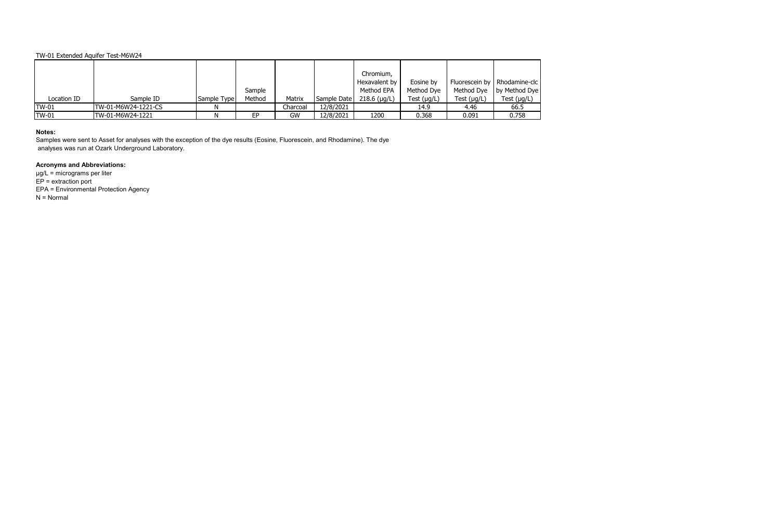|              |                     |             |        |          |             | Chromium,      |                  |                  |                                |
|--------------|---------------------|-------------|--------|----------|-------------|----------------|------------------|------------------|--------------------------------|
|              |                     |             |        |          |             | Hexavalent by  | Eosine by        |                  | Fluorescein by   Rhodamine-clc |
|              |                     |             | Sample |          |             | Method EPA     | Method Dye       | Method Dye       | by Method Dye                  |
| Location ID  | Sample ID           | Sample Type | Method | Matrix   | Sample Date | $218.6$ (µg/L) | Test $(\mu g/L)$ | Test $(\mu g/L)$ | Test $(\mu g/L)$               |
| <b>TW-01</b> | TW-01-M6W24-1221-CS |             |        | Charcoal | 12/8/2021   |                | 14.9             | 4.46             | 66.5                           |
| <b>TW-01</b> | TW-01-M6W24-1221    |             | EP     | GW       | 12/8/2021   | 1200           | 0.368            | 0.091            | 0.758                          |

## **Notes:**

Samples were sent to Asset for analyses with the exception of the dye results (Eosine, Fluorescein, and Rhodamine). The dye analyses was run at Ozark Underground Laboratory.

# **Acronyms and Abbreviations:**

µg/L = micrograms per liter  $EP =$  extraction port EPA = Environmental Protection Agency N = Normal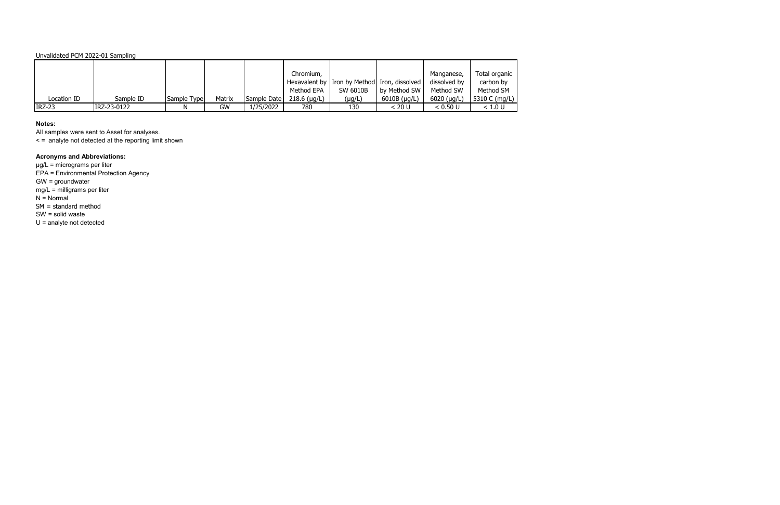### Unvalidated PCM 2022-01 Sampling

|               |             |             |        |             | Chromium,            |                                                |              | Manganese,          | Total organic |
|---------------|-------------|-------------|--------|-------------|----------------------|------------------------------------------------|--------------|---------------------|---------------|
|               |             |             |        |             |                      | Hexavalent by I Iron by Method Iron, dissolved |              | dissolved by        | carbon by     |
|               |             |             |        |             | Method EPA           | SW 6010B                                       | by Method SW | Method SW           | Method SM     |
| Location ID   | Sample ID   | Sample Type | Matrix | Sample Date | $218.6$ ( $\mu$ g/L) | $(\mu g/L)$                                    | 6010B (µg/L) | $6020$ ( $\mu$ g/L) | 5310 C (mg/L) |
| <b>IRZ-23</b> | IRZ-23-0122 |             | GW     | 1/25/2022   | 780                  | 130                                            | < 20 U       | < 0.50 U            | < 1.0 U       |

## **Notes:**

All samples were sent to Asset for analyses.

< = analyte not detected at the reporting limit shown

# **Acronyms and Abbreviations:**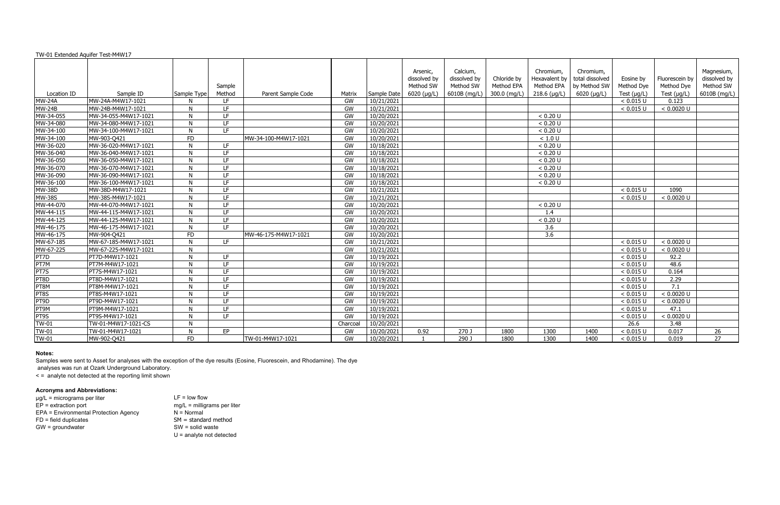| TW-01 Extended Aquifer Test-M4W17 |                      |              |                          |                      |          |             |                                       |                                       |                           |                                          |                                              |                         |                              |                                         |
|-----------------------------------|----------------------|--------------|--------------------------|----------------------|----------|-------------|---------------------------------------|---------------------------------------|---------------------------|------------------------------------------|----------------------------------------------|-------------------------|------------------------------|-----------------------------------------|
|                                   |                      |              | Sample                   |                      |          |             | Arsenic,<br>dissolved by<br>Method SW | Calcium,<br>dissolved by<br>Method SW | Chloride by<br>Method EPA | Chromium,<br>Hexavalent by<br>Method EPA | Chromium,<br>total dissolved<br>by Method SW | Eosine by<br>Method Dye | Fluorescein by<br>Method Dye | Magnesium,<br>dissolved by<br>Method SW |
| Location ID                       | Sample ID            | Sample Type  | Method                   | Parent Sample Code   | Matrix   | Sample Date | $6020$ ( $\mu$ g/L)                   | 6010B (mg/L)                          | 300.0 (mg/L)              | $218.6$ (µg/L)                           | 6020 (µg/L)                                  | Test $(\mu g/L)$        | Test $(\mu g/L)$             | 6010B (mg/L)                            |
| <b>MW-24A</b>                     | MW-24A-M4W17-1021    | N            | LF                       |                      | GW       | 10/21/2021  |                                       |                                       |                           |                                          |                                              | < 0.015 U               | 0.123                        |                                         |
| <b>MW-24B</b>                     | MW-24B-M4W17-1021    | N            | E                        |                      | GW       | 10/21/2021  |                                       |                                       |                           |                                          |                                              | < 0.015 U               | < 0.0020 U                   |                                         |
| MW-34-055                         | MW-34-055-M4W17-1021 | N            | LF.                      |                      | GW       | 10/20/2021  |                                       |                                       |                           | < 0.20 U                                 |                                              |                         |                              |                                         |
| MW-34-080                         | MW-34-080-M4W17-1021 | N            | LF                       |                      | GW       | 10/20/2021  |                                       |                                       |                           | < 0.20 U                                 |                                              |                         |                              |                                         |
| MW-34-100                         | MW-34-100-M4W17-1021 | <b>N</b>     | LF                       |                      | GW       | 10/20/2021  |                                       |                                       |                           | < 0.20 U                                 |                                              |                         |                              |                                         |
| MW-34-100                         | MW-903-Q421          | <b>FD</b>    |                          | MW-34-100-M4W17-1021 | GW       | 10/20/2021  |                                       |                                       |                           | < 1.0 U                                  |                                              |                         |                              |                                         |
| MW-36-020                         | MW-36-020-M4W17-1021 | N            | $\overline{\mathsf{LF}}$ |                      | GW       | 10/18/2021  |                                       |                                       |                           | < 0.20 U                                 |                                              |                         |                              |                                         |
| MW-36-040                         | MW-36-040-M4W17-1021 | N            | $\overline{\mathsf{LF}}$ |                      | GW       | 10/18/2021  |                                       |                                       |                           | < 0.20 U                                 |                                              |                         |                              |                                         |
| MW-36-050                         | MW-36-050-M4W17-1021 | <b>N</b>     | LF.                      |                      | GW       | 10/18/2021  |                                       |                                       |                           | < 0.20 U                                 |                                              |                         |                              |                                         |
| MW-36-070                         | MW-36-070-M4W17-1021 | -N           | LF                       |                      | GW       | 10/18/2021  |                                       |                                       |                           | < 0.20 U                                 |                                              |                         |                              |                                         |
| MW-36-090                         | MW-36-090-M4W17-1021 | <b>N</b>     | LF                       |                      | GW       | 10/18/2021  |                                       |                                       |                           | < 0.20 U                                 |                                              |                         |                              |                                         |
| MW-36-100                         | MW-36-100-M4W17-1021 | N            | LF                       |                      | GW       | 10/18/2021  |                                       |                                       |                           | < 0.20 U                                 |                                              |                         |                              |                                         |
| <b>MW-38D</b>                     | MW-38D-M4W17-1021    | <b>N</b>     | LF.                      |                      | GW       | 10/21/2021  |                                       |                                       |                           |                                          |                                              | < 0.015 U               | 1090                         |                                         |
| <b>MW-38S</b>                     | MW-38S-M4W17-1021    | N            | LF                       |                      | GW       | 10/21/2021  |                                       |                                       |                           |                                          |                                              | < 0.015 U               | < 0.0020 U                   |                                         |
| MW-44-070                         | MW-44-070-M4W17-1021 | N.           | LF                       |                      | GW       | 10/20/2021  |                                       |                                       |                           | < 0.20 U                                 |                                              |                         |                              |                                         |
| MW-44-115                         | MW-44-115-M4W17-1021 | N.           | LF                       |                      | GW       | 10/20/2021  |                                       |                                       |                           | 1.4                                      |                                              |                         |                              |                                         |
| MW-44-125                         | MW-44-125-M4W17-1021 | -N           | LF                       |                      | GW       | 10/20/2021  |                                       |                                       |                           | < 0.20 U                                 |                                              |                         |                              |                                         |
| MW-46-175                         | MW-46-175-M4W17-1021 | <b>N</b>     | <b>IF</b>                |                      | GW       | 10/20/2021  |                                       |                                       |                           | 3.6                                      |                                              |                         |                              |                                         |
| MW-46-175                         | MW-904-Q421          | <b>FD</b>    |                          | MW-46-175-M4W17-1021 | GW       | 10/20/2021  |                                       |                                       |                           | $\overline{3.6}$                         |                                              |                         |                              |                                         |
| MW-67-185                         | MW-67-185-M4W17-1021 | -N           | LF.                      |                      | GW       | 10/21/2021  |                                       |                                       |                           |                                          |                                              | < 0.015 U               | < 0.0020 U                   |                                         |
| MW-67-225                         | MW-67-225-M4W17-1021 | N            |                          |                      | GW       | 10/21/2021  |                                       |                                       |                           |                                          |                                              | < 0.015 U               | < 0.0020 U                   |                                         |
| PT7D                              | PT7D-M4W17-1021      | N            | LF                       |                      | GW       | 10/19/2021  |                                       |                                       |                           |                                          |                                              | < 0.015 U               | 92.2                         |                                         |
| PT7M                              | PT7M-M4W17-1021      | N            | LF.                      |                      | GW       | 10/19/2021  |                                       |                                       |                           |                                          |                                              | < 0.015 U               | 48.6                         |                                         |
| PT7S                              | PT7S-M4W17-1021      | N            | LF                       |                      | GW       | 10/19/2021  |                                       |                                       |                           |                                          |                                              | < 0.015 U               | 0.164                        |                                         |
| PT8D                              | PT8D-M4W17-1021      | -N           | LF                       |                      | GW       | 10/19/2021  |                                       |                                       |                           |                                          |                                              | < 0.015 U               | 2.29                         |                                         |
| PT8M                              | PT8M-M4W17-1021      | N.           | LF                       |                      | GW       | 10/19/2021  |                                       |                                       |                           |                                          |                                              | < 0.015 U               | 7.1                          |                                         |
| PT8S                              | PT8S-M4W17-1021      | -N           | LF                       |                      | GW       | 10/19/2021  |                                       |                                       |                           |                                          |                                              | < 0.015 U               | < 0.0020 U                   |                                         |
| PT9D                              | PT9D-M4W17-1021      | N.           | LF                       |                      | GW       | 10/19/2021  |                                       |                                       |                           |                                          |                                              | < 0.015 U               | < 0.0020 U                   |                                         |
| PT9M                              | PT9M-M4W17-1021      | <sup>N</sup> | LF                       |                      | GW       | 10/19/2021  |                                       |                                       |                           |                                          |                                              | < 0.015 U               | 47.1                         |                                         |
| PT9S                              | PT9S-M4W17-1021      | N.           | LF.                      |                      | GW       | 10/19/2021  |                                       |                                       |                           |                                          |                                              | < 0.015 U               | < 0.0020 U                   |                                         |
| $TW-01$                           | TW-01-M4W17-1021-CS  | N            |                          |                      | Charcoal | 10/20/2021  |                                       |                                       |                           |                                          |                                              | 26.6                    | 3.48                         |                                         |
| <b>TW-01</b>                      | TW-01-M4W17-1021     | N            | EP                       |                      | GW       | 10/20/2021  | 0.92                                  | 270 J                                 | 1800                      | 1300                                     | 1400                                         | < 0.015 U               | 0.017                        | 26                                      |
| <b>TW-01</b>                      | MW-902-Q421          | FD           |                          | TW-01-M4W17-1021     | GW       | 10/20/2021  |                                       | 290 J                                 | 1800                      | 1300                                     | 1400                                         | < 0.015 U               | 0.019                        | 27                                      |

 $LF = low flow$  $mg/L$  = milligrams per liter  $N =$ Normal  $SM =$  standard method  $SW =$  solid waste U = analyte not detected

### **Notes:**

Samples were sent to Asset for analyses with the exception of the dye results (Eosine, Fluorescein, and Rhodamine). The dye

analyses was run at Ozark Underground Laboratory.

< = analyte not detected at the reporting limit shown

### **Acronyms and Abbreviations:**

| $\mu$ g/L = micrograms per liter      |
|---------------------------------------|
| $EP =$ extraction port                |
| EPA = Environmental Protection Agency |
| $FD = field$ duplicates               |
| $GW =$ groundwater                    |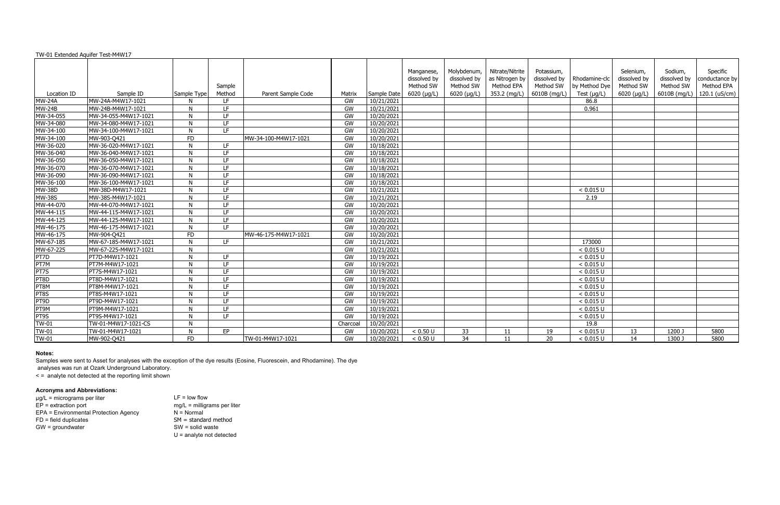| TW-01 Extended Aquifer Test-M4W17 |                      |              |                 |                      |          |             |                                         |                                          |                                                 |                                         |                                |                                        |                                      |                                          |
|-----------------------------------|----------------------|--------------|-----------------|----------------------|----------|-------------|-----------------------------------------|------------------------------------------|-------------------------------------------------|-----------------------------------------|--------------------------------|----------------------------------------|--------------------------------------|------------------------------------------|
|                                   |                      |              | Sample          |                      |          |             | Manganese,<br>dissolved by<br>Method SW | Molybdenum,<br>dissolved by<br>Method SW | Nitrate/Nitrite<br>as Nitrogen by<br>Method EPA | Potassium,<br>dissolved by<br>Method SW | Rhodamine-clc<br>by Method Dye | Selenium,<br>dissolved by<br>Method SW | Sodium,<br>dissolved by<br>Method SW | Specific<br>conductance by<br>Method EPA |
| Location ID                       | Sample ID            | Sample Type  | Method          | Parent Sample Code   | Matrix   | Sample Date | $6020 \, (\mu g/L)$                     | $6020 \; (\mu q/L)$                      | 353.2 (mg/L)                                    | 6010B (mg/L)                            | Test $(\mu g/L)$               | $6020$ ( $\mu$ g/L)                    | 6010B (mg/L)                         | 120.1 ( $uS/cm$ )                        |
| <b>MW-24A</b>                     | MW-24A-M4W17-1021    | -N           | LF              |                      | GW       | 10/21/2021  |                                         |                                          |                                                 |                                         | 86.8                           |                                        |                                      |                                          |
| <b>MW-24B</b>                     | MW-24B-M4W17-1021    | N            | LF              |                      | GW       | 10/21/2021  |                                         |                                          |                                                 |                                         | 0.961                          |                                        |                                      |                                          |
| MW-34-055                         | MW-34-055-M4W17-1021 | N            | LF.             |                      | GW       | 10/20/2021  |                                         |                                          |                                                 |                                         |                                |                                        |                                      |                                          |
| MW-34-080                         | MW-34-080-M4W17-1021 | N            | LF.             |                      | GW       | 10/20/2021  |                                         |                                          |                                                 |                                         |                                |                                        |                                      |                                          |
| MW-34-100                         | MW-34-100-M4W17-1021 | -N           | LF.             |                      | GW       | 10/20/2021  |                                         |                                          |                                                 |                                         |                                |                                        |                                      |                                          |
| MW-34-100                         | MW-903-Q421          | <b>FD</b>    |                 | MW-34-100-M4W17-1021 | GW       | 10/20/2021  |                                         |                                          |                                                 |                                         |                                |                                        |                                      |                                          |
| MW-36-020                         | MW-36-020-M4W17-1021 | N            | LF              |                      | GW       | 10/18/2021  |                                         |                                          |                                                 |                                         |                                |                                        |                                      |                                          |
| MW-36-040                         | MW-36-040-M4W17-1021 | N            | LF.             |                      | GW       | 10/18/2021  |                                         |                                          |                                                 |                                         |                                |                                        |                                      |                                          |
| MW-36-050                         | MW-36-050-M4W17-1021 | N            | LF              |                      | GW       | 10/18/2021  |                                         |                                          |                                                 |                                         |                                |                                        |                                      |                                          |
| MW-36-070                         | MW-36-070-M4W17-1021 | N            | LF.             |                      | GW       | 10/18/2021  |                                         |                                          |                                                 |                                         |                                |                                        |                                      |                                          |
| MW-36-090                         | MW-36-090-M4W17-1021 | N            | $\overline{LF}$ |                      | GW       | 10/18/2021  |                                         |                                          |                                                 |                                         |                                |                                        |                                      |                                          |
| MW-36-100                         | MW-36-100-M4W17-1021 | N            | LF.             |                      | GW       | 10/18/2021  |                                         |                                          |                                                 |                                         |                                |                                        |                                      |                                          |
| <b>MW-38D</b>                     | MW-38D-M4W17-1021    | N            | LF.             |                      | GW       | 10/21/2021  |                                         |                                          |                                                 |                                         | < 0.015 U                      |                                        |                                      |                                          |
| <b>MW-38S</b>                     | MW-38S-M4W17-1021    | N            | LF              |                      | GW       | 10/21/2021  |                                         |                                          |                                                 |                                         | 2.19                           |                                        |                                      |                                          |
| MW-44-070                         | MW-44-070-M4W17-1021 | N            | LF              |                      | GW       | 10/20/2021  |                                         |                                          |                                                 |                                         |                                |                                        |                                      |                                          |
| MW-44-115                         | MW-44-115-M4W17-1021 | N            | E               |                      | GW       | 10/20/2021  |                                         |                                          |                                                 |                                         |                                |                                        |                                      |                                          |
| MW-44-125                         | MW-44-125-M4W17-1021 | $\mathsf{N}$ | LF              |                      | GW       | 10/20/2021  |                                         |                                          |                                                 |                                         |                                |                                        |                                      |                                          |
| MW-46-175                         | MW-46-175-M4W17-1021 | N            | E               |                      | GW       | 10/20/2021  |                                         |                                          |                                                 |                                         |                                |                                        |                                      |                                          |
| MW-46-175                         | MW-904-Q421          | <b>FD</b>    |                 | MW-46-175-M4W17-1021 | GW       | 10/20/2021  |                                         |                                          |                                                 |                                         |                                |                                        |                                      |                                          |
| MW-67-185                         | MW-67-185-M4W17-1021 | $\mathsf{N}$ | LF.             |                      | GW       | 10/21/2021  |                                         |                                          |                                                 |                                         | 173000                         |                                        |                                      |                                          |
| MW-67-225                         | MW-67-225-M4W17-1021 | $\mathsf{N}$ |                 |                      | GW       | 10/21/2021  |                                         |                                          |                                                 |                                         | < 0.015 U                      |                                        |                                      |                                          |
| PT7D                              | PT7D-M4W17-1021      | N            | LF              |                      | GW       | 10/19/2021  |                                         |                                          |                                                 |                                         | < 0.015 U                      |                                        |                                      |                                          |
| PT7M                              | PT7M-M4W17-1021      | N            | LF.             |                      | GW       | 10/19/2021  |                                         |                                          |                                                 |                                         | < 0.015 U                      |                                        |                                      |                                          |
| PT7S                              | PT7S-M4W17-1021      | N            | LF.             |                      | GW       | 10/19/2021  |                                         |                                          |                                                 |                                         | < 0.015 U                      |                                        |                                      |                                          |
| PT8D                              | PT8D-M4W17-1021      | N            | LF              |                      | GW       | 10/19/2021  |                                         |                                          |                                                 |                                         | < 0.015 U                      |                                        |                                      |                                          |
| PT8M                              | PT8M-M4W17-1021      | N            | LF              |                      | GW       | 10/19/2021  |                                         |                                          |                                                 |                                         | < 0.015 U                      |                                        |                                      |                                          |
| PT8S                              | PT8S-M4W17-1021      | N            | $\overline{LF}$ |                      | GW       | 10/19/2021  |                                         |                                          |                                                 |                                         | < 0.015 U                      |                                        |                                      |                                          |
| PT9D                              | PT9D-M4W17-1021      | N            | LF.             |                      | GW       | 10/19/2021  |                                         |                                          |                                                 |                                         | < 0.015 U                      |                                        |                                      |                                          |
| PT9M                              | PT9M-M4W17-1021      | -N           | LF.             |                      | GW       | 10/19/2021  |                                         |                                          |                                                 |                                         | < 0.015 U                      |                                        |                                      |                                          |
| PT9S                              | PT9S-M4W17-1021      | N            | LF              |                      | GW       | 10/19/2021  |                                         |                                          |                                                 |                                         | < 0.015 U                      |                                        |                                      |                                          |
| <b>TW-01</b>                      | TW-01-M4W17-1021-CS  | $\mathsf{N}$ |                 |                      | Charcoal | 10/20/2021  |                                         |                                          |                                                 |                                         | 19.8                           |                                        |                                      |                                          |
| <b>TW-01</b>                      | TW-01-M4W17-1021     | $\mathbf N$  | EP              |                      | GW       | 10/20/2021  | < 0.50 U                                | 33                                       | 11                                              | 19                                      | < 0.015 U                      | 13                                     | 1200 J                               | 5800                                     |
| <b>TW-01</b>                      | MW-902-Q421          | <b>FD</b>    |                 | TW-01-M4W17-1021     | GW       | 10/20/2021  | < 0.50 U                                | 34                                       | 11                                              | 20                                      | < 0.015 U                      | 14                                     | 1300 J                               | 5800                                     |

 $LF = low flow$  $mg/L$  = milligrams per liter  $N =$ Normal  $SM =$  standard method  $SW =$  solid waste U = analyte not detected

# **Notes:**

Samples were sent to Asset for analyses with the exception of the dye results (Eosine, Fluorescein, and Rhodamine). The dye

analyses was run at Ozark Underground Laboratory.

< = analyte not detected at the reporting limit shown

### **Acronyms and Abbreviations:**

| $\mu$ g/L = micrograms per liter      |
|---------------------------------------|
| $EP =$ extraction port                |
| EPA = Environmental Protection Agency |
| $FD = field$ duplicates               |
| $GW =$ groundwater                    |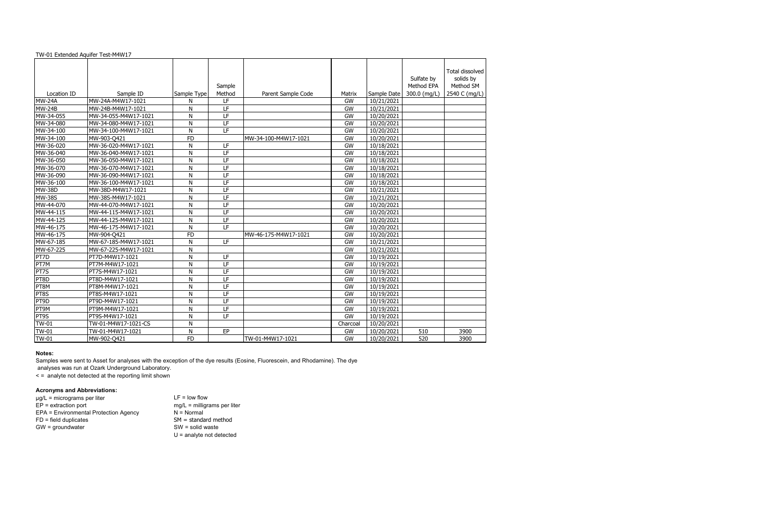|                              |                                |              |                          |                      |              |                          |                          | Total dissolved        |
|------------------------------|--------------------------------|--------------|--------------------------|----------------------|--------------|--------------------------|--------------------------|------------------------|
|                              |                                |              |                          |                      |              |                          | Sulfate by<br>Method EPA | solids by<br>Method SM |
|                              |                                |              | Sample<br>Method         |                      |              |                          |                          | 2540 C (mg/L)          |
| Location ID<br><b>MW-24A</b> | Sample ID<br>MW-24A-M4W17-1021 | Sample Type  | LF                       | Parent Sample Code   | Matrix<br>GW | Sample Date              | 300.0 (mg/L)             |                        |
| $MW-24B$                     | MW-24B-M4W17-1021              | N            | $\overline{LF}$          |                      | GW           | 10/21/2021<br>10/21/2021 |                          |                        |
|                              |                                | $\mathsf{N}$ |                          |                      |              |                          |                          |                        |
| MW-34-055                    | MW-34-055-M4W17-1021           | N            | LF                       |                      | GW           | 10/20/2021               |                          |                        |
| MW-34-080                    | MW-34-080-M4W17-1021           | N            | LF<br>LF                 |                      | GW           | 10/20/2021               |                          |                        |
| MW-34-100                    | MW-34-100-M4W17-1021           | N            |                          |                      | GW           | 10/20/2021               |                          |                        |
| MW-34-100                    | MW-903-Q421                    | <b>FD</b>    |                          | MW-34-100-M4W17-1021 | GW           | 10/20/2021               |                          |                        |
| MW-36-020                    | MW-36-020-M4W17-1021           | N            | LF                       |                      | GW           | 10/18/2021               |                          |                        |
| MW-36-040                    | MW-36-040-M4W17-1021           | $\mathsf{N}$ | $\overline{LF}$          |                      | GW           | 10/18/2021               |                          |                        |
| MW-36-050                    | MW-36-050-M4W17-1021           | $\mathsf{N}$ | $\overline{LF}$          |                      | GW           | 10/18/2021               |                          |                        |
| MW-36-070                    | MW-36-070-M4W17-1021           | $\mathsf{N}$ | $\overline{LF}$          |                      | GW           | 10/18/2021               |                          |                        |
| MW-36-090                    | MW-36-090-M4W17-1021           | $\mathsf{N}$ | IF                       |                      | GW           | 10/18/2021               |                          |                        |
| MW-36-100                    | MW-36-100-M4W17-1021           | $\mathsf{N}$ | LF                       |                      | GW           | 10/18/2021               |                          |                        |
| <b>MW-38D</b>                | MW-38D-M4W17-1021              | N            | $\overline{LF}$          |                      | GW           | 10/21/2021               |                          |                        |
| <b>MW-38S</b>                | MW-38S-M4W17-1021              | N            | LF                       |                      | GW           | 10/21/2021               |                          |                        |
| MW-44-070                    | MW-44-070-M4W17-1021           | $\mathsf{N}$ | $\overline{LF}$          |                      | GW           | 10/20/2021               |                          |                        |
| MW-44-115                    | MW-44-115-M4W17-1021           | N            | LF                       |                      | GW           | 10/20/2021               |                          |                        |
| MW-44-125                    | MW-44-125-M4W17-1021           | $\mathsf{N}$ | LF                       |                      | GW           | 10/20/2021               |                          |                        |
| MW-46-175                    | MW-46-175-M4W17-1021           | $\mathsf{N}$ | LF                       |                      | GW           | 10/20/2021               |                          |                        |
| MW-46-175                    | MW-904-Q421                    | <b>FD</b>    |                          | MW-46-175-M4W17-1021 | GW           | 10/20/2021               |                          |                        |
| MW-67-185                    | MW-67-185-M4W17-1021           | $\mathsf{N}$ | LF                       |                      | GW           | 10/21/2021               |                          |                        |
| MW-67-225                    | MW-67-225-M4W17-1021           | $\mathsf{N}$ |                          |                      | GW           | 10/21/2021               |                          |                        |
| PT7D                         | PT7D-M4W17-1021                | $\mathsf{N}$ | LF                       |                      | GW           | 10/19/2021               |                          |                        |
| PT7M                         | PT7M-M4W17-1021                | N            | $\overline{LF}$          |                      | GW           | 10/19/2021               |                          |                        |
| PT7S                         | PT7S-M4W17-1021                | N            | LF                       |                      | GW           | 10/19/2021               |                          |                        |
| PT8D                         | PT8D-M4W17-1021                | $\mathsf{N}$ | LF                       |                      | GW           | 10/19/2021               |                          |                        |
| PT8M                         | PT8M-M4W17-1021                | $\mathsf{N}$ | $\overline{LF}$          |                      | GW           | 10/19/2021               |                          |                        |
| PT8S                         | PT8S-M4W17-1021                | $\mathsf{N}$ | $\overline{LF}$          |                      | GW           | 10/19/2021               |                          |                        |
| PT9D                         | PT9D-M4W17-1021                | $\mathsf{N}$ | IF                       |                      | GW           | 10/19/2021               |                          |                        |
| PT9M                         | PT9M-M4W17-1021                | $\mathsf{N}$ | $\overline{LF}$          |                      | GW           | 10/19/2021               |                          |                        |
| PT9S                         | PT9S-M4W17-1021                | N            | $\overline{\mathsf{LF}}$ |                      | GW           | 10/19/2021               |                          |                        |
| $\overline{\text{TW}}$ -01   | TW-01-M4W17-1021-CS            | $\mathsf{N}$ |                          |                      | Charcoal     | 10/20/2021               |                          |                        |
| $TW-01$                      | TW-01-M4W17-1021               | N            | EP                       |                      | GW           | 10/20/2021               | 510                      | 3900                   |
| $TW-01$                      | MW-902-Q421                    | <b>FD</b>    |                          | TW-01-M4W17-1021     | GW           | 10/20/2021               | 520                      | 3900                   |

 $LF = low flow$  $mg/L$  = milligrams per liter  $N =$ Normal  $SM =$  standard method  $SW =$  solid waste U = analyte not detected

# **Notes:**

Samples were sent to Asset for analyses with the exception of the dye results (Eosine, Fluorescein, and Rhodamine). The dye

analyses was run at Ozark Underground Laboratory.

< = analyte not detected at the reporting limit shown

## **Acronyms and Abbreviations:**

| $\mu$ g/L = micrograms per liter      |
|---------------------------------------|
| $EP =$ extraction port                |
| EPA = Environmental Protection Agency |
| $FD = field$ duplicates               |
| $GW =$ groundwater                    |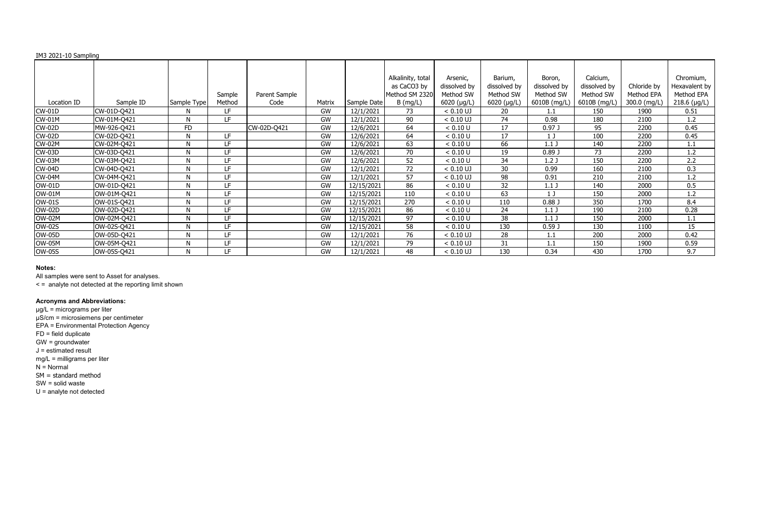# IM3 2021-10 Sampling

|               |             |             | Sample | Parent Sample |           |             | Alkalinity, total<br>as CaCO3 by<br>Method SM 2320 | Arsenic,<br>dissolved by<br>Method SW | Barium,<br>dissolved by<br>Method SW | Boron,<br>dissolved by<br>Method SW | Calcium,<br>dissolved by<br>Method SW | Chloride by<br>Method EPA | Chromium,<br>Hexavalent by<br>Method EPA |
|---------------|-------------|-------------|--------|---------------|-----------|-------------|----------------------------------------------------|---------------------------------------|--------------------------------------|-------------------------------------|---------------------------------------|---------------------------|------------------------------------------|
| Location ID   | Sample ID   | Sample Type | Method | Code          | Matrix    | Sample Date | $B$ (mg/L)                                         | $6020$ ( $\mu$ g/L)                   | 6020 (µg/L)                          | 6010B (mg/L)                        | 6010B (mg/L)                          | 300.0 (mg/L)              | 218.6 (µg/L)                             |
| <b>CW-01D</b> | CW-01D-Q421 | Ν           | LF.    |               | <b>GW</b> | 12/1/2021   | 73                                                 | $< 0.10$ UJ                           | 20                                   | 1.1                                 | 150                                   | 1900                      | 0.51                                     |
| <b>CW-01M</b> | CW-01M-Q421 | N           | LF.    |               | <b>GW</b> | 12/1/2021   | 90                                                 | $< 0.10$ UJ                           | 74                                   | 0.98                                | 180                                   | 2100                      | 1.2                                      |
| <b>CW-02D</b> | MW-926-Q421 | FD          |        | CW-02D-Q421   | GW        | 12/6/2021   | 64                                                 | < 0.10 U                              | 17                                   | 0.97 <sub>J</sub>                   | 95                                    | 2200                      | 0.45                                     |
| <b>CW-02D</b> | CW-02D-Q421 | N           | LF.    |               | GW        | 12/6/2021   | 64                                                 | < 0.10 U                              | 17                                   |                                     | 100                                   | 2200                      | 0.45                                     |
| <b>CW-02M</b> | CW-02M-Q421 | N           | LF.    |               | <b>GW</b> | 12/6/2021   | 63                                                 | < 0.10 U                              | 66                                   | 1.1 <sub>J</sub>                    | 140                                   | 2200                      | 1.1                                      |
| <b>CW-03D</b> | CW-03D-Q421 | N           | LF.    |               | <b>GW</b> | 12/6/2021   | 70                                                 | < 0.10 U                              | 19                                   | 0.89J                               | 73                                    | 2200                      | 1.2                                      |
| CW-03M        | CW-03M-Q421 | N           | LF.    |               | GW        | 12/6/2021   | 52                                                 | < 0.10 U                              | 34                                   | 1.2 <sub>J</sub>                    | 150                                   | 2200                      | 2.2                                      |
| <b>CW-04D</b> | CW-04D-Q421 | N           | LF.    |               | GW        | 12/1/2021   | 72                                                 | $< 0.10$ UJ                           | 30                                   | 0.99                                | 160                                   | 2100                      | 0.3                                      |
| <b>CW-04M</b> | CW-04M-Q421 | N           | LF     |               | GW        | 12/1/2021   | 57                                                 | $< 0.10$ UJ                           | 98                                   | 0.91                                | 210                                   | 2100                      | 1.2                                      |
| <b>OW-01D</b> | OW-01D-Q421 | N           | LF.    |               | GW        | 12/15/2021  | 86                                                 | < 0.10 U                              | 32                                   | 1.1 <sub>1</sub>                    | 140                                   | 2000                      | 0.5                                      |
| <b>OW-01M</b> | OW-01M-Q421 | N           | LF.    |               | <b>GW</b> | 12/15/2021  | 110                                                | < 0.10 U                              | 63                                   | 1 J                                 | 150                                   | 2000                      | 1.2                                      |
| <b>OW-01S</b> | OW-01S-Q421 | N           | LF.    |               | <b>GW</b> | 12/15/2021  | 270                                                | < 0.10 U                              | 110                                  | 0.88 <sub>0</sub>                   | 350                                   | 1700                      | 8.4                                      |
| <b>OW-02D</b> | OW-02D-Q421 | N           | LF.    |               | <b>GW</b> | 12/15/2021  | 86                                                 | < 0.10 U                              | 24                                   | 1.1 <sub>1</sub>                    | 190                                   | 2100                      | 0.28                                     |
| <b>OW-02M</b> | OW-02M-Q421 | N           | LF.    |               | <b>GW</b> | 12/15/2021  | 97                                                 | < 0.10 U                              | 38                                   | 1.1 <sub>J</sub>                    | 150                                   | 2000                      | 1.1                                      |
| <b>OW-02S</b> | OW-02S-Q421 | Ν           | LF.    |               | <b>GW</b> | 12/15/2021  | 58                                                 | < 0.10 U                              | 130                                  | 0.59J                               | 130                                   | 1100                      | 15                                       |
| <b>OW-05D</b> | OW-05D-Q421 | N           | LF.    |               | GW        | 12/1/2021   | 76                                                 | $< 0.10$ UJ                           | 28                                   | $1.1\,$                             | 200                                   | 2000                      | 0.42                                     |
| <b>OW-05M</b> | OW-05M-Q421 | N           | LF.    |               | GW        | 12/1/2021   | 79                                                 | $< 0.10$ UJ                           | 31                                   | $1.1\,$                             | 150                                   | 1900                      | 0.59                                     |
| <b>OW-05S</b> | OW-05S-Q421 | N           | LF     |               | GW        | 12/1/2021   | 48                                                 | $< 0.10$ UJ                           | 130                                  | 0.34                                | 430                                   | 1700                      | 9.7                                      |

### **Notes:**

All samples were sent to Asset for analyses.

< = analyte not detected at the reporting limit shown

# **Acronyms and Abbreviations:**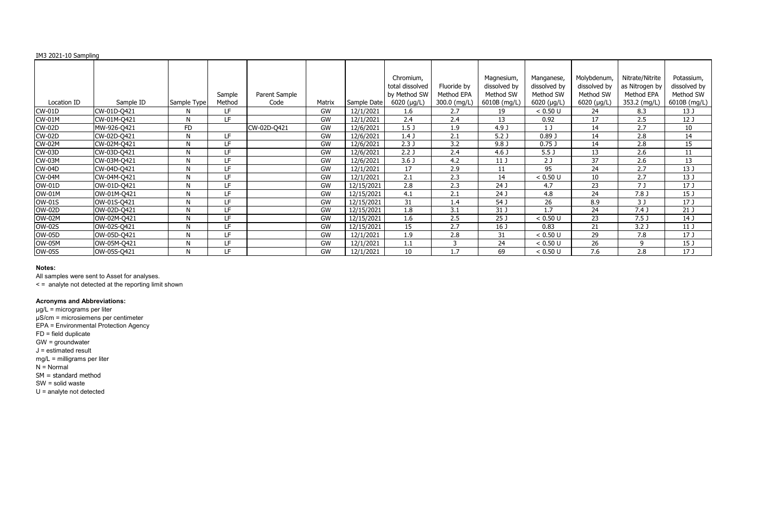# IM3 2021-10 Sampling

|               |             |             |        |               |           |             | Chromium,        |              | Magnesium,       | Manganese,       | Molybdenum,  | Nitrate/Nitrite  | Potassium,      |
|---------------|-------------|-------------|--------|---------------|-----------|-------------|------------------|--------------|------------------|------------------|--------------|------------------|-----------------|
|               |             |             |        |               |           |             | total dissolved  | Fluoride by  | dissolved by     | dissolved by     | dissolved by | as Nitrogen by   | dissolved by    |
|               |             |             | Sample | Parent Sample |           |             | by Method SW     | Method EPA   | Method SW        | Method SW        | Method SW    | Method EPA       | Method SW       |
| Location ID   | Sample ID   | Sample Type | Method | Code          | Matrix    | Sample Date | 6020 (µg/L)      | 300.0 (mg/L) | 6010B (mg/L)     | 6020 (µg/L)      | 6020 (µg/L)  | 353.2 (mg/L)     | 6010B (mg/L)    |
| <b>CW-01D</b> | CW-01D-Q421 | N           | LF.    |               | <b>GW</b> | 12/1/2021   | 1.6              | 2.7          | 19               | < 0.50 U         | 24           | 8.3              | 13 <sub>J</sub> |
| <b>CW-01M</b> | CW-01M-Q421 | N           | LF.    |               | GW        | 12/1/2021   | 2.4              | 2.4          | 13               | 0.92             | 17           | 2.5              | 12 <sub>J</sub> |
| <b>CW-02D</b> | MW-926-Q421 | <b>FD</b>   |        | CW-02D-Q421   | GW        | 12/6/2021   | 1.5 <sub>J</sub> | 1.9          | 4.9 J            | 1 <sub>J</sub>   | 14           | 2.7              | 10              |
| <b>CW-02D</b> | CW-02D-Q421 | N           | LF     |               | GW        | 12/6/2021   | 1.4J             | 2.1          | 5.2 <sub>J</sub> | 0.89J            | 14           | 2.8              | 14              |
| <b>CW-02M</b> | CW-02M-Q421 | N           | LF     |               | GW        | 12/6/2021   | 2.3J             | 3.2          | 9.8 <sub>0</sub> | $0.75$ J         | 14           | 2.8              | 15              |
| <b>CW-03D</b> | CW-03D-Q421 | N           | LF.    |               | <b>GW</b> | 12/6/2021   | 2.2 <sub>J</sub> | 2.4          | 4.6 <sub>J</sub> | 5.5 <sub>J</sub> | 13           | 2.6              | 11              |
| CW-03M        | CW-03M-Q421 | N           | LF.    |               | <b>GW</b> | 12/6/2021   | 3.6 <sub>J</sub> | 4.2          | 11 <sub>J</sub>  | 2 <sub>J</sub>   | 37           | 2.6              | 13              |
| <b>CW-04D</b> | CW-04D-Q421 | N           | LF.    |               | GW        | 12/1/2021   | 17               | 2.9          | 11               | 95               | 24           | 2.7              | 13 J            |
| <b>CW-04M</b> | CW-04M-Q421 | N           | LF.    |               | GW        | 12/1/2021   | 2.1              | 2.3          | 14               | < 0.50 U         | 10           | 2.7              | 13 J            |
| <b>OW-01D</b> | OW-01D-Q421 | N           | LF     |               | <b>GW</b> | 12/15/2021  | 2.8              | 2.3          | 24 J             | 4.7              | 23           | 7 J              | 17 <sub>J</sub> |
| <b>OW-01M</b> | OW-01M-Q421 | N           | LF.    |               | <b>GW</b> | 12/15/2021  | 4.1              | 2.1          | 24 J             | 4.8              | 24           | 7.8 <sub>J</sub> | 15 <sub>J</sub> |
| OW-01S        | OW-01S-Q421 | N           | LF.    |               | GW        | 12/15/2021  | 31               | 1.4          | 54 J             | 26               | 8.9          | 3J               | 17 <sub>J</sub> |
| <b>OW-02D</b> | OW-02D-Q421 | N           | LF     |               | GW        | 12/15/2021  | 1.8              | 3.1          | 31 J             | 1.7              | 24           | 7.4 <sub>J</sub> | 21 <sub>J</sub> |
| <b>OW-02M</b> | OW-02M-Q421 | N           | LF.    |               | GW        | 12/15/2021  | 1.6              | 2.5          | 25 <sub>J</sub>  | < 0.50 U         | 23           | 7.5 <sub>J</sub> | 14 J            |
| <b>OW-02S</b> | OW-02S-Q421 | N           | LF.    |               | GW        | 12/15/2021  | 15               | 2.7          | 16 <sub>J</sub>  | 0.83             | 21           | 3.2 <sub>J</sub> | 11 <sub>J</sub> |
| <b>OW-05D</b> | OW-05D-Q421 | N           | LF.    |               | GW        | 12/1/2021   | 1.9              | 2.8          | 31               | < 0.50 U         | 29           | 7.8              | 17 <sub>J</sub> |
| OW-05M        | OW-05M-Q421 | N           | LF     |               | GW        | 12/1/2021   | 1.1              | 3            | 24               | < 0.50 U         | 26           | 9                | 15 <sub>J</sub> |
| <b>OW-05S</b> | OW-05S-Q421 | N           | LF.    |               | GW        | 12/1/2021   | 10               | 1.7          | 69               | < 0.50 U         | 7.6          | 2.8              | 17 <sub>J</sub> |

### **Notes:**

All samples were sent to Asset for analyses.

< = analyte not detected at the reporting limit shown

# **Acronyms and Abbreviations:**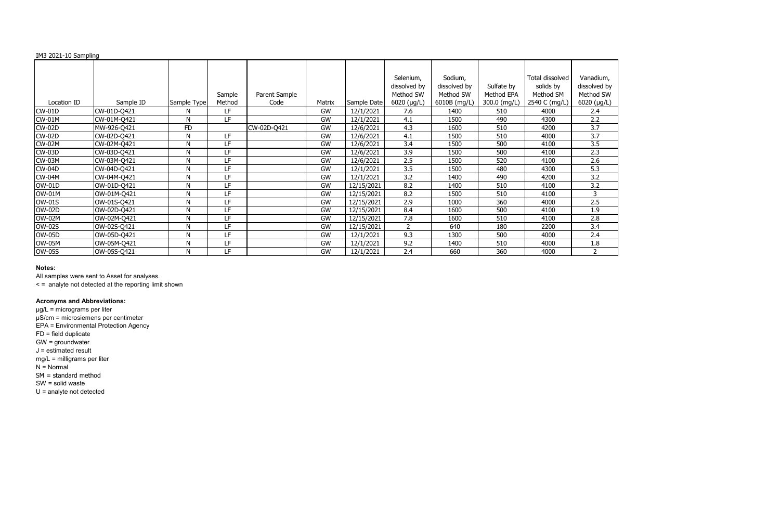## IM3 2021-10 Sampling

| Vanadium,<br>dissolved by<br>Method SW<br>6020 (µg/L)                   |
|-------------------------------------------------------------------------|
|                                                                         |
|                                                                         |
| $\frac{2.4}{2.2}$ $\frac{3.7}{3.5}$ $\frac{3.5}{2.3}$ $\frac{2.3}{2.6}$ |
|                                                                         |
|                                                                         |
|                                                                         |
|                                                                         |
| $\frac{212}{5.3}$<br>$\frac{3.2}{3.2}$                                  |
|                                                                         |
|                                                                         |
| $\mathbf{3}$                                                            |
| $\overline{2.5}$                                                        |
|                                                                         |
|                                                                         |
| $\frac{215}{1.9}$<br>2.8<br>3.4                                         |
| $\overline{2.4}$                                                        |
| $1.\overline{8}$                                                        |
| $\overline{2}$                                                          |

|               |             |              |           |               |           |             | Selenium,    | Sodium,      |              | Total dissolved | Vanadi         |
|---------------|-------------|--------------|-----------|---------------|-----------|-------------|--------------|--------------|--------------|-----------------|----------------|
|               |             |              |           |               |           |             | dissolved by | dissolved by | Sulfate by   | solids by       | dissolve       |
|               |             |              | Sample    | Parent Sample |           |             | Method SW    | Method SW    | Method EPA   | Method SM       | Method         |
| Location ID   | Sample ID   | Sample Type  | Method    | Code          | Matrix    | Sample Date | 6020 (µg/L)  | 6010B (mg/L) | 300.0 (mg/L) | 2540 C (mg/L)   | 6020 $($       |
| $CW-01D$      | CW-01D-Q421 | N            | LF.       |               | GW        | 12/1/2021   | 7.6          | 1400         | 510          | 4000            | 2.4            |
| <b>CW-01M</b> | CW-01M-Q421 | N            | LF        |               | <b>GW</b> | 12/1/2021   | 4.1          | 1500         | 490          | 4300            | 2.2            |
| <b>CW-02D</b> | MW-926-Q421 | <b>FD</b>    |           | CW-02D-Q421   | GW        | 12/6/2021   | 4.3          | 1600         | 510          | 4200            | 3.7            |
| <b>CW-02D</b> | CW-02D-Q421 | N            | LF        |               | GW        | 12/6/2021   | 4.1          | 1500         | 510          | 4000            | 3.7            |
| <b>CW-02M</b> | CW-02M-Q421 | N            | LF        |               | GW        | 12/6/2021   | 3.4          | 1500         | 500          | 4100            | 3.5            |
| CW-03D        | CW-03D-Q421 | N            | LF        |               | GW        | 12/6/2021   | 3.9          | 1500         | 500          | 4100            | 2.3            |
| <b>CW-03M</b> | CW-03M-Q421 | N            | LF        |               | GW        | 12/6/2021   | 2.5          | 1500         | 520          | 4100            | 2.6            |
| <b>CW-04D</b> | CW-04D-Q421 | N            | LF        |               | GW        | 12/1/2021   | 3.5          | 1500         | 480          | 4300            | 5.3            |
| <b>CW-04M</b> | CW-04M-Q421 | N            | LF        |               | GW        | 12/1/2021   | 3.2          | 1400         | 490          | 4200            | 3.2            |
| <b>OW-01D</b> | OW-01D-Q421 | N            | LF        |               | GW        | 12/15/2021  | 8.2          | 1400         | 510          | 4100            | 3.2            |
| OW-01M        | OW-01M-Q421 | N            | LF        |               | <b>GW</b> | 12/15/2021  | 8.2          | 1500         | 510          | 4100            |                |
| <b>OW-01S</b> | OW-01S-Q421 | $\mathsf{N}$ | LF        |               | GW        | 12/15/2021  | 2.9          | 1000         | 360          | 4000            | 2.5            |
| <b>OW-02D</b> | OW-02D-Q421 | N            | LF        |               | GW        | 12/15/2021  | 8.4          | 1600         | 500          | 4100            | 1.9            |
| <b>OW-02M</b> | OW-02M-Q421 | N            | LF        |               | GW        | 12/15/2021  | 7.8          | 1600         | 510          | 4100            | 2.8            |
| <b>OW-02S</b> | OW-02S-Q421 | N            | <b>LF</b> |               | GW        | 12/15/2021  |              | 640          | 180          | 2200            | 3.4            |
| <b>OW-05D</b> | OW-05D-Q421 | N            | LF.       |               | GW        | 12/1/2021   | 9.3          | 1300         | 500          | 4000            | 2.4            |
| <b>OW-05M</b> | OW-05M-Q421 | N            | LF        |               | GW        | 12/1/2021   | 9.2          | 1400         | 510          | 4000            | 1.8            |
| <b>OW-05S</b> | OW-05S-Q421 | N            | LF        |               | GW        | 12/1/2021   | 2.4          | 660          | 360          | 4000            | $\overline{2}$ |

#### **Notes:**

All samples were sent to Asset for analyses.

< = analyte not detected at the reporting limit shown

# **Acronyms and Abbreviations:**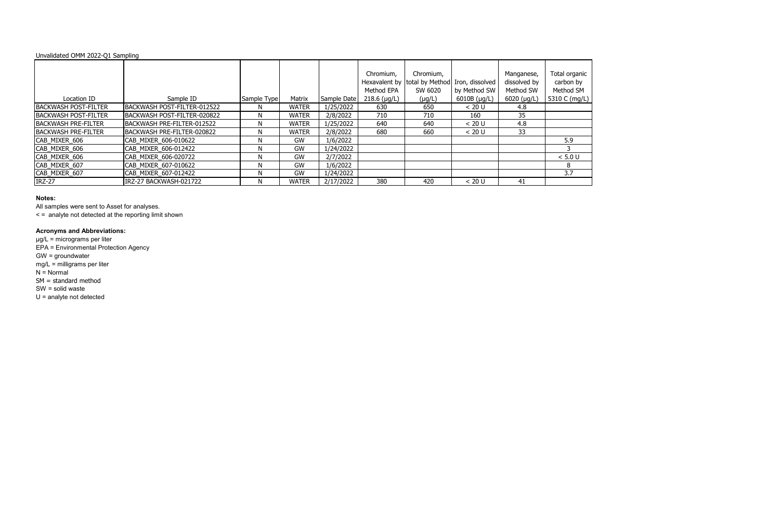

| Unvalidated OMM 2022-Q1 Sampling |                             |             |              |             |                         |                                                                       |              |                                         |                                         |
|----------------------------------|-----------------------------|-------------|--------------|-------------|-------------------------|-----------------------------------------------------------------------|--------------|-----------------------------------------|-----------------------------------------|
|                                  |                             |             |              |             | Chromium,<br>Method EPA | Chromium,<br>Hexavalent by total by Method Iron, dissolved<br>SW 6020 | by Method SW | Manganese,<br>dissolved by<br>Method SW | Total organio<br>carbon by<br>Method SM |
| Location ID                      | Sample ID                   | Sample Type | Matrix       | Sample Date | $218.6$ (µg/L)          | $(\mu g/L)$                                                           | 6010B (µg/L) | $6020$ ( $\mu$ g/L)                     | 5310 C (mg/L                            |
| <b>BACKWASH POST-FILTER</b>      | BACKWASH POST-FILTER-012522 | N.          | <b>WATER</b> | 1/25/2022   | 630                     | 650                                                                   | < 20 U       | 4.8                                     |                                         |
| <b>BACKWASH POST-FILTER</b>      | BACKWASH POST-FILTER-020822 | N.          | <b>WATER</b> | 2/8/2022    | 710                     | 710                                                                   | 160          | 35                                      |                                         |
| <b>BACKWASH PRE-FILTER</b>       | BACKWASH PRE-FILTER-012522  | N.          | <b>WATER</b> | 1/25/2022   | 640                     | 640                                                                   | < 20 U       | 4.8                                     |                                         |
| <b>IBACKWASH PRE-FILTER</b>      | BACKWASH PRE-FILTER-020822  | N           | <b>WATER</b> | 2/8/2022    | 680                     | 660                                                                   | < 20 U       | 33                                      |                                         |
| CAB MIXER 606                    | CAB MIXER 606-010622        | N           | GW           | 1/6/2022    |                         |                                                                       |              |                                         | 5.9                                     |
| CAB_MIXER_606                    | CAB MIXER 606-012422        | N.          | GW           | 1/24/2022   |                         |                                                                       |              |                                         |                                         |
| CAB MIXER 606                    | CAB MIXER 606-020722        | N           | GW           | 2/7/2022    |                         |                                                                       |              |                                         | < 5.0 U                                 |
| CAB_MIXER_607                    | CAB MIXER 607-010622        | N           | GW           | 1/6/2022    |                         |                                                                       |              |                                         | 8                                       |
| CAB_MIXER_607                    | CAB MIXER 607-012422        | N.          | GW           | 1/24/2022   |                         |                                                                       |              |                                         | 3.7                                     |
| <b>IRZ-27</b>                    | IRZ-27 BACKWASH-021722      | N.          | <b>WATER</b> | 2/17/2022   | 380                     | 420                                                                   | < 20 U       | 41                                      |                                         |

All samples were sent to Asset for analyses.

< = analyte not detected at the reporting limit shown

### **Acronyms and Abbreviations:**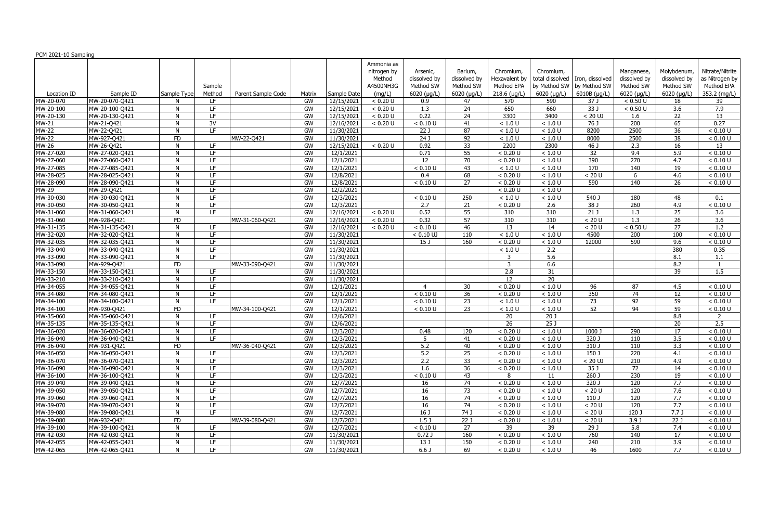|                               |                |              |        |                    |        |                           | Ammonia as  |                              |                     |                  |                  |                                   |                  |                  |                  |
|-------------------------------|----------------|--------------|--------|--------------------|--------|---------------------------|-------------|------------------------------|---------------------|------------------|------------------|-----------------------------------|------------------|------------------|------------------|
|                               |                |              |        |                    |        |                           | nitrogen by | Arsenic,                     | Barium,             | Chromium.        | Chromium,        |                                   | Manganese,       | Molybdenum,      | Nitrate/Nitrite  |
|                               |                |              |        |                    |        |                           | Method      | dissolved by                 | dissolved by        | Hexavalent by    |                  | total dissolved   Iron, dissolved | dissolved by     | dissolved by     | as Nitrogen by   |
|                               |                |              | Sample |                    |        |                           | A4500NH3G   | Method SW                    | Method SW           | Method EPA       |                  | by Method SW   by Method SW       | Method SW        | Method SW        | Method EPA       |
| Location ID                   | Sample ID      | Sample Type  | Method | Parent Sample Code | Matrix | Sample Date               | (mg/L)      | 6020 (µg/L)                  | $6020$ ( $\mu$ g/L) | $218.6$ (µg/L)   | $6020$ (µg/L)    | 6010B (µg/L)                      | 6020 (µg/L)      | 6020 (µg/L)      | 353.2 (mg/L)     |
| MW-20-070                     | MW-20-070-Q421 |              | LF.    |                    | GW     | 12/15/2021                | < 0.20 U    | 0.9                          | 47                  | 570              | 590              | 37 J                              | < 0.50 U         | 18               | 39               |
| $\overline{\text{MW-2}}0-100$ | MW-20-100-Q421 | N            | LF.    |                    | GW     | 12/15/2021                | < 0.20 U    | 1.3                          | 24                  | 650              | 660              | 33J                               | < 0.50 U         | $\overline{3.6}$ | 7.9              |
| MW-20-130                     | MW-20-130-Q421 | N            | LF.    |                    | GW     | 12/15/2021                | < 0.20 U    | 0.22                         | 24                  | 3300             | 3400             | $< 20$ UJ                         | 1.6              | 22               | 13               |
| MW-21                         | MW-21-Q421     | N            | 3V     |                    | GW     | 12/16/2021                | < 0.20 U    | < 0.10 U                     | 41                  | < 1.0 U          | $<1.0$ U         | 76 J                              | $\overline{200}$ | 65               | 0.27             |
| <b>MW-22</b>                  | MW-22-Q421     | N            | LF.    |                    | GW     | 11/30/2021                |             | 22J                          | 87                  | < 1.0 U          | $<1.0$ U         | 8200                              | 2500             | $\overline{36}$  | < 0.10 U         |
| $MW-22$                       | MW-927-Q421    | FD           |        | MW-22-Q421         | GW     | 11/30/2021                |             | $\overline{24J}$             | 92                  | < 1.0 U          | $<1.0$ U         | 8000                              | 2500             | 38               | < 0.10 U         |
| <b>MW-26</b>                  | MW-26-Q421     | N            | LE.    |                    | GW     | 12/15/2021                | < 0.20 U    | 0.92                         | $\overline{33}$     | 2200             | 2300             | $46$ J                            | 2.3              | $\overline{16}$  | 13               |
| MW-27-020                     | MW-27-020-Q421 | N            | LF.    |                    | GW     | 12/1/2021                 |             | 0.71                         | $\overline{55}$     | < 0.20 U         | $<1.0$ U         | 32                                | 9.4              | 5.9              | < 0.10 U         |
| MW-27-060                     | MW-27-060-Q421 | N            | LE.    |                    | GW     | 12/1/2021                 |             | 12                           | 70                  | < 0.20 U         | < 1.0 U          | 390                               | 270              | 4.7              | < 0.10 U         |
| MW-27-085                     | MW-27-085-Q421 | N            | LF.    |                    | GW     | 12/1/2021                 |             | < 0.10 U                     | 43                  | < 1.0 U          | < 1.0 U          | 170                               | 140              | 19               | < 0.10 U         |
| MW-28-025                     | MW-28-025-Q421 | N            | LF.    |                    | GW     | 12/8/2021                 |             | 0.4                          | 68                  | < 0.20 U         | $<1.0$ U         | < 20 U                            | 6                | 4.6              | < 0.10 U         |
| MW-28-090                     | MW-28-090-Q421 | N            | LF.    |                    | GW     | 12/8/2021                 |             | < 0.10 U                     | 27                  | < 0.20 U         | $<1.0$ U         | 590                               | 140              | 26               | < 0.10 U         |
| <b>MW-29</b>                  | MW-29-Q421     | N            | LE.    |                    | GW     | 12/2/2021                 |             |                              |                     | < 0.20 U         | $<1.0$ U         |                                   |                  |                  |                  |
| MW-30-030                     | MW-30-030-Q421 | N            | LF.    |                    | GW     | 12/3/2021                 |             | < 0.10 U                     | 250                 | < 1.0 U          | $<1.0$ U         | 540 J                             | 180              | 48               | 0.1              |
| MW-30-050                     | MW-30-050-Q421 | N            | LE.    |                    | GW     | 12/3/2021                 |             | $\overline{2.7}$             | 21                  | < 0.20 U         | $\overline{2.6}$ | 38J                               | 260              | 4.9              | < 0.10 U         |
| MW-31-060                     | MW-31-060-Q421 | N            | TE.    |                    | GW     | 12/16/2021                | < 0.20 U    | 0.52                         | 55                  | 310              | 310              | 21J                               | 1.3              | 25               | 3.6              |
| MW-31-060                     | MW-928-Q421    | FD           |        | MW-31-060-Q421     | GW     | 12/16/2021                | < 0.20 U    | 0.32                         | 57                  | 310              | 310              | < 20 U                            | $\overline{1.3}$ | 26               | $\overline{3.6}$ |
| MW-31-135                     | MW-31-135-Q421 | N            | LF.    |                    | GW     | 12/16/2021                | < 0.20 U    | < 0.10 U                     | 46                  | 13               | 14               | < 20 U                            | < 0.50 U         | 27               | 1.2              |
| MW-32-020                     | MW-32-020-Q421 | N            | LF.    |                    | GW     | 11/30/2021                |             | $< 0.10$ UJ                  | 110                 | < 1.0 U          | $<1.0$ U         | 4500                              | $\overline{200}$ | 100              | < 0.10 U         |
| MW-32-035                     | MW-32-035-Q421 | N            | LE.    |                    | GW     | 11/30/2021                |             | 15 <sub>1</sub>              | 160                 | < 0.20 U         | $<1.0$ U         | 12000                             | 590              | 9.6              | < 0.10 U         |
| MW-33-040                     | MW-33-040-Q421 | N            | LF.    |                    | GW     | 11/30/2021                |             |                              |                     | < 1.0 U          | 2.2              |                                   |                  | 380              | 0.35             |
| MW-33-090                     | MW-33-090-Q421 | N            | LE.    |                    | GW     | 11/30/2021                |             |                              |                     | 3                | 5.6              |                                   |                  | 8.1              | 1.1              |
| MW-33-090                     | MW-929-Q421    | FD           |        | MW-33-090-Q421     | GW     | 11/30/2021                |             |                              |                     | $\overline{3}$   | 6.6              |                                   |                  | 8.2              | -1               |
| MW-33-150                     | MW-33-150-Q421 | N            | LE.    |                    | GW     | 11/30/2021                |             |                              |                     | $\overline{2.8}$ | 31               |                                   |                  | 39               | 1.5              |
| MW-33-210                     | MW-33-210-Q421 | N            | LE.    |                    | GW     | 11/30/2021                |             |                              |                     | 12               | 20               |                                   |                  |                  |                  |
| MW-34-055                     | MW-34-055-Q421 | N            | LF.    |                    | GW     | 12/1/2021                 |             | $\boldsymbol{\Lambda}$       | 30                  | < 0.20 U         | $<1.0$ U         | 96                                | 87               | 4.5              | < 0.10 U         |
| MW-34-080                     | MW-34-080-Q421 | N            | LF.    |                    | GW     | 12/1/2021                 |             | < 0.10 U                     | 36                  | < 0.20 U         | $<1.0$ U         | 350                               | $\overline{74}$  | $\overline{12}$  | < 0.10 U         |
| MW-34-100                     | MW-34-100-Q421 | N            | LF.    |                    | GW     | 12/1/2021                 |             | < 0.10 U                     | 23                  | < 1.0 U          | $<1.0$ U         | 73                                | $\overline{92}$  | 59               | < 0.10 U         |
| $MW-34-100$                   | MW-930-Q421    | FD           |        | MW-34-100-Q421     | GW     | 12/1/2021                 |             | $< 0.10 \overline{\text{U}}$ | 23                  | < 1.0 U          | $<1.0$ U         | $\overline{52}$                   | 94               | 59               | < 0.10 U         |
| MW-35-060                     | MW-35-060-Q421 | N            | LE.    |                    | GW     | 12/6/2021                 |             |                              |                     | 20               | $\overline{20J}$ |                                   |                  | 8.8              | $\overline{2}$   |
| MW-35-135                     | MW-35-135-Q421 | N            | LE.    |                    | GW     | 12/6/2021                 |             |                              |                     | $\overline{26}$  | 25J              |                                   |                  | 20               | 2.5              |
| MW-36-020                     | MW-36-020-Q421 | <b>N</b>     | LE.    |                    | GW     | 12/3/2021                 |             | 0.48                         | 120                 | < 0.20 U         | $<1.0$ U         | 1000                              | 290              | 17               | < 0.10 U         |
| MW-36-040                     | MW-36-040-Q421 | N            | LE.    |                    | GW     | 12/3/2021                 |             | -5                           | 41                  | < 0.20 U         | < 1.0 U          | 320 J                             | 110              | 3.5              | < 0.10 U         |
| MW-36-040                     | MW-931-Q421    | FD           |        | MW-36-040-Q421     | GW     | 12/3/2021                 |             | 5.2                          | 40                  | < 0.20 U         | < 1.0 U          | 310J                              | 110              | 3.3              | < 0.10 U         |
| MW-36-050                     | MW-36-050-Q421 | N            | LF.    |                    | GW     | 12/3/2021                 |             | 5.2                          | 25                  | < 0.20 U         | < 1.0 U          | 150 J                             | 220              | 4.1              | < 0.10 U         |
| MW-36-070                     | MW-36-070-Q421 | $\mathsf{N}$ | LF.    |                    | GW     | 12/3/2021                 |             | 2.2                          | 33                  | < 0.20 U         | $<1.0$ U         | $< 20$ UJ                         | 210              | 4.9              | < 0.10 U         |
| MW-36-090                     | MW-36-090-Q421 | N            | LF.    |                    | GW     | 12/3/2021                 |             | 1.6                          | 36                  | < 0.20 U         | < 1.0 U          | 35 J                              | 72               | 14               | < 0.10 U         |
| MW-36-100                     | MW-36-100-Q421 | $\mathsf{N}$ | LF.    |                    | GW     | 12/3/2021                 |             | < 0.10 U                     | 43                  | 8                | 11               | $260$ J                           | 230              | 19               | < 0.10 U         |
| MW-39-040                     | MW-39-040-Q421 | N            | LF.    |                    | GW     | 12/7/2021                 |             | 16                           | 74                  | < 0.20 U         | $<1.0$ U         | 320 J                             | 120              | 7.7              | < 0.10 U         |
| MW-39-050                     | MW-39-050-Q421 | N            | LF.    |                    | GW     | 12/7/2021                 |             | 16                           | 73                  | < 0.20 U         | $<1.0$ U         | < 20 U                            | 120              | 7.6              | < 0.10 U         |
| MW-39-060                     | MW-39-060-Q421 | N            | LF.    |                    | GW     | 12/7/2021                 |             | 16                           | 74                  | < 0.20 U         | < 1.0 U          | 110J                              | 120              | 7.7              | < 0.10 U         |
| MW-39-070                     | MW-39-070-Q421 | N            | LF.    |                    | GW     | 12/7/2021                 |             | 16                           | 74                  | < 0.20 U         | < 1.0 U          | < 20 U                            | 120              | 7.7              | < 0.10 U         |
| MW-39-080                     | MW-39-080-Q421 | N            | LF.    |                    | GW     | 12/7/2021                 |             | 16 <sub>1</sub>              | 74 J                | < 0.20 U         | < 1.0 U          | < 20 U                            | 120 J            | 7.7J             | < 0.10 U         |
| MW-39-080                     | MW-932-Q421    | FD.          |        | MW-39-080-Q421     | GW     | 12/7/2021                 |             | 1.5 <sub>J</sub>             | 22J                 | < 0.20 U         | < 1.0 U          | < 20 U                            | 3.9J             | 22 <sub>0</sub>  | < 0.10 U         |
| MW-39-100                     | MW-39-100-Q421 | N            | LF.    |                    | GW     | $\frac{12}{7}{\sqrt{20}}$ |             | < 0.10 U                     | $\overline{27}$     | 39               | $\overline{39}$  | 29J                               | 5.8              | 7.4              | < 0.10 U         |
| MW-42-030                     | MW-42-030-Q421 | N            | LF.    |                    | GW     | 11/30/2021                |             | 0.72J                        | 160                 | < 0.20 U         | < 1.0 U          | 760                               | 140              | 17               | < 0.10 U         |
| MW-42-055                     | MW-42-055-Q421 | N            | LF.    |                    | GW     | 11/30/2021                |             | 13 J                         | 150                 | < 0.20 U         | < 1.0 U          | 240                               | 210              | 3.9              | < 0.10 U         |
| MW-42-065                     | MW-42-065-Q421 | $\mathsf{N}$ | LF.    |                    | GW     | 11/30/2021                |             | 6.6 <sub>J</sub>             | 69                  | < 0.20 U         | < 1.0 U          | 46                                | 1600             | 7.7              | < 0.10 U         |
|                               |                |              |        |                    |        |                           |             |                              |                     |                  |                  |                                   |                  |                  |                  |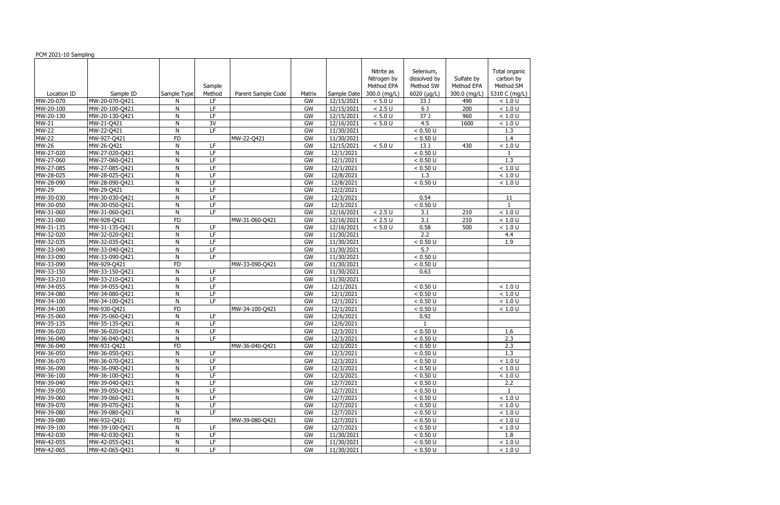| PCM 2021-10 Sampling |                |              |                          |                    |           |             |                                                         |                                                       |                                          |                                                          |
|----------------------|----------------|--------------|--------------------------|--------------------|-----------|-------------|---------------------------------------------------------|-------------------------------------------------------|------------------------------------------|----------------------------------------------------------|
| Location ID          | Sample ID      | Sample Type  | Sample<br>Method         | Parent Sample Code | Matrix    | Sample Date | Nitrite as<br>Nitrogen by<br>Method EPA<br>300.0 (mg/L) | Selenium,<br>dissolved by<br>Method SW<br>6020 (µg/L) | Sulfate by<br>Method EPA<br>300.0 (mg/L) | Total organic<br>carbon by<br>Method SM<br>5310 C (mg/L) |
| MW-20-070            | MW-20-070-Q421 | N            | LF                       |                    | GW        | 12/15/2021  | < 5.0 U                                                 | 33 J                                                  | 490                                      | < 1.0 U                                                  |
| MW-20-100            | MW-20-100-Q421 | N            | LF                       |                    | GW        | 12/15/2021  | $< 2.5 U$                                               | 6 J                                                   | 200                                      | < 1.0 U                                                  |
| MW-20-130            | MW-20-130-Q421 | $\mathsf{N}$ | LF                       |                    | GW        | 12/15/2021  | < 5.0 U                                                 | 37 J                                                  | 960                                      | < 1.0 U                                                  |
| MW-21                | MW-21-Q421     | $\mathsf{N}$ | 3V                       |                    | GW        | 12/16/2021  | < 5.0 U                                                 | 4.5                                                   | 1600                                     | < 1.0 U                                                  |
| <b>MW-22</b>         | MW-22-Q421     | $\mathsf{N}$ | LF                       |                    | GW        | 11/30/2021  |                                                         | < 0.50 U                                              |                                          | 1.3                                                      |
| <b>MW-22</b>         | MW-927-Q421    | <b>FD</b>    |                          | MW-22-Q421         | <b>GW</b> | 11/30/2021  |                                                         | < 0.50 U                                              |                                          | 1.4                                                      |
| <b>MW-26</b>         | MW-26-Q421     | $\mathsf{N}$ | $\overline{LF}$          |                    | GW        | 12/15/2021  | < 5.0 U                                                 | 13 J                                                  | 430                                      | < 1.0 U                                                  |
| MW-27-020            | MW-27-020-Q421 | $\mathsf{N}$ | $\overline{\mathsf{LF}}$ |                    | GW        | 12/1/2021   |                                                         | < 0.50 U                                              |                                          |                                                          |
| MW-27-060            | MW-27-060-Q421 | N            | E                        |                    | GW        | 12/1/2021   |                                                         | < 0.50 U                                              |                                          | $\overline{1.3}$                                         |
| MW-27-085            | MW-27-085-Q421 | $\mathsf{N}$ | LF                       |                    | GW        | 12/1/2021   |                                                         | < 0.50 U                                              |                                          | < 1.0 U                                                  |
| MW-28-025            | MW-28-025-Q421 | N            | E                        |                    | GW        | 12/8/2021   |                                                         | 1.3                                                   |                                          | < 1.0 U                                                  |
| MW-28-090            | MW-28-090-Q421 | N            | E                        |                    | GW        | 12/8/2021   |                                                         | < 0.50 U                                              |                                          | < 1.0 U                                                  |
| <b>MW-29</b>         | MW-29-Q421     | $\mathsf{N}$ | $\overline{LF}$          |                    | GW        | 12/2/2021   |                                                         |                                                       |                                          |                                                          |
| MW-30-030            | MW-30-030-Q421 | $\mathsf{N}$ | $\overline{LF}$          |                    | GW        | 12/3/2021   |                                                         | 0.54                                                  |                                          | 11                                                       |
| MW-30-050            | MW-30-050-Q421 | ${\sf N}$    | LF                       |                    | GW        | 12/3/2021   |                                                         | < 0.50 U                                              |                                          | $\mathbf{1}$                                             |
| MW-31-060            | MW-31-060-Q421 | N            | LF                       |                    | GW        | 12/16/2021  | < 2.5 U                                                 | 3.1                                                   | 210                                      | < 1.0 U                                                  |
| MW-31-060            | MW-928-Q421    | <b>FD</b>    |                          | MW-31-060-Q421     | GW        | 12/16/2021  | < 2.5 U                                                 | 3.1                                                   | 210                                      | < 1.0 U                                                  |
| MW-31-135            | MW-31-135-Q421 | $\mathsf{N}$ | LF.                      |                    | GW        | 12/16/2021  | < 5.0 U                                                 | 0.58                                                  | 500                                      | < 1.0 U                                                  |
| MW-32-020            | MW-32-020-Q421 | N            | LF                       |                    | GW        | 11/30/2021  |                                                         | 2.2                                                   |                                          | 4.4                                                      |
| MW-32-035            | MW-32-035-Q421 | $\mathsf{N}$ | LF                       |                    | GW        | 11/30/2021  |                                                         | < 0.50 U                                              |                                          | 1.9                                                      |
| MW-33-040            | MW-33-040-Q421 | $\mathsf{N}$ | LF                       |                    | GW        | 11/30/2021  |                                                         | 5.7                                                   |                                          |                                                          |
| MW-33-090            | MW-33-090-Q421 | $\mathsf{N}$ | LF                       |                    | GW        | 11/30/2021  |                                                         | < 0.50 U                                              |                                          |                                                          |
| MW-33-090            | MW-929-Q421    | <b>FD</b>    |                          | MW-33-090-Q421     | GW        | 11/30/2021  |                                                         | < 0.50 U                                              |                                          |                                                          |
| MW-33-150            | MW-33-150-Q421 | $\mathsf{N}$ | LF                       |                    | GW        | 11/30/2021  |                                                         | 0.63                                                  |                                          |                                                          |
| MW-33-210            | MW-33-210-Q421 | $\mathsf{N}$ | E                        |                    | GW        | 11/30/2021  |                                                         |                                                       |                                          |                                                          |
| MW-34-055            | MW-34-055-Q421 | N            | E                        |                    | GW        | 12/1/2021   |                                                         | < 0.50 U                                              |                                          | < 1.0 U                                                  |
| MW-34-080            | MW-34-080-Q421 | $\mathsf{N}$ | LF                       |                    | GW        | 12/1/2021   |                                                         | < 0.50 U                                              |                                          | < 1.0 U                                                  |
| MW-34-100            | MW-34-100-Q421 | N            | $\overline{LF}$          |                    | GW        | 12/1/2021   |                                                         | < 0.50 U                                              |                                          | < 1.0 U                                                  |
| MW-34-100            | MW-930-Q421    | FD           |                          | MW-34-100-Q421     | GW        | 12/1/2021   |                                                         | < 0.50 U                                              |                                          | < 1.0 U                                                  |
| MW-35-060            | MW-35-060-Q421 | $\mathsf{N}$ | LF                       |                    | GW        | 12/6/2021   |                                                         | 0.92                                                  |                                          |                                                          |
| MW-35-135            | MW-35-135-Q421 | $\mathsf{N}$ | $\overline{LF}$          |                    | GW        | 12/6/2021   |                                                         |                                                       |                                          |                                                          |
| MW-36-020            | MW-36-020-Q421 | ${\sf N}$    | LF.                      |                    | GW        | 12/3/2021   |                                                         | < 0.50 U                                              |                                          | 1.6                                                      |
| MW-36-040            | MW-36-040-Q421 | N            | LF                       |                    | GW        | 12/3/2021   |                                                         | < 0.50 U                                              |                                          | 2.3                                                      |
| MW-36-040            | MW-931-Q421    | <b>FD</b>    |                          | MW-36-040-Q421     | GW        | 12/3/2021   |                                                         | < 0.50 U                                              |                                          | 2.3                                                      |
| MW-36-050            | MW-36-050-Q421 | N            | LF.                      |                    | GW        | 12/3/2021   |                                                         | < 0.50 U                                              |                                          | 1.3                                                      |
| MW-36-070            | MW-36-070-Q421 | N            | LF                       |                    | GW        | 12/3/2021   |                                                         | < 0.50 U                                              |                                          | < 1.0 U                                                  |
| MW-36-090            | MW-36-090-Q421 | $\mathsf{N}$ | LF                       |                    | GW        | 12/3/2021   |                                                         | < 0.50 U                                              |                                          | < 1.0 U                                                  |
| MW-36-100            | MW-36-100-Q421 | ${\sf N}$    | LF                       |                    | GW        | 12/3/2021   |                                                         | < 0.50 U                                              |                                          | < 1.0 U                                                  |
| MW-39-040            | MW-39-040-Q421 | $\mathsf{N}$ | $\overline{LF}$          |                    | <b>GW</b> | 12/7/2021   |                                                         | < 0.50 U                                              |                                          | 2.2                                                      |
| MW-39-050            | MW-39-050-Q421 | ${\sf N}$    | LF                       |                    | GW        | 12/7/2021   |                                                         | < 0.50 U                                              |                                          |                                                          |
| MW-39-060            | MW-39-060-Q421 | ${\sf N}$    | LF                       |                    | GW        | 12/7/2021   |                                                         | < 0.50 U                                              |                                          | < 1.0 U                                                  |
| MW-39-070            | MW-39-070-Q421 | ${\sf N}$    | LF                       |                    | GW        | 12/7/2021   |                                                         | < 0.50 U                                              |                                          | $<1.0$ U                                                 |
| MW-39-080            | MW-39-080-Q421 | $\mathsf{N}$ | $\overline{\mathsf{LF}}$ |                    | GW        | 12/7/2021   |                                                         | < 0.50 U                                              |                                          | $<1.0$ U                                                 |
| MW-39-080            | MW-932-Q421    | <b>FD</b>    |                          | MW-39-080-Q421     | GW        | 12/7/2021   |                                                         | < 0.50 U                                              |                                          | $<1.0$ U                                                 |
| MW-39-100            | MW-39-100-Q421 | N            | LF                       |                    | GW        | 12/7/2021   |                                                         | < 0.50 U                                              |                                          | $<1.0$ U                                                 |
| MW-42-030            | MW-42-030-Q421 | ${\sf N}$    | LF                       |                    | GW        | 11/30/2021  |                                                         | < 0.50 U                                              |                                          | 1.8                                                      |
| MW-42-055            | MW-42-055-Q421 | N            | LF                       |                    | GW        | 11/30/2021  |                                                         | < 0.50 U                                              |                                          | $<1.0$ U                                                 |
| MW-42-065            | MW-42-065-Q421 | N            | LF                       |                    | GW        | 11/30/2021  |                                                         | < 0.50 U                                              |                                          | < 1.0 U                                                  |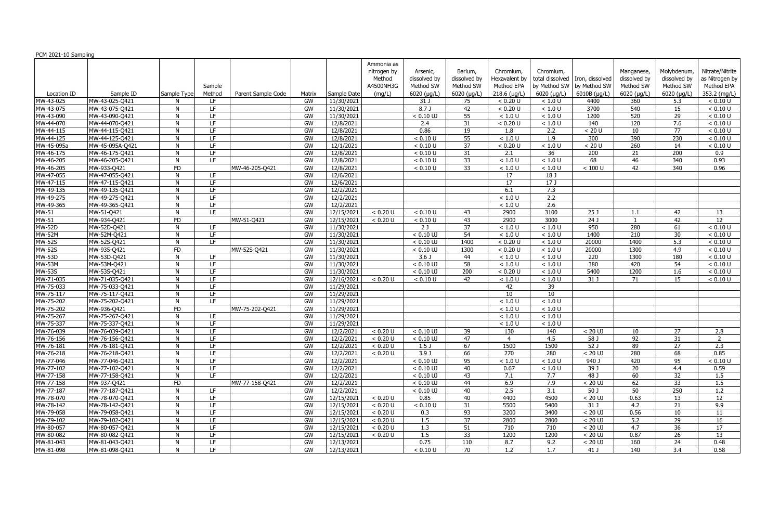|                     |                 |             |                          |                    |        |             | Ammonia as  |                     |                     |                  |                             |                                   |                  |                     |                 |
|---------------------|-----------------|-------------|--------------------------|--------------------|--------|-------------|-------------|---------------------|---------------------|------------------|-----------------------------|-----------------------------------|------------------|---------------------|-----------------|
|                     |                 |             |                          |                    |        |             | nitrogen by | Arsenic,            | Barium,             | Chromium,        | Chromium,                   |                                   | Manganese,       | Molybdenum,         | Nitrate/Nitrite |
|                     |                 |             |                          |                    |        |             | Method      | dissolved by        | dissolved by        | Hexavalent by    |                             | total dissolved   Iron, dissolved | dissolved by     | dissolved by        | as Nitrogen by  |
|                     |                 |             | Sample                   |                    |        |             | A4500NH3G   | Method SW           | Method SW           | Method EPA       | by Method SW   by Method SW |                                   | Method SW        | Method SW           | Method EPA      |
| Location ID         | Sample ID       | Sample Type | Method                   | Parent Sample Code | Matrix | Sample Date | (mg/L)      | 6020 (µg/L)         | $6020$ ( $\mu$ g/L) | $218.6$ (µg/L)   | $6020$ ( $\mu$ g/L)         | 6010B (µg/L)                      | 6020 (µg/L)      | $6020$ ( $\mu$ g/L) | 353.2 (mg/L)    |
| MW-43-025           | MW-43-025-Q421  |             | LF.                      |                    | GW     | 11/30/2021  |             | 31 J                | 75                  | < 0.20 U         | < 1.0 U                     | 4400                              | 360              | 5.3                 | < 0.10 U        |
| MW-43-075           | MW-43-075-Q421  | N           | LF.                      |                    | GW     | 11/30/2021  |             | 8.7 <sub>0</sub>    | 42                  | < 0.20 U         | < 1.0 U                     | 3700                              | 540              | 15                  | < 0.10 U        |
| MW-43-090           | MW-43-090-Q421  | N           | LF.                      |                    | GW     | 11/30/2021  |             | $< 0.10 \text{ UJ}$ | 55                  | < 1.0 U          | < 1.0 U                     | 1200                              | 520              | 29                  | < 0.10 U        |
| MW-44-070           | MW-44-070-Q421  | N           | LF.                      |                    | GW     | 12/8/2021   |             | 2.4                 | 31                  | < 0.20 U         | < 1.0 U                     | 140                               | 120              | 7.6                 | < 0.10 U        |
| MW-44-115           | MW-44-115-Q421  | N           | LF.                      |                    | GW     | 12/8/2021   |             | 0.86                | 19                  | 1.8              | 2.2                         | < 20 U                            | 10               | 77                  | < 0.10 U        |
| MW-44-125           | MW-44-125-Q421  | N           | LF.                      |                    | GW     | 12/8/2021   |             | < 0.10 U            | 55                  | < 1.0 U          | 1.9                         | 300                               | 390              | 230                 | < 0.10 U        |
| MW-45-095a          | MW-45-095A-Q421 | N           | LF.                      |                    | GW     | 12/1/2021   |             | < 0.10 U            | $\overline{37}$     | < 0.20 U         | $<1.0$ U                    | < 20 U                            | 260              | 14                  | < 0.10 U        |
| MW-46-175           | MW-46-175-Q421  | N           | LF.                      |                    | GW     | 12/8/2021   |             | < 0.10 U            | 31                  | 2.1              | 36                          | $\overline{200}$                  | 21               | $\overline{200}$    | 0.9             |
| MW-46-205           | MW-46-205-Q421  | N           | LF.                      |                    | GW     | 12/8/2021   |             | < 0.10 U            | 33                  | < 1.0 U          | < 1.0 U                     | 68                                | 46               | 340                 | 0.93            |
| MW-46-205           | MW-933-Q421     | <b>FD</b>   |                          | MW-46-205-Q421     | GW     | 12/8/2021   |             | < 0.10 U            | $\overline{33}$     | < 1.0 U          | < 1.0 U                     | < 100 U                           | 42               | 340                 | 0.96            |
| MW-47-055           | MW-47-055-Q421  | N           | LF.                      |                    | GW     | 12/6/2021   |             |                     |                     | 17               | 18J                         |                                   |                  |                     |                 |
| MW-47-115           | MW-47-115-Q421  | N           | LF.                      |                    | GW     | 12/6/2021   |             |                     |                     | $\overline{17}$  | 17J                         |                                   |                  |                     |                 |
| MW-49-135           | MW-49-135-Q421  | N           | LF.                      |                    | GW     | 12/2/2021   |             |                     |                     | 6.1              | 7.3                         |                                   |                  |                     |                 |
| MW-49-275           | MW-49-275-Q421  | N           | LF.                      |                    | GW     | 12/2/2021   |             |                     |                     | < 1.0 U          | 2.2                         |                                   |                  |                     |                 |
| MW-49-365           | MW-49-365-Q421  | N           | LF.                      |                    | GW     | 12/2/2021   |             |                     |                     | < 1.0 U          | 2.6                         |                                   |                  |                     |                 |
| MW-51               | MW-51-Q421      | N           | LF.                      |                    | GW     | 12/15/2021  | < 0.20 U    | < 0.10 U            | 43                  | 2900             | 3100                        | 25 J                              | 1.1              | 42                  | 13              |
| <b>MW-51</b>        | MW-934-Q421     | <b>FD</b>   |                          | MW-51-Q421         | GW     | 12/15/2021  | < 0.20 U    | < 0.10 U            | 43                  | 2900             | 3000                        | $\overline{24J}$                  |                  | 42                  | 12              |
| $\overline{MW-52D}$ | MW-52D-Q421     | N           | LF.                      |                    | GW     | 11/30/2021  |             | 2J                  | 37                  | < 1.0 U          | < 1.0 U                     | 950                               | 280              | 61                  | < 0.10 U        |
| $MW-52M$            | MW-52M-Q421     | N           | LF.                      |                    | GW     | 11/30/2021  |             | $< 0.10$ UJ         | $\overline{54}$     | < 1.0 U          | < 1.0 U                     | 1400                              | $\overline{210}$ | $\overline{30}$     | < 0.10 U        |
| <b>MW-52S</b>       | MW-52S-Q421     | N           | LF.                      |                    | GW     | 11/30/2021  |             | $< 0.10$ UJ         | 1400                | < 0.20 U         | < 1.0 U                     | 20000                             | 1400             | 5.3                 | < 0.10 U        |
| $\overline{MW-52S}$ | MW-935-Q421     | <b>FD</b>   |                          | MW-52S-Q421        | GW     | 11/30/2021  |             | $< 0.10$ UJ         | 1300                | < 0.20 U         | < 1.0 U                     | 20000                             | 1300             | 4.9                 | < 0.10 U        |
| <b>MW-53D</b>       | MW-53D-Q421     | N           | LF.                      |                    | GW     | 11/30/2021  |             | 3.6 <sub>J</sub>    | 44                  | < 1.0 U          | < 1.0 U                     | 220                               | 1300             | 180                 | < 0.10 U        |
| <b>MW-53M</b>       | MW-53M-Q421     | N           | LF.                      |                    | GW     | 11/30/2021  |             | $< 0.10$ UJ         | 58                  | < 1.0 U          | < 1.0 U                     | 380                               | 420              | 54                  | < 0.10 U        |
| <b>MW-53S</b>       | MW-53S-Q421     | N           | LF.                      |                    | GW     | 11/30/2021  |             | $< 0.10$ UJ         | $\overline{200}$    | < 0.20 U         | < 1.0 U                     | 5400                              | 1200             | 1.6                 | < 0.10 U        |
| MW-71-035           | MW-71-035-Q421  | N           | LF.                      |                    | GW     | 12/16/2021  | < 0.20 U    | < 0.10 U            | 42                  | < 1.0 U          | < 1.0 U                     | 31 J                              | 71               | 15                  | < 0.10 U        |
| MW-75-033           | MW-75-033-Q421  | N           | LF.                      |                    | GW     | 11/29/2021  |             |                     |                     | 42               | 39                          |                                   |                  |                     |                 |
| MW-75-117           | MW-75-117-Q421  | N           | LF.                      |                    | GW     | 11/29/2021  |             |                     |                     | 10               | 10                          |                                   |                  |                     |                 |
|                     |                 | N           | $\overline{\mathsf{LF}}$ |                    | GW     | 11/29/2021  |             |                     |                     | < 1.0 U          | < 1.0 U                     |                                   |                  |                     |                 |
| MW-75-202           | MW-75-202-Q421  |             |                          |                    |        |             |             |                     |                     |                  |                             |                                   |                  |                     |                 |
| MW-75-202           | MW-936-Q421     | <b>FD</b>   |                          | MW-75-202-Q421     | GW     | 11/29/2021  |             |                     |                     | < 1.0 U          | < 1.0 U                     |                                   |                  |                     |                 |
| MW-75-267           | MW-75-267-Q421  | N           | LF.                      |                    | GW     | 11/29/2021  |             |                     |                     | < 1.0 U          | < 1.0 U                     |                                   |                  |                     |                 |
| MW-75-337           | MW-75-337-Q421  | N           | LF.                      |                    | GW     | 11/29/2021  |             |                     |                     | $<1.0$ U         | < 1.0 U                     |                                   |                  |                     |                 |
| MW-76-039           | MW-76-039-Q421  | N           | LF.                      |                    | GW     | 12/2/2021   | < 0.20 U    | $< 0.10$ UJ         | 39                  | 130              | 140                         | $< 20$ UJ                         | 10               | 27                  | 2.8             |
| MW-76-156           | MW-76-156-Q421  | N           | LF.                      |                    | GW     | 12/2/2021   | < 0.20 U    | $< 0.10$ UJ         | 47                  | $\overline{4}$   | 4.5                         | 58 J                              | 92               | 31                  | $\overline{z}$  |
| MW-76-181           | MW-76-181-Q421  | N           | LF.                      |                    | GW     | 12/2/2021   | < 0.20 U    | 1.5 <sub>J</sub>    | 67                  | 1500             | 1500                        | 52 J                              | 89               | 27                  | 2.3             |
| MW-76-218           | MW-76-218-Q421  | N           | LF                       |                    | GW     | 12/2/2021   | < 0.20 U    | 3.9J                | 66                  | 270              | 280                         | $< 20$ UJ                         | 280              | 68                  | 0.85            |
| MW-77-046           | MW-77-046-Q421  | N           | LF.                      |                    | GW     | 12/2/2021   |             | $< 0.10$ UJ         | 95                  | < 1.0 U          | $<1.0$ U                    | 940 J                             | 420              | 95                  | < 0.10 U        |
| MW-77-102           | MW-77-102-Q421  | N           | LF                       |                    | GW     | 12/2/2021   |             | $< 0.10$ UJ         | 40                  | 0.67             | < 1.0 U                     | 39 J                              | 20               | 4.4                 | 0.59            |
| MW-77-158           | MW-77-158-Q421  | N           | LF.                      |                    | GW     | 12/2/2021   |             | $< 0.10$ UJ         | 43                  | 7.1              | 7.7                         | 48 J                              | 60               | 32                  | 1.5             |
| MW-77-158           | MW-937-Q421     | <b>FD</b>   |                          | MW-77-158-Q421     | GW     | 12/2/2021   |             | $< 0.10$ UJ         | 44                  | 6.9              | 7.9                         | $< 20$ UJ                         | 62               | 33                  | 1.5             |
| MW-77-187           | MW-77-187-Q421  | N           | LF.                      |                    | GW     | 12/2/2021   |             | $< 0.10$ UJ         | 40                  | $\overline{2.5}$ | 3.1                         | 50 J                              | 50               | 250                 | 1.2             |
| MW-78-070           | MW-78-070-Q421  | N           | LF.                      |                    | GW     | 12/15/2021  | < 0.20 U    | 0.85                | 40                  | 4400             | 4500                        | $< 20$ UJ                         | 0.63             | 13                  | 12              |
| MW-78-142           | MW-78-142-Q421  | N           | LF.                      |                    | GW     | 12/15/2021  | < 0.20 U    | < 0.10 U            | 31                  | 5500             | 5400                        | 31 J                              | 4.2              | 21                  | 9.9             |
| MW-79-058           | MW-79-058-Q421  | N           | LF.                      |                    | GW     | 12/15/2021  | < 0.20 U    | 0.3                 | 93                  | 3200             | 3400                        | $< 20$ UJ                         | 0.56             | 10 <sup>°</sup>     | 11              |
| MW-79-102           | MW-79-102-Q421  |             | LF                       |                    | GW     | 12/15/2021  | < 0.20 U    | 1.5                 | 37                  | 2800             | 2800                        | $< 20$ UJ                         | 5.2              | 29                  | 16              |
| MW-80-057           | MW-80-057-Q421  | N           | $\overline{LF}$          |                    | GW     | 12/15/2021  | < 0.20 U    | 1.3                 | 51                  | 710              | 710                         | $< 20$ UJ                         | $-4.7$           | 36                  | 17              |
| MW-80-082           | MW-80-082-Q421  | N           | LF                       |                    | GW     | 12/15/2021  | < 0.20 U    | 1.5                 | 33                  | 1200             | 1200                        | $< 20$ UJ                         | 0.87             | 26                  | 13              |
| MW-81-043           | MW-81-043-Q421  | N           | LF                       |                    | GW     | 12/13/2021  |             | 0.75                | 110                 | 8.7              | 9.2                         | $< 20$ UJ                         | 160              | 24                  | 0.48            |
| MW-81-098           | MW-81-098-Q421  | N           | LF.                      |                    | GW     | 12/13/2021  |             | < 0.10 U            | 70                  | 1.2              | $\overline{1.7}$            | 41 J                              | 140              | 3.4                 | 0.58            |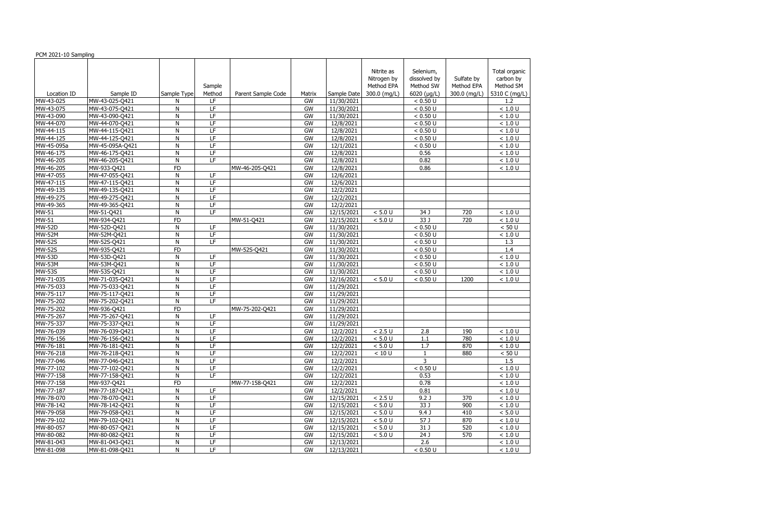| PCM 2021-10 Sampling |                 |                 |                 |                    |                 |             |                                         |                                        |                          |                                         |
|----------------------|-----------------|-----------------|-----------------|--------------------|-----------------|-------------|-----------------------------------------|----------------------------------------|--------------------------|-----------------------------------------|
|                      |                 |                 | Sample          |                    |                 |             | Nitrite as<br>Nitrogen by<br>Method EPA | Selenium,<br>dissolved by<br>Method SW | Sulfate by<br>Method EPA | Total organic<br>carbon by<br>Method SM |
| Location ID          | Sample ID       | Sample Type     | Method          | Parent Sample Code | Matrix          | Sample Date | 300.0 (mg/L)                            | 6020 (µg/L)                            | 300.0 (mg/L)             | 5310 C (mg/L)                           |
| MW-43-025            | MW-43-025-Q421  | N               | LF.             |                    | <b>GW</b>       | 11/30/2021  |                                         | < 0.50 U                               |                          | 1.2                                     |
| MW-43-075            | MW-43-075-Q421  | N               | LF.             |                    | <b>GW</b>       | 11/30/2021  |                                         | < 0.50 U                               |                          | < 1.0 U                                 |
| MW-43-090            | MW-43-090-Q421  | $\mathsf{N}$    | LF              |                    | <b>GW</b>       | 11/30/2021  |                                         | < 0.50 U                               |                          | < 1.0 U                                 |
| MW-44-070            | MW-44-070-Q421  | N               | LF.             |                    | <b>GW</b>       | 12/8/2021   |                                         | < 0.50 U                               |                          | $<1.0$ U                                |
| MW-44-115            | MW-44-115-Q421  | $\mathsf{N}$    | E               |                    | GW              | 12/8/2021   |                                         | < 0.50 U                               |                          | < 1.0 U                                 |
| MW-44-125            | MW-44-125-Q421  | N               | LF.             |                    | GW              | 12/8/2021   |                                         | < 0.50 U                               |                          | $<1.0$ U                                |
| MW-45-095a           | MW-45-095A-Q421 | ${\sf N}$       | $\overline{LF}$ |                    | <b>GW</b>       | 12/1/2021   |                                         | < 0.50 U                               |                          | $<1.0$ U                                |
| MW-46-175            | MW-46-175-Q421  | $\mathsf{N}$    | $\overline{LF}$ |                    | <b>GW</b>       | 12/8/2021   |                                         | 0.56                                   |                          | < 1.0 U                                 |
| MW-46-205            | MW-46-205-Q421  | $\mathsf{N}$    | LF              |                    | $\overline{GW}$ | 12/8/2021   |                                         | 0.82                                   |                          | < 1.0 U                                 |
| MW-46-205            | MW-933-Q421     | $\overline{FD}$ |                 | MW-46-205-Q421     | $\overline{GW}$ | 12/8/2021   |                                         | 0.86                                   |                          | < 1.0 U                                 |
| MW-47-055            | MW-47-055-Q421  | N               | $\overline{LF}$ |                    | <b>GW</b>       | 12/6/2021   |                                         |                                        |                          |                                         |
| MW-47-115            | MW-47-115-Q421  | N               | $\overline{LF}$ |                    | <b>GW</b>       | 12/6/2021   |                                         |                                        |                          |                                         |
| MW-49-135            | MW-49-135-Q421  | N               | LF.             |                    | <b>GW</b>       | 12/2/2021   |                                         |                                        |                          |                                         |
| MW-49-275            | MW-49-275-Q421  | $\mathsf{N}$    | $\overline{LF}$ |                    | GW              | 12/2/2021   |                                         |                                        |                          |                                         |
| MW-49-365            | MW-49-365-Q421  | ${\sf N}$       | LF              |                    | GW              | 12/2/2021   |                                         |                                        |                          |                                         |
| MW-51                | MW-51-Q421      | ${\sf N}$       | LF.             |                    | GW              | 12/15/2021  | < 5.0 U                                 | 34 J                                   | 720                      | < 1.0 U                                 |
| <b>MW-51</b>         | MW-934-Q421     | <b>FD</b>       |                 | MW-51-Q421         | <b>GW</b>       | 12/15/2021  | < 5.0 U                                 | 33 J                                   | 720                      | < 1.0 U                                 |
| <b>MW-52D</b>        | MW-52D-Q421     | $\mathsf{N}$    | LF.             |                    | GW              | 11/30/2021  |                                         | < 0.50 U                               |                          | < 50 U                                  |
| <b>MW-52M</b>        | MW-52M-Q421     | ${\sf N}$       | LF.             |                    | <b>GW</b>       | 11/30/2021  |                                         | < 0.50 U                               |                          | < 1.0 U                                 |
| <b>MW-52S</b>        | MW-52S-Q421     | $\mathsf{N}$    | $\overline{LF}$ |                    | <b>GW</b>       | 11/30/2021  |                                         | < 0.50 U                               |                          | 1.3                                     |
| <b>MW-52S</b>        | MW-935-Q421     | <b>FD</b>       |                 | MW-52S-Q421        | GW              | 11/30/2021  |                                         | < 0.50 U                               |                          | 1.4                                     |
| <b>MW-53D</b>        | MW-53D-Q421     | $\mathsf{N}$    | LF              |                    | <b>GW</b>       | 11/30/2021  |                                         | < 0.50 U                               |                          | < 1.0 U                                 |
| <b>MW-53M</b>        | MW-53M-Q421     | N               | LF              |                    | GW              | 11/30/2021  |                                         | < 0.50 U                               |                          | < 1.0 U                                 |
| <b>MW-53S</b>        | MW-53S-Q421     | ${\sf N}$       | $\overline{LF}$ |                    | <b>GW</b>       | 11/30/2021  |                                         | < 0.50 U                               |                          | < 1.0 U                                 |
| MW-71-035            | MW-71-035-Q421  | ${\sf N}$       | E               |                    | <b>GW</b>       | 12/16/2021  | < 5.0 U                                 | < 0.50 U                               | 1200                     | < 1.0 U                                 |
| MW-75-033            | MW-75-033-Q421  | N               | $\overline{LF}$ |                    | <b>GW</b>       | 11/29/2021  |                                         |                                        |                          |                                         |
| MW-75-117            | MW-75-117-Q421  | $\mathsf{N}$    | LF              |                    | $\overline{GW}$ | 11/29/2021  |                                         |                                        |                          |                                         |
| MW-75-202            | MW-75-202-Q421  | N               | $\overline{LF}$ |                    | <b>GW</b>       | 11/29/2021  |                                         |                                        |                          |                                         |
| MW-75-202            | MW-936-Q421     | $\overline{FD}$ |                 | MW-75-202-Q421     | <b>GW</b>       | 11/29/2021  |                                         |                                        |                          |                                         |
| MW-75-267            | MW-75-267-Q421  | ${\sf N}$       | LF.             |                    | GW              | 11/29/2021  |                                         |                                        |                          |                                         |
| MW-75-337            | MW-75-337-Q421  | $\mathsf{N}$    | $\overline{LF}$ |                    | GW              | 11/29/2021  |                                         |                                        |                          |                                         |
| MW-76-039            | MW-76-039-Q421  | ${\sf N}$       | LF              |                    | GW              | 12/2/2021   | < 2.5 U                                 | 2.8                                    | 190                      | < 1.0 U                                 |
| MW-76-156            | MW-76-156-Q421  | N               | LF              |                    | GW              | 12/2/2021   | < 5.0 U                                 | 1.1                                    | 780                      | < 1.0 U                                 |
| MW-76-181            | MW-76-181-Q421  | N               | LF.             |                    | GW              | 12/2/2021   | $< 5.0 U$                               | 1.7                                    | 870                      | < 1.0 U                                 |
| MW-76-218            | MW-76-218-Q421  | N               | LF              |                    | GW              | 12/2/2021   | < 10 U                                  |                                        | 880                      | < 50 U                                  |
| MW-77-046            | MW-77-046-Q421  | N               | LF              |                    | GW              | 12/2/2021   |                                         | 3                                      |                          | 1.5                                     |
| MW-77-102            | MW-77-102-Q421  | ${\sf N}$       | LF.             |                    | GW              | 12/2/2021   |                                         | < 0.50 U                               |                          | < 1.0 U                                 |
| MW-77-158            | MW-77-158-Q421  | ${\sf N}$       | LF.             |                    | GW              | 12/2/2021   |                                         | 0.53                                   |                          | $<1.0$ U                                |
| MW-77-158            | MW-937-Q421     | <b>FD</b>       |                 | MW-77-158-Q421     | GW              | 12/2/2021   |                                         | 0.78                                   |                          | $<1.0$ U                                |
| MW-77-187            | MW-77-187-Q421  | ${\sf N}$       | LF.             |                    | GW              | 12/2/2021   |                                         | 0.81                                   |                          | $<1.0$ U                                |
| MW-78-070            | MW-78-070-Q421  | ${\sf N}$       | LF.             |                    | GW              | 12/15/2021  | $< 2.5 U$                               | 9.2 <sub>J</sub>                       | 370                      | $<1.0$ U                                |
| MW-78-142            | MW-78-142-Q421  | ${\sf N}$       | LF.             |                    | GW              | 12/15/2021  | < 5.0 U                                 | 33 J                                   | 900                      | $<1.0$ U                                |
| MW-79-058            | MW-79-058-Q421  | ${\sf N}$       | LF              |                    | GW              | 12/15/2021  | $< 5.0 U$                               | 9.4J                                   | 410                      | $< 5.0 U$                               |
| MW-79-102            | MW-79-102-Q421  | ${\sf N}$       | $\overline{LF}$ |                    | GW              | 12/15/2021  | $< 5.0 U$                               | 57 J                                   | 870                      | < 1.0 U                                 |
| MW-80-057            | MW-80-057-Q421  | N               | LF.             |                    | GW              | 12/15/2021  | $< 5.0 U$                               | 31 J                                   | 520                      | $<1.0$ U                                |
| MW-80-082            | MW-80-082-Q421  | ${\sf N}$       | LF.             |                    | GW              | 12/15/2021  | $< 5.0 U$                               | 24 J                                   | 570                      | $<1.0$ U                                |
| MW-81-043            | MW-81-043-Q421  | N               | LF.             |                    | GW              | 12/13/2021  |                                         | 2.6                                    |                          | $<1.0$ U                                |
| MW-81-098            | MW-81-098-Q421  | N               | LF.             |                    | GW              | 12/13/2021  |                                         | < 0.50 U                               |                          | $<1.0$ U                                |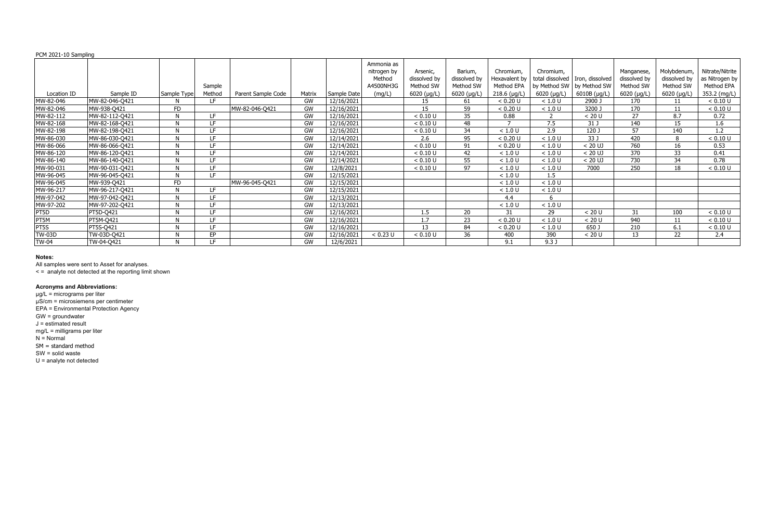|               |                |              |        |                    |           |             | Ammonia as  |               |              |                |                             |                                   |                  |              |                 |
|---------------|----------------|--------------|--------|--------------------|-----------|-------------|-------------|---------------|--------------|----------------|-----------------------------|-----------------------------------|------------------|--------------|-----------------|
|               |                |              |        |                    |           |             | nitrogen by | Arsenic,      | Barium,      | Chromium,      | Chromium,                   |                                   | Manganese,       | Molybdenum,  | Nitrate/Nitrite |
|               |                |              |        |                    |           |             | Method      | dissolved by  | dissolved by | Hexavalent by  |                             | total dissolved   Iron, dissolved | dissolved by     | dissolved by | as Nitrogen by  |
|               |                |              | Sample |                    |           |             | A4500NH3G   | Method SW     | Method SW    | Method EPA     | by Method SW   by Method SW |                                   | Method SW        | Method SW    | Method EPA      |
| Location ID   | Sample ID      | Sample Type  | Method | Parent Sample Code | Matrix    | Sample Date | (mg/L)      | $6020$ (µg/L) | 6020 (µg/L)  | $218.6$ (µg/L) | $6020$ ( $\mu$ g/L)         | 6010B (µg/L)                      | $6020$ (µg/L)    | 6020 (µg/L)  | 353.2 (mg/L)    |
| MW-82-046     | MW-82-046-Q421 |              | I F.   |                    | GW        | 12/16/2021  |             | 15            | 61           | < 0.20 U       | < 1.0 U                     | 2900 J                            | 170              | 11           | < 0.10 U        |
| MW-82-046     | MW-938-Q421    | FD           |        | MW-82-046-Q421     | GW        | 12/16/2021  |             | 15            | 59           | < 0.20 U       | < 1.0 U                     | 3200 J                            | 170              | 11           | < 0.10 U        |
| MW-82-112     | MW-82-112-Q421 |              | LE.    |                    | GW        | 12/16/2021  |             | < 0.10 U      | 35           | 0.88           |                             | < 20 U                            | 27               | 8.7          | 0.72            |
| MW-82-168     | MW-82-168-Q421 |              | LF.    |                    | GW        | 12/16/2021  |             | < 0.10 U      | 48           |                | 7.5                         | 31 J                              | 140              | 15           | 1.6             |
| MW-82-198     | MW-82-198-Q421 |              | IF.    |                    | GW        | 12/16/2021  |             | < 0.10 U      | 34           | < 1.0 U        | 2.9                         | 120 J                             | 57               | 140          | 1.2             |
| MW-86-030     | MW-86-030-Q421 | $\mathbf{N}$ | LF.    |                    | <b>GW</b> | 12/14/2021  |             | 2.6           | 95           | < 0.20 U       | < 1.0 U                     | 33 J                              | 420              | $\Omega$     | < 0.10 U        |
| MW-86-066     | MW-86-066-Q421 |              | LF     |                    | GW        | 12/14/2021  |             | < 0.10 U      | 91           | < 0.20 U       | < 1.0 U                     | $< 20$ UJ                         | 760              | 16           | 0.53            |
| MW-86-120     | MW-86-120-Q421 | $\mathbf{N}$ | LF.    |                    | <b>GW</b> | 12/14/2021  |             | < 0.10 U      | 42           | < 1.0 U        | < 1.0 U                     | $< 20$ UJ                         | $\overline{370}$ | 33           | 0.41            |
| MW-86-140     | MW-86-140-Q421 | $\mathbf{M}$ | LE.    |                    | GW        | 12/14/2021  |             | < 0.10 U      | 55           | < 1.0 U        | < 1.0 U                     | $< 20$ UJ                         | 730              | 34           | 0.78            |
| MW-90-031     | MW-90-031-Q421 |              | I F.   |                    | GW        | 12/8/2021   |             | < 0.10 U      | 97           | < 1.0 U        | < 1.0 U                     | 7000                              | 250              | 18           | < 0.10 U        |
| MW-96-045     | MW-96-045-Q421 |              | LF.    |                    | GW        | 12/15/2021  |             |               |              | < 1.0 U        | 1.5                         |                                   |                  |              |                 |
| MW-96-045     | MW-939-Q421    | FD.          |        | MW-96-045-Q421     | GW        | 12/15/2021  |             |               |              | < 1.0 U        | < 1.0 U                     |                                   |                  |              |                 |
| MW-96-217     | MW-96-217-Q421 |              | LF.    |                    | GW        | 12/15/2021  |             |               |              | < 1.0 U        | < 1.0 U                     |                                   |                  |              |                 |
| MW-97-042     | MW-97-042-Q421 |              | IF.    |                    | GW        | 12/13/2021  |             |               |              | $4.4^{\circ}$  |                             |                                   |                  |              |                 |
| MW-97-202     | MW-97-202-Q421 |              | I F.   |                    | GW        | 12/13/2021  |             |               |              | < 1.0 U        | < 1.0 U                     |                                   |                  |              |                 |
| PT5D          | PT5D-Q421      |              | IF.    |                    | GW        | 12/16/2021  |             | 1.5           | 20           | 31             | 29                          | < 20 U                            | 31               | 100          | < 0.10 U        |
| PT5M          | PT5M-Q421      |              | LE.    |                    | GW        | 12/16/2021  |             | 1.7           | 23           | < 0.20 U       | < 1.0 U                     | < 20 U                            | 940              | 11           | < 0.10 U        |
| PT5S          | PT5S-Q421      |              | IF.    |                    | GW        | 12/16/2021  |             | 13            | 84           | < 0.20 U       | < 1.0 U                     | 650 J                             | 210              | 6.1          | < 0.10 U        |
| <b>TW-03D</b> | TW-03D-Q421    |              | FP     |                    | GW        | 12/16/2021  | < 0.23 U    | < 0.10 U      | 36           | 400            | 390                         | < 20 U                            | 13               | 22           | 2.4             |
| <b>TW-04</b>  | TW-04-Q421     |              | LF.    |                    | GW        | 12/6/2021   |             |               |              | 9.1            | 9.3 <sub>1</sub>            |                                   |                  |              |                 |

#### **Notes:**

All samples were sent to Asset for analyses.

< = analyte not detected at the reporting limit shown

#### **Acronyms and Abbreviations:**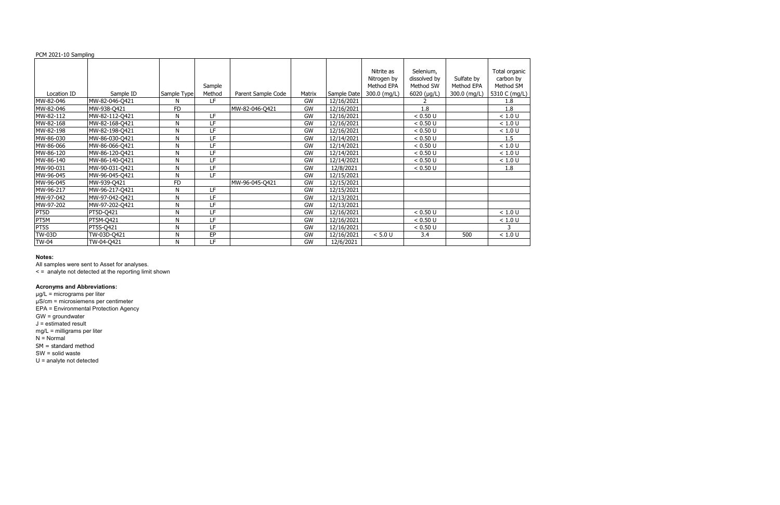|               |                  |              |        |                    |           |             | Nitrite as   | Selenium,    |              | Total organic |
|---------------|------------------|--------------|--------|--------------------|-----------|-------------|--------------|--------------|--------------|---------------|
|               |                  |              |        |                    |           |             | Nitrogen by  | dissolved by | Sulfate by   | carbon by     |
|               |                  |              | Sample |                    |           |             | Method EPA   | Method SW    | Method EPA   | Method SM     |
| Location ID   | Sample ID        | Sample Type  | Method | Parent Sample Code | Matrix    | Sample Date | 300.0 (mg/L) | 6020 (µg/L)  | 300.0 (mg/L) | 5310 C (mg/L) |
| MW-82-046     | MW-82-046-Q421   | N            | LF     |                    | <b>GW</b> | 12/16/2021  |              |              |              | 1.8           |
| MW-82-046     | MW-938-Q421      | <b>FD</b>    |        | MW-82-046-Q421     | <b>GW</b> | 12/16/2021  |              | 1.8          |              | 1.8           |
| MW-82-112     | MW-82-112-Q421   | N            | LF     |                    | GW        | 12/16/2021  |              | < 0.50 U     |              | < 1.0 U       |
| MW-82-168     | MW-82-168-Q421   | $\mathsf{N}$ | LF     |                    | GW        | 12/16/2021  |              | < 0.50 U     |              | < 1.0 U       |
| MW-82-198     | MW-82-198-Q421   | $\mathsf{N}$ | LF     |                    | GW        | 12/16/2021  |              | < 0.50 U     |              | < 1.0 U       |
| MW-86-030     | MW-86-030-Q421   | ${\sf N}$    | LF     |                    | GW        | 12/14/2021  |              | < 0.50 U     |              | 1.5           |
| MW-86-066     | MW-86-066-Q421   | N            | LF     |                    | GW        | 12/14/2021  |              | < 0.50 U     |              | < 1.0 U       |
| MW-86-120     | MW-86-120-Q421   | N            | LF     |                    | GW        | 12/14/2021  |              | < 0.50 U     |              | < 1.0 U       |
| MW-86-140     | MW-86-140-Q421   | N            | LF     |                    | GW        | 12/14/2021  |              | < 0.50 U     |              | < 1.0 U       |
| MW-90-031     | MW-90-031-Q421   | N            | LF     |                    | GW        | 12/8/2021   |              | < 0.50 U     |              | 1.8           |
| MW-96-045     | MW-96-045-Q421   | N            | LF     |                    | GW        | 12/15/2021  |              |              |              |               |
| MW-96-045     | MW-939-Q421      | <b>FD</b>    |        | MW-96-045-Q421     | GW        | 12/15/2021  |              |              |              |               |
| MW-96-217     | MW-96-217-Q421   | N            | LF     |                    | GW        | 12/15/2021  |              |              |              |               |
| MW-97-042     | MW-97-042-Q421   | ${\sf N}$    | LF     |                    | GW        | 12/13/2021  |              |              |              |               |
| MW-97-202     | MW-97-202-Q421   | N            | LF     |                    | GW        | 12/13/2021  |              |              |              |               |
| PT5D          | PT5D-Q421        | ${\sf N}$    | LF     |                    | GW        | 12/16/2021  |              | < 0.50 U     |              | < 1.0 U       |
| PT5M          | PT5M-Q421        | N            | LF     |                    | GW        | 12/16/2021  |              | < 0.50 U     |              | < 1.0 U       |
| PT5S          | <b>PT5S-Q421</b> | N            | LF     |                    | GW        | 12/16/2021  |              | < 0.50 U     |              |               |
| <b>TW-03D</b> | TW-03D-Q421      | N            | EP     |                    | <b>GW</b> | 12/16/2021  | < 5.0 U      | 3.4          | 500          | < 1.0 U       |
| <b>TW-04</b>  | TW-04-Q421       | N            | LF     |                    | <b>GW</b> | 12/6/2021   |              |              |              |               |

#### **Notes:**

All samples were sent to Asset for analyses.

< = analyte not detected at the reporting limit shown

#### **Acronyms and Abbreviations:**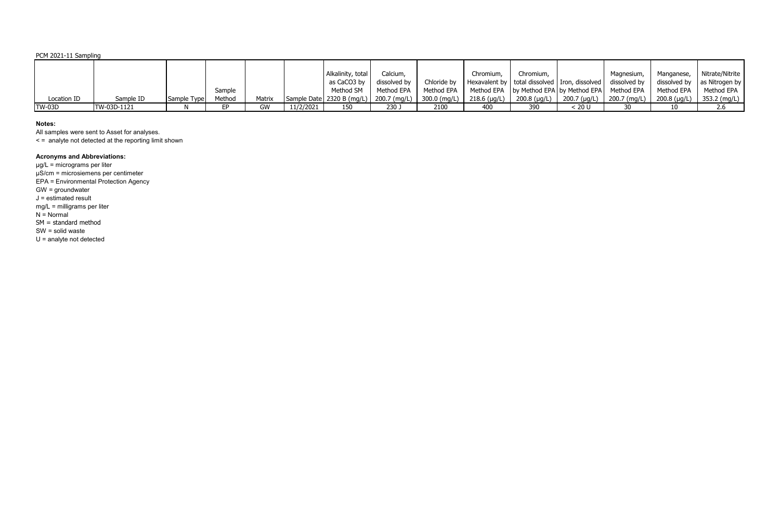|               |             |             |        |        |           | Alkalinity, total             | Calcium,     |                | Chromium,      | Chromium,    |                                                         | Magnesium,   | Manganese,   | Nitrate/Nitrite                     |
|---------------|-------------|-------------|--------|--------|-----------|-------------------------------|--------------|----------------|----------------|--------------|---------------------------------------------------------|--------------|--------------|-------------------------------------|
|               |             |             |        |        |           | as CaCO3 by                   | dissolved by | Chloride by    |                |              | Hexavalent by   total dissolved   Iron, dissolved       | dissolved by |              | dissolved by $ $ as Nitrogen by $ $ |
|               |             |             | Sample |        |           | Method SM                     | Method EPA   | Method EPA     |                |              | Method EPA   by Method EPA   by Method EPA   Method EPA |              | Method EPA   | Method EPA                          |
| Location ID   | Sample ID   | Sample Type | Method | Matrix |           | Sample Date   2320 B $(mg/L)$ | 200.7 (mg/L) | $300.0$ (mg/L) | $218.6$ (µg/L) | 200.8 (µg/L) | 200.7 (µg/L)                                            | 200.7 (mg/L) | 200.8 (µg/L) | 353.2 (mg/L)                        |
| <b>TW-03D</b> | TW-03D-1121 |             |        | GW     | 11/2/2021 | 150                           | 230 J        | 2100           | 400            | 390          | : 20 U                                                  |              | 10           | 2.6                                 |

## **Notes:**

All samples were sent to Asset for analyses.

< = analyte not detected at the reporting limit shown

# **Acronyms and Abbreviations:**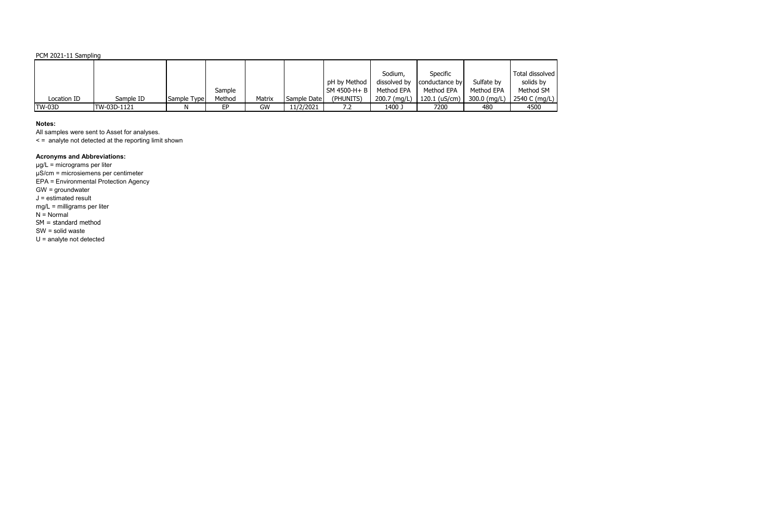## **Notes:**

All samples were sent to Asset for analyses.

< = analyte not detected at the reporting limit shown

# **Acronyms and Abbreviations:**

|               |             |             |        |        |             |              | Sodium,      | Specific       |              | Total dissolved |
|---------------|-------------|-------------|--------|--------|-------------|--------------|--------------|----------------|--------------|-----------------|
|               |             |             |        |        |             | pH by Method | dissolved by | conductance by | Sulfate by   | solids by       |
|               |             |             | Sample |        |             | SM 4500-H+ B | Method EPA   | Method EPA     | Method EPA   | Method SM       |
| Location ID   | Sample ID   | Sample Type | Method | Matrix | Sample Date | (PHUNITS)    | 200.7 (mg/L) | 120.1 (uS/cm)  | 300.0 (mg/L) | 2540 C (mg/L)   |
| <b>TW-03D</b> | TW-03D-1121 |             | FP.    | GW     | 11/2/2021   | ے ،          | 1400 J       | 7200           | 480          | 4500            |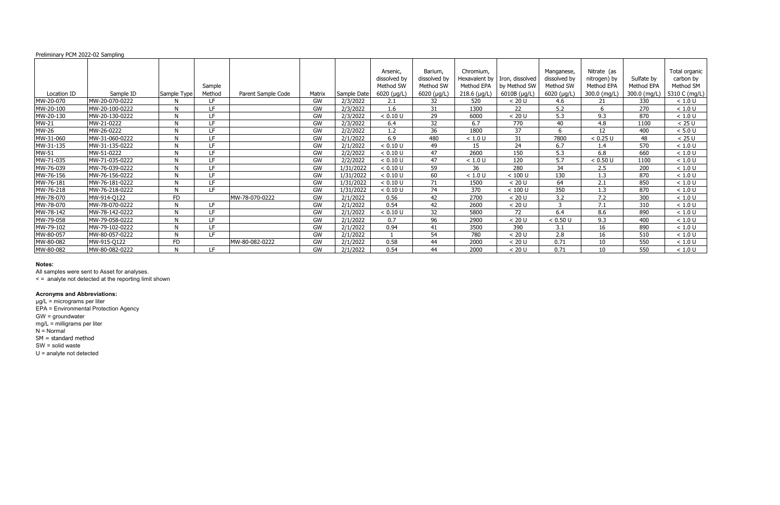| Preliminary PCM 2022-02 Sampling |                |                |                  |                    |        |             |                                                        |                                                     |                                                            |                                                 |                                                        |                                                           |                                          |                                                          |
|----------------------------------|----------------|----------------|------------------|--------------------|--------|-------------|--------------------------------------------------------|-----------------------------------------------------|------------------------------------------------------------|-------------------------------------------------|--------------------------------------------------------|-----------------------------------------------------------|------------------------------------------|----------------------------------------------------------|
| Location ID                      | Sample ID      | Sample Type    | Sample<br>Method | Parent Sample Code | Matrix | Sample Date | Arsenic,<br>dissolved by<br>Method SW<br>$6020$ (µg/L) | Barium,<br>dissolved by<br>Method SW<br>6020 (µg/L) | Chromium,<br>Hexavalent by<br>Method EPA<br>$218.6$ (µg/L) | Iron, dissolved<br>by Method SW<br>6010B (µg/L) | Manganese,<br>dissolved by<br>Method SW<br>6020 (µg/L) | Nitrate (as<br>nitrogen) by<br>Method EPA<br>300.0 (mg/L) | Sulfate by<br>Method EPA<br>300.0 (mg/L) | Total organic<br>carbon by<br>Method SM<br>5310 C (mg/L) |
| MW-20-070                        | MW-20-070-0222 | N              | LF.              |                    | GW     | 2/3/2022    | 2.1                                                    | 32                                                  | 520                                                        | < 20 U                                          | 4.6                                                    | 21                                                        | 330                                      | $<1.0$ U                                                 |
| MW-20-100                        | MW-20-100-0222 | N              | LF.              |                    | GW     | 2/3/2022    | $1.6\,$                                                | 31                                                  | 1300                                                       | 22                                              | 5.2                                                    | 6                                                         | 270                                      | < 1.0 U                                                  |
| MW-20-130                        | MW-20-130-0222 | N              | LF.              |                    | GW     | 2/3/2022    | < 0.10 U                                               | 29                                                  | 6000                                                       | < 20 U                                          | 5.3                                                    | 9.3                                                       | 870                                      | < 1.0 U                                                  |
| MW-21                            | MW-21-0222     | N              | LF.              |                    | GW     | 2/3/2022    | 6.4                                                    | 32                                                  | 6.7                                                        | 770                                             | 40                                                     | 4.8                                                       | 1100                                     | < 25 U                                                   |
| MW-26                            | MW-26-0222     | N              | LF.              |                    | GW     | 2/2/2022    | 1.2                                                    | 36                                                  | 1800                                                       | 37                                              | 6                                                      | 12                                                        | 400                                      | < 5.0 U                                                  |
| MW-31-060                        | MW-31-060-0222 | N              | LF.              |                    | GW     | 2/1/2022    | 6.9                                                    | 480                                                 | < 1.0 U                                                    | 31                                              | 7800                                                   | < 0.25 U                                                  | 48                                       | < 25 U                                                   |
| MW-31-135                        | MW-31-135-0222 |                | LF               |                    | GW     | 2/1/2022    | < 0.10 U                                               | 49                                                  | 15                                                         | 24                                              | 6.7                                                    | 1.4                                                       | 570                                      | < 1.0 U                                                  |
| <b>MW-51</b>                     | MW-51-0222     | N              | IE.              |                    | GW     | 2/2/2022    | < 0.10 U                                               | 47                                                  | 2600                                                       | 150                                             | 5.3                                                    | 6.8                                                       | 660                                      | < 1.0 U                                                  |
| MW-71-035                        | MW-71-035-0222 | N              | LF.              |                    | GW     | 2/2/2022    | < 0.10 U                                               | 47                                                  | < 1.0 U                                                    | 120                                             | 5.7                                                    | < 0.50 U                                                  | 1100                                     | < 1.0 U                                                  |
| MW-76-039                        | MW-76-039-0222 | N              | LF.              |                    | GW     | 1/31/2022   | < 0.10 U                                               | 59                                                  | 36                                                         | 280                                             | 34                                                     | 2.5                                                       | $\overline{200}$                         | < 1.0 U                                                  |
| MW-76-156                        | MW-76-156-0222 | N              | LF.              |                    | GW     | 1/31/2022   | < 0.10 U                                               | 60                                                  | < 1.0 U                                                    | $< 100$ U                                       | 130                                                    | 1.3                                                       | 870                                      | < 1.0 U                                                  |
| MW-76-181                        | MW-76-181-0222 | N              | LF.              |                    | GW     | 1/31/2022   | < 0.10 U                                               | 71                                                  | 1500                                                       | < 20 U                                          | 64                                                     | 2.1                                                       | 850                                      | < 1.0 U                                                  |
| MW-76-218                        | MW-76-218-0222 | N              | LF.              |                    | GW     | 1/31/2022   | < 0.10 U                                               | 74                                                  | 370                                                        | $< 100$ U                                       | 350                                                    | 1.3                                                       | 870                                      | < 1.0 U                                                  |
| MW-78-070                        | MW-914-Q122    | <b>FD</b>      |                  | MW-78-070-0222     | GW     | 2/1/2022    | 0.56                                                   | 42                                                  | 2700                                                       | < 20 U                                          | 3.2                                                    | 7.2                                                       | 300                                      | < 1.0 U                                                  |
| MW-78-070                        | MW-78-070-0222 | $\mathbf{N}$   | LF.              |                    | GW     | 2/1/2022    | 0.54                                                   | 42                                                  | 2600                                                       | < 20 U                                          | 3                                                      | 7.1                                                       | 310                                      | < 1.0 U                                                  |
| MW-78-142                        | MW-78-142-0222 | N              | LF.              |                    | GW     | 2/1/2022    | < 0.10 U                                               | 32                                                  | 5800                                                       | 72                                              | 6.4                                                    | 8.6                                                       | 890                                      | < 1.0 U                                                  |
| MW-79-058                        | MW-79-058-0222 | N              | LF.              |                    | GW     | 2/1/2022    | 0.7                                                    | 96                                                  | 2900                                                       | < 20 U                                          | < 0.50 U                                               | 9.3                                                       | 400                                      | < 1.0 U                                                  |
| MW-79-102                        | MW-79-102-0222 | N              | LF.              |                    | GW     | 2/1/2022    | 0.94                                                   | 41                                                  | 3500                                                       | 390                                             | 3.1                                                    | 16                                                        | 890                                      | < 1.0 U                                                  |
| MW-80-057                        | MW-80-057-0222 | N              | LF.              |                    | GW     | 2/1/2022    |                                                        | 54                                                  | 780                                                        | < 20 U                                          | 2.8                                                    | 16                                                        | 510                                      | < 1.0 U                                                  |
| MW-80-082                        | MW-915-Q122    | F <sub>D</sub> |                  | MW-80-082-0222     | GW     | 2/1/2022    | 0.58                                                   | 44                                                  | 2000                                                       | < 20 U                                          | 0.71                                                   | 10                                                        | 550                                      | < 1.0 U                                                  |
| MW-80-082                        | MW-80-082-0222 | N              | LF.              |                    | GW     | 2/1/2022    | 0.54                                                   | 44                                                  | 2000                                                       | < 20 U                                          | 0.71                                                   | 10                                                        | 550                                      | < 1.0 U                                                  |

All samples were sent to Asset for analyses.

< = analyte not detected at the reporting limit shown

#### **Acronyms and Abbreviations:**

µg/L = micrograms per liter

EPA = Environmental Protection Agency

GW = groundwater

mg/L = milligrams per liter

N = Normal

SM = standard method

SW = solid waste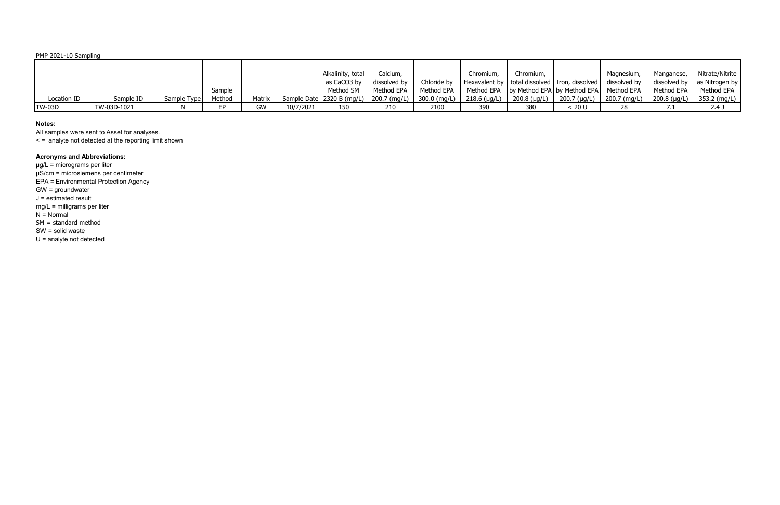|               |             |             |        |        |           | Alkalinity, total                          | Calcium,     |                | Chromium, | Chromium,                                  |                                                         | Magnesium,     | Manganese,     | Nitrate/Nitrite |
|---------------|-------------|-------------|--------|--------|-----------|--------------------------------------------|--------------|----------------|-----------|--------------------------------------------|---------------------------------------------------------|----------------|----------------|-----------------|
|               |             |             |        |        |           | as CaCO3 by                                | dissolved by | Chloride by    |           |                                            | Hexavalent by   total dissolved   Iron, dissolved       | dissolved by   | dissolved by   | as Nitrogen by  |
|               |             |             | Sample |        |           | Method SM                                  | Method EPA   | Method EPA     |           |                                            | Method EPA   by Method EPA   by Method EPA   Method EPA |                | Method EPA     | Method EPA      |
| Location ID   | Sample ID   | Sample Type | Method | Matrix |           | Sample Date   2320 B (mg/L)   200.7 (mg/L) |              | $300.0$ (mg/L) |           | 218.6 (µg/L)   200.8 (µg/L)   200.7 (µg/L) |                                                         | $200.7$ (mg/L) | $200.8$ (µg/L) | 353.2 (mg/L)    |
| <b>TW-03D</b> | TW-03D-1021 |             |        | GW     | 10/7/2021 | 150                                        | 210          | 2100           | 390       | 380                                        | . 20 U                                                  | 28             |                | 2.4:            |

## **Notes:**

All samples were sent to Asset for analyses.

< = analyte not detected at the reporting limit shown

# **Acronyms and Abbreviations:**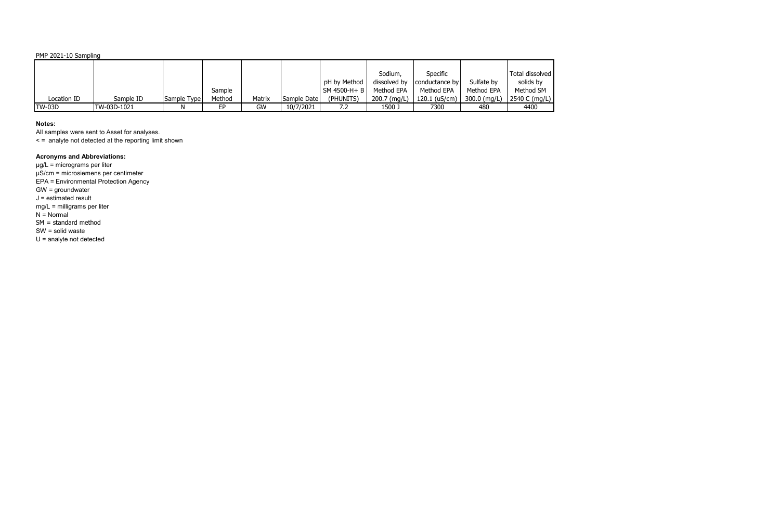## **Notes:**

All samples were sent to Asset for analyses.

< = analyte not detected at the reporting limit shown

# **Acronyms and Abbreviations:**

|               |             |             |        |        |             |              | Sodium,      | Specific        |                | Total dissolved |
|---------------|-------------|-------------|--------|--------|-------------|--------------|--------------|-----------------|----------------|-----------------|
|               |             |             |        |        |             | pH by Method | dissolved by | conductance by  | Sulfate by     | solids by       |
|               |             |             | Sample |        |             | SM 4500-H+B  | Method EPA   | Method EPA      | Method EPA     | Method SM       |
| Location ID   | Sample ID   | Sample Type | Method | Matrix | Sample Date | (PHUNITS)    | 200.7 (mg/L) | $120.1$ (uS/cm) | $300.0$ (mg/L) | 2540 C (mg/L)   |
| <b>TW-03D</b> | TW-03D-1021 |             | FD     | GW     | 10/7/2021   | 7.2          | 1500 J       | 7300            | 480            | 4400            |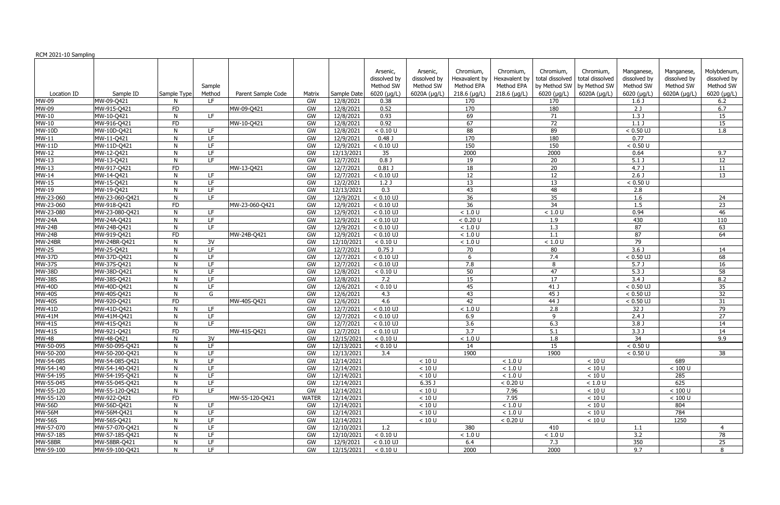|                        |                                  |             |                                      |                    |              |                          | Arsenic,          | Arsenic,         | Chromium,        | Chromium,      | Chromium,                   | Chromium,       | Manganese,           | Manganese,        | Molybdenum,     |
|------------------------|----------------------------------|-------------|--------------------------------------|--------------------|--------------|--------------------------|-------------------|------------------|------------------|----------------|-----------------------------|-----------------|----------------------|-------------------|-----------------|
|                        |                                  |             |                                      |                    |              |                          | dissolved by      | dissolved by     | Hexavalent by    | Hexavalent by  | total dissolved             | total dissolved | dissolved by         | dissolved by      | dissolved by    |
|                        |                                  |             | Sample                               |                    |              |                          | Method SW         | Method SW        | Method EPA       | Method EPA     | by Method SW   by Method SW |                 | Method SW            | Method SW         | Method SW       |
| Location ID            | Sample ID                        | Sample Type | Method                               | Parent Sample Code | Matrix       | Sample Date              | 6020 (µg/L)       | 6020A (µg/L)     | $218.6$ (µg/L)   | $218.6$ (µg/L) | $6020$ ( $\mu$ g/L)         | 6020A (µg/L)    | $6020$ ( $\mu$ g/L)  | 6020A $(\mu g/L)$ | 6020 (µg/L)     |
| <b>MW-09</b>           | MW-09-Q421                       |             | LF.                                  |                    | GW           | 12/8/2021                | 0.38              |                  | 170              |                | 170                         |                 | $1.6$ J              |                   | 6.2             |
| MW-09                  | MW-915-Q421                      | <b>FD</b>   |                                      | MW-09-Q421         | GW           | 12/8/2021                | 0.52              |                  | 170              |                | 180                         |                 | $\overline{2J}$      |                   | 6.7             |
| MW-10                  | MW-10-Q421                       | N           | LF.                                  |                    | GW           | 12/8/2021                | 0.93              |                  | 69               |                | 71                          |                 | 1.3J                 |                   | 15              |
| <b>MW-10</b>           | MW-916-Q421                      | <b>FD</b>   |                                      | MW-10-Q421         | GW           | 12/8/2021                | 0.92              |                  | 67               |                | $\overline{72}$             |                 | $1.1$ J              |                   | 15              |
| <b>MW-10D</b>          | MW-10D-Q421                      | N           | LF.                                  |                    | GW           | 12/8/2021                | < 0.10 U          |                  | 88               |                | 89                          |                 | $< 0.50$ UJ          |                   | 1.8             |
| $MW-11$                | MW-11-Q421                       | N           | LF                                   |                    | GW           | 12/9/2021                | 0.48 <sub>0</sub> |                  | 170              |                | 180                         |                 | 0.77                 |                   |                 |
| $MW-11D$               | MW-11D-Q421                      | N           | LF                                   |                    | GW           | 12/9/2021                | $< 0.10$ UJ       |                  | 150              |                | 150                         |                 | < 0.50 U             |                   |                 |
| <b>MW-12</b>           | MW-12-Q421                       | N           | LF                                   |                    | GW           | 12/13/2021               | 35                |                  | 2000             |                | 2000                        |                 | 0.64                 |                   | 9.7             |
| $MW-13$                | MW-13-Q421                       | N           | $\overline{\mathsf{L}^{\mathsf{F}}}$ |                    | GW           | 12/7/2021                | $0.8$ J           |                  | 19               |                | 20                          |                 | 5.1 <sub>1</sub>     |                   | $\overline{12}$ |
| <b>MW-13</b>           | MW-917-Q421                      | <b>FD</b>   |                                      | MW-13-Q421         | GW           | 12/7/2021                | $0.81$ J          |                  | 18               |                | 20                          |                 | 4.7 <sup>1</sup>     |                   | 11              |
| <b>MW-14</b>           | MW-14-Q421                       | N           | LF.                                  |                    | GW           | 12/7/2021                | $< 0.10$ UJ       |                  | 12               |                | 12                          |                 | $2.6$ J              |                   | 13              |
| <b>MW-15</b>           | MW-15-Q421                       | N           | LF                                   |                    | GW           | 12/2/2021                | 1.2J              |                  | 13               |                | 13                          |                 | < 0.50 U             |                   |                 |
| <b>MW-19</b>           | MW-19-Q421                       | N           | LF                                   |                    | GW           | 12/13/2021               | $\overline{0.3}$  |                  | 43               |                | 48                          |                 | 2.8                  |                   |                 |
| MW-23-060              | MW-23-060-Q421                   | N           | LE.                                  |                    | GW           | 12/9/2021                | $< 0.10$ UJ       |                  | 36               |                | 35                          |                 | 1.6                  |                   | 24              |
| MW-23-060              | MW-918-0421                      | <b>FD</b>   |                                      | MW-23-060-Q421     | GW           | 12/9/2021                | $< 0.10$ UJ       |                  | 36               |                | 34                          |                 | 1.5                  |                   | 23              |
| MW-23-080              | MW-23-080-Q421                   | N           | LF                                   |                    | GW           | 12/9/2021                | $< 0.10$ UJ       |                  | < 1.0 U          |                | < 1.0 U                     |                 | 0.94                 |                   | 46              |
| $MW-24A$               | MW-24A-Q421                      | N           | LF                                   |                    | GW           | 12/9/2021                | $< 0.10$ UJ       |                  | < 0.20 U         |                | 1.9                         |                 | 430                  |                   | 110             |
| <b>MW-24B</b>          | MW-24B-Q421                      | N           | LF.                                  |                    | GW           | 12/9/2021                | $< 0.10$ UJ       |                  | < 1.0 U          |                | 1.3                         |                 | 87                   |                   | 63              |
| <b>MW-24B</b>          | MW-919-Q421                      | <b>FD</b>   |                                      | MW-24B-Q421        | GW           | 12/9/2021                | $< 0.10$ UJ       |                  | < 1.0 U          |                | 1.1                         |                 | 87                   |                   | 64              |
| MW-24BR                | MW-24BR-Q421                     | N           | 3V                                   |                    | GW           | 12/10/2021               | < 0.10 U          |                  | < 1.0 U          |                | < 1.0 U                     |                 | 79                   |                   |                 |
| <b>MW-25</b>           | MW-25-Q421                       | N           | LF                                   |                    | GW           | 12/7/2021                | 0.75J             |                  | 70               |                | 80                          |                 | 3.6 <sub>1</sub>     |                   | 14              |
| <b>MW-37D</b>          | MW-37D-Q421                      | N           | LF.                                  |                    | GW           | 12/7/2021                | $< 0.10$ UJ       |                  | 6                |                | 7.4                         |                 | $< 0.50$ UJ          |                   | 68              |
| <b>MW-37S</b>          | MW-37S-Q421                      | N           | LF                                   |                    | GW           | 12/7/2021                | $< 0.10$ UJ       |                  | 7.8              |                | 8                           |                 | 5.7 <sub>J</sub>     |                   | 16              |
| <b>MW-38D</b>          | MW-38D-Q421                      | N           | LF                                   |                    | GW           | 12/8/2021                | < 0.10 U          |                  | 50               |                | 47                          |                 | 5.3 <sub>J</sub>     |                   | 58              |
| <b>MW-38S</b>          | MW-38S-Q421                      | N           | LF                                   |                    | GW           | 12/8/2021                | 7.2               |                  | 15               |                | 17                          |                 | 3.4 <sub>0</sub>     |                   | 8.2             |
| <b>MW-40D</b>          | MW-40D-Q421                      | N           | LF.                                  |                    | GW           | 12/6/2021                | < 0.10 U          |                  | 45               |                | $41$ J                      |                 | $< 0.50$ UJ          |                   | $\overline{35}$ |
| <b>MW-40S</b>          | MW-40S-Q421                      | N           | G                                    |                    | GW           | 12/6/2021                | 4.3               |                  | 43               |                | 45 J                        |                 | $< 0.50$ UJ          |                   | $\overline{32}$ |
| <b>MW-40S</b>          | MW-920-Q421                      | <b>FD</b>   |                                      | MW-40S-Q421        | GW           | 12/6/2021                | 4.6               |                  | 42               |                | $44$ J                      |                 | $< 0.50$ UJ          |                   | 31              |
| $MW-41D$               |                                  | N           | LF                                   |                    | GW           | 12/7/2021                | $< 0.10$ UJ       |                  | < 1.0 U          |                | $\overline{2.8}$            |                 | 32J                  |                   | 79              |
| <b>MW-41M</b>          | MW-41D-Q421                      | N           | LF                                   |                    | GW           | 12/7/2021                | $< 0.10$ UJ       |                  | 6.9              |                | 9                           |                 | $2.4$ J              |                   | $\overline{27}$ |
|                        | MW-41M-Q421<br>MW-41S-Q421       | N           | LF                                   |                    | GW           | 12/7/2021                | $< 0.10$ UJ       |                  | $\overline{3.6}$ |                | 6.3                         |                 | 3.8 <sub>0</sub>     |                   | 14              |
| <b>MW-41S</b>          |                                  |             |                                      |                    |              |                          |                   |                  |                  |                |                             |                 |                      |                   |                 |
| <b>MW-41S</b>          | MW-921-Q421                      | <b>FD</b>   |                                      | MW-41S-Q421        | GW           | 12/7/2021                | $< 0.10$ UJ       |                  | 3.7              |                | 5.1                         |                 | 3.3J                 |                   | 14              |
| <b>MW-48</b>           | MW-48-Q421                       | N           | 3V                                   |                    | GW           | 12/15/2021               | < 0.10 U          |                  | < 1.0 U          |                | 1.8                         |                 | 34                   |                   | 9.9             |
| MW-50-095<br>MW-50-200 | MW-50-095-Q421<br>MW-50-200-Q421 | N<br>N      | LF<br>LF                             |                    | GW           | 12/13/2021<br>12/13/2021 | < 0.10 U<br>3.4   |                  | 14<br>1900       |                | 15<br>1900                  |                 | < 0.50 U<br>< 0.50 U |                   | 38              |
| MW-54-085              |                                  |             |                                      |                    | GW           |                          |                   |                  |                  |                |                             |                 |                      |                   |                 |
|                        | MW-54-085-Q421                   | N           | LF.                                  |                    | GW           | 12/14/2021               |                   | < 10 U           |                  | $<1.0$ U       |                             | < 10 U          |                      | 689               |                 |
| MW-54-140              | MW-54-140-Q421                   |             | LF                                   |                    | GW           | 12/14/2021               |                   | $<10~\mathrm{U}$ |                  | $<1.0$ U       |                             | < 10 U          |                      | < 100 U<br>285    |                 |
| MW-54-195              | MW-54-195-Q421                   |             | LF.                                  |                    | GW           | 12/14/2021               |                   | < 10 U           |                  | $<1.0$ U       |                             | < 10 U          |                      |                   |                 |
| MW-55-045              | MW-55-045-Q421                   | N           | LF.                                  |                    | GW           | 12/14/2021               |                   | 6.35J            |                  | < 0.20 U       |                             | $<1.0$ U        |                      | 625               |                 |
| MW-55-120              | MW-55-120-Q421                   |             | LF                                   |                    | GW           | 12/14/2021               |                   | $<10$ U          |                  | 7.96           |                             | $<10$ U         |                      | < 100 U           |                 |
| MW-55-120<br>MW-56D    | MW-922-Q421                      | <b>FD</b>   |                                      | MW-55-120-Q421     | <b>WATER</b> | 12/14/2021               |                   | < 10 U           |                  | 7.95           |                             | $<10$ U         |                      | $<100$ U          |                 |
|                        | MW-56D-Q421                      |             | LF                                   |                    | GW           | 12/14/2021               |                   | $<10$ U          |                  | < 1.0 U        |                             | $<10$ U         |                      | 804               |                 |
| <b>MW-56M</b>          | MW-56M-Q421                      | N           | LF                                   |                    | GW           | 12/14/2021               |                   | $<10~\mathrm{U}$ |                  | $<1.0$ U       |                             | $<10$ U         |                      | 784               |                 |
| <b>MW-56S</b>          | MW-56S-Q421                      | N           | LF                                   |                    | GW           | 12/14/2021               |                   | $<10~\mathrm{U}$ |                  | < 0.20 U       |                             | $<10$ U         |                      | 1250              |                 |
| MW-57-070              | MW-57-070-Q421                   | N           | LF.                                  |                    | GW           | 12/10/2021               | $\overline{1.2}$  |                  | 380              |                | 410                         |                 | 1.1                  |                   | 4               |
| MW-57-185              | MW-57-185-Q421                   | N           | LF                                   |                    | GW           | 12/10/2021               | < 0.10 U          |                  | < 1.0 U          |                | $<1.0$ U                    |                 | 3.2                  |                   | 78              |
| MW-58BR                | MW-58BR-Q421                     | N           | LF.                                  |                    | GW           | 12/9/2021                | $< 0.10$ UJ       |                  | 6.4              |                | 7.3                         |                 | 350                  |                   | 25              |
| MW-59-100              | MW-59-100-Q421                   | N           | LF.                                  |                    | GW           | 12/15/2021               | < 0.10 U          |                  | 2000             |                | 2000                        |                 | 9.7                  |                   | 8               |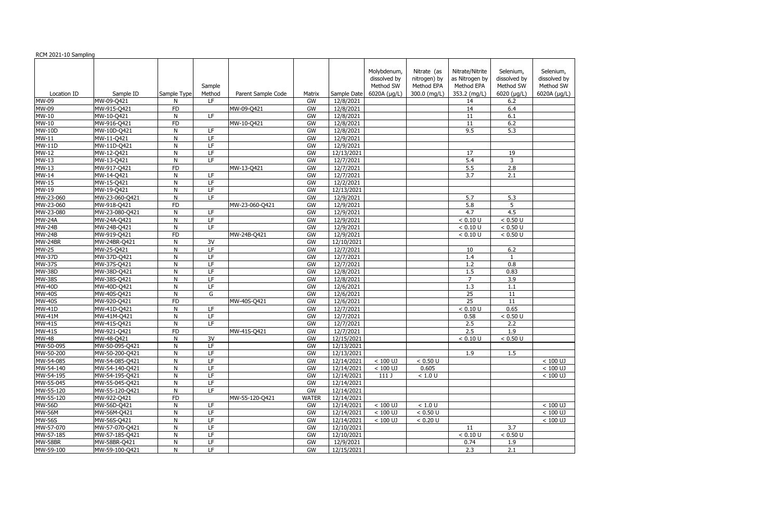|               |                |                |                          |                    |              |                         | Molybdenum,  | Nitrate (as  | Nitrate/Nitrite                    | Selenium,        | Selenium,    |
|---------------|----------------|----------------|--------------------------|--------------------|--------------|-------------------------|--------------|--------------|------------------------------------|------------------|--------------|
|               |                |                |                          |                    |              |                         | dissolved by | nitrogen) by | as Nitrogen by                     | dissolved by     | dissolved by |
|               |                |                | Sample                   |                    |              |                         | Method SW    | Method EPA   | Method EPA                         | Method SW        | Method SW    |
| Location ID   | Sample ID      | Sample Type    | Method                   | Parent Sample Code | Matrix       | Sample Date             | 6020A (µg/L) | 300.0 (mg/L) | 353.2 (mg/L)                       | 6020 (µg/L)      | 6020A (µg/L) |
| MW-09         | MW-09-Q421     | N              | LF                       |                    | GW           | 12/8/2021               |              |              | 14                                 | 6.2              |              |
| MW-09         | MW-915-Q421    | FD             |                          | MW-09-Q421         | GW           | 12/8/2021               |              |              | 14                                 | 6.4              |              |
| MW-10         | MW-10-Q421     | $\mathsf{N}$   | LF                       |                    | GW           | 12/8/2021               |              |              | 11                                 | 6.1              |              |
| MW-10         | MW-916-Q421    | <b>FD</b>      |                          | MW-10-Q421         | GW           | 12/8/2021               |              |              | 11                                 | 6.2              |              |
| <b>MW-10D</b> | MW-10D-Q421    | $\mathsf{N}$   | LF                       |                    | GW           | 12/8/2021               |              |              | 9.5                                | 5.3              |              |
| MW-11         | MW-11-Q421     | $\mathsf{N}$   | $\overline{LF}$          |                    | GW           | 12/9/2021               |              |              |                                    |                  |              |
| <b>MW-11D</b> | MW-11D-Q421    | ${\sf N}$      | $\overline{LF}$          |                    | GW           | 12/9/2021               |              |              |                                    |                  |              |
| <b>MW-12</b>  | MW-12-Q421     | $\mathsf{N}$   | $\overline{LF}$          |                    | GW           | 12/13/2021              |              |              | 17                                 | 19               |              |
| <b>MW-13</b>  | MW-13-Q421     | $\mathsf{N}$   | E                        |                    | GW           | 12/7/2021               |              |              | 5.4                                | 3                |              |
| <b>MW-13</b>  | MW-917-Q421    | FD             |                          | MW-13-Q421         | GW           | 12/7/2021               |              |              | 5.5                                | 2.8              |              |
| <b>MW-14</b>  | MW-14-Q421     | $\overline{N}$ | LF                       |                    | GW           | 12/7/2021               |              |              | 3.7                                | 2.1              |              |
| <b>MW-15</b>  | MW-15-Q421     | N              | $\overline{\mathsf{LF}}$ |                    | GW           | 12/2/2021               |              |              |                                    |                  |              |
| $MW-19$       | MW-19-Q421     | $\mathsf{N}$   | $\overline{LF}$          |                    | GW           | 12/13/2021              |              |              |                                    |                  |              |
| MW-23-060     | MW-23-060-Q421 | ${\sf N}$      | LF                       |                    | GW           | 12/9/2021               |              |              | 5.7                                | 5.3              |              |
| MW-23-060     | MW-918-Q421    | FD             |                          | MW-23-060-Q421     | GW           | 12/9/2021               |              |              | 5.8                                | 5                |              |
| MW-23-080     | MW-23-080-Q421 | N              | LF.                      |                    | GW           | 12/9/2021               |              |              | 4.7                                | 4.5              |              |
| <b>MW-24A</b> | MW-24A-Q421    | N              | LF                       |                    | GW           | 12/9/2021               |              |              | < 0.10 U                           | < 0.50 U         |              |
| <b>MW-24B</b> | MW-24B-Q421    | $\mathsf{N}$   | LF                       |                    | GW           | 12/9/2021               |              |              | < 0.10 U                           | < 0.50 U         |              |
| <b>MW-24B</b> | MW-919-Q421    | FD             |                          | MW-24B-Q421        | GW           | 12/9/2021               |              |              | < 0.10 U                           | < 0.50 U         |              |
| MW-24BR       | MW-24BR-Q421   | $\mathsf{N}$   | 3V                       |                    | GW           | 12/10/2021              |              |              |                                    |                  |              |
| <b>MW-25</b>  | MW-25-Q421     | N              | $\overline{LF}$          |                    | GW           | 12/7/2021               |              |              | 10                                 | 6.2              |              |
| <b>MW-37D</b> | MW-37D-Q421    | $\mathsf{N}$   | LF                       |                    | GW           | 12/7/2021               |              |              | 1.4                                | 1                |              |
| <b>MW-37S</b> | MW-37S-Q421    | N              | LF                       |                    | GW           | 12/7/2021               |              |              | 1.2                                | 0.8              |              |
| <b>MW-38D</b> | MW-38D-Q421    | N              | LF                       |                    | GW           | 12/8/2021               |              |              | $1.5$                              | 0.83             |              |
| <b>MW-38S</b> | MW-38S-Q421    | ${\sf N}$      | $\overline{LF}$          |                    | GW           | 12/8/2021               |              |              | $\overline{7}$                     | 3.9              |              |
|               |                | $\mathsf{N}$   | LF                       |                    | GW           |                         |              |              |                                    |                  |              |
| <b>MW-40D</b> | MW-40D-Q421    |                |                          |                    |              | 12/6/2021               |              |              | 1.3                                | 1.1              |              |
| <b>MW-40S</b> | MW-40S-Q421    | $\mathsf{N}$   | G                        |                    | GW           | 12/6/2021               |              |              | $\overline{25}$<br>$\overline{25}$ | 11               |              |
| <b>MW-40S</b> | MW-920-Q421    | FD             |                          | MW-40S-Q421        | GW           | 12/6/2021               |              |              |                                    | $\overline{11}$  |              |
| <b>MW-41D</b> | MW-41D-Q421    | N              | $\overline{LF}$          |                    | GW           | 12/7/2021               |              |              | < 0.10 U                           | 0.65             |              |
| <b>MW-41M</b> | MW-41M-Q421    | N              | $\overline{LF}$          |                    | GW           | 12/7/2021               |              |              | 0.58                               | < 0.50 U         |              |
| <b>MW-41S</b> | MW-41S-Q421    | $\mathsf{N}$   | LF                       |                    | GW           | 12/7/2021               |              |              | 2.5                                | 2.2              |              |
| <b>MW-41S</b> | MW-921-Q421    | <b>FD</b>      |                          | MW-41S-Q421        | GW           | 12/7/2021               |              |              | 2.5                                | 1.9              |              |
| <b>MW-48</b>  | MW-48-Q421     | $\mathsf{N}$   | 3V                       |                    | GW           | 12/15/2021              |              |              | < 0.10 U                           | < 0.50 U         |              |
| MW-50-095     | MW-50-095-Q421 | N              | LF                       |                    | GW           | 12/13/2021              |              |              |                                    |                  |              |
| MW-50-200     | MW-50-200-Q421 | N              | LF                       |                    | GW           | 12/13/2021              |              |              | 1.9                                | 1.5              |              |
| MW-54-085     | MW-54-085-Q421 | $\mathsf{N}$   | LF                       |                    | GW           | 12/14/2021              | $< 100$ UJ   | < 0.50 U     |                                    |                  | $< 100$ UJ   |
| MW-54-140     | MW-54-140-Q421 | N              | LF                       |                    | GW           | 12/14/2021              | $< 100$ UJ   | 0.605        |                                    |                  | $< 100$ UJ   |
| MW-54-195     | MW-54-195-Q421 | N              | LF                       |                    | GW           | 12/14/2021              | 111 J        | $<1.0$ U     |                                    |                  | $< 100$ UJ   |
| MW-55-045     | MW-55-045-Q421 | N              | LF                       |                    | GW           | 12/14/2021              |              |              |                                    |                  |              |
| MW-55-120     | MW-55-120-Q421 | $\mathsf{N}$   | LF                       |                    | GW           | 12/14/2021              |              |              |                                    |                  |              |
| MW-55-120     | MW-922-Q421    | <b>FD</b>      |                          | MW-55-120-Q421     | <b>WATER</b> | 12/14/2021              |              |              |                                    |                  |              |
| <b>MW-56D</b> | MW-56D-Q421    | ${\sf N}$      | LF                       |                    | GW           | 12/14/2021              | $<100$ UJ    | < 1.0 U      |                                    |                  | $< 100$ UJ   |
| <b>MW-56M</b> | MW-56M-Q421    | ${\sf N}$      | LF                       |                    | GW           | $\overline{12}/14/2021$ | $< 100$ UJ   | < 0.50 U     |                                    |                  | $< 100$ UJ   |
| <b>MW-56S</b> | MW-56S-Q421    | N              | LF                       |                    | GW           | 12/14/2021              | $< 100$ UJ   | < 0.20 U     |                                    |                  | $< 100$ UJ   |
| MW-57-070     | MW-57-070-Q421 | $\overline{N}$ | LF                       |                    | GW           | 12/10/2021              |              |              | 11                                 | $\overline{3.7}$ |              |
| MW-57-185     | MW-57-185-Q421 | N              | F                        |                    | GW           | 12/10/2021              |              |              | < 0.10 U                           | < 0.50 U         |              |
| MW-58BR       | MW-58BR-Q421   | ${\sf N}$      | $\overline{LF}$          |                    | GW           | 12/9/2021               |              |              | 0.74                               | 1.9              |              |
| MW-59-100     | MW-59-100-Q421 | ${\sf N}$      | $\overline{\mathsf{LF}}$ |                    | GW           | 12/15/2021              |              |              | 2.3                                | 2.1              |              |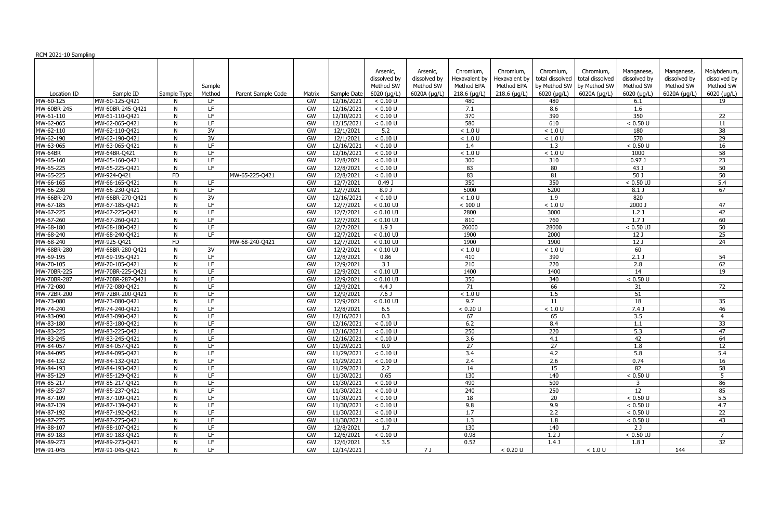| RCM 2021-10 Sampling   |                                  |             |                  |                    |          |                          |                                                      |                                                       |                                                            |                                                            |                                                                     |                                                              |                                                              |                                                         |                                                                 |
|------------------------|----------------------------------|-------------|------------------|--------------------|----------|--------------------------|------------------------------------------------------|-------------------------------------------------------|------------------------------------------------------------|------------------------------------------------------------|---------------------------------------------------------------------|--------------------------------------------------------------|--------------------------------------------------------------|---------------------------------------------------------|-----------------------------------------------------------------|
| Location ID            | Sample ID                        | Sample Type | Sample<br>Method | Parent Sample Code | Matrix   | Sample Date              | Arsenic,<br>dissolved by<br>Method SW<br>6020 (µg/L) | Arsenic,<br>dissolved by<br>Method SW<br>6020A (µg/L) | Chromium,<br>Hexavalent by<br>Method EPA<br>$218.6$ (µg/L) | Chromium.<br>Hexavalent by<br>Method EPA<br>$218.6$ (µg/L) | Chromium,<br>total dissolved<br>by Method SW<br>$6020$ ( $\mu$ g/L) | Chromium,<br>total dissolved<br>by Method SW<br>6020A (µg/L) | Manganese,<br>dissolved by<br>Method SW<br>6020 ( $\mu$ g/L) | Manganese,<br>dissolved by<br>Method SW<br>6020A (µg/L) | Molybdenum,<br>dissolved by<br>Method SW<br>$6020$ ( $\mu$ g/L) |
| MW-60-125              | MW-60-125-Q421                   |             | ΙF               |                    | GW       | 12/16/2021               | < 0.10 U                                             |                                                       | 480                                                        |                                                            | 480                                                                 |                                                              | 6.1                                                          |                                                         | 19                                                              |
| MW-60BR-245            | MW-60BR-245-Q421                 | N           | LF.              |                    | GW       | 12/16/2021               | < 0.10 U                                             |                                                       | 7.1                                                        |                                                            | 8.6                                                                 |                                                              | 1.6                                                          |                                                         |                                                                 |
| MW-61-110              | MW-61-110-Q421                   | N           | LF.              |                    | GW       | 12/10/2021               | < 0.10 U                                             |                                                       | 370                                                        |                                                            | 390                                                                 |                                                              | 350                                                          |                                                         | 22                                                              |
| MW-62-065              | MW-62-065-Q421                   | N           | LF               |                    | GW       | 12/15/2021               | < 0.10 U                                             |                                                       | 580                                                        |                                                            | 610                                                                 |                                                              | < 0.50 U                                                     |                                                         | 11                                                              |
| MW-62-110              | MW-62-110-Q421                   | N           | 3V               |                    | GW       | 12/1/2021                | 5.2                                                  |                                                       | < 1.0 U                                                    |                                                            | < 1.0 U                                                             |                                                              | 180                                                          |                                                         | 38                                                              |
| MW-62-190              | MW-62-190-Q421                   | N           | 3V               |                    | GW       | 12/1/2021                | < 0.10 U                                             |                                                       | < 1.0 U                                                    |                                                            | < 1.0 U                                                             |                                                              | 570                                                          |                                                         | 29                                                              |
| MW-63-065              | MW-63-065-Q421                   | N           | LF.              |                    | GW       | 12/16/2021               | < 0.10 U                                             |                                                       | 1.4                                                        |                                                            | 1.3                                                                 |                                                              | < 0.50 U                                                     |                                                         | 16                                                              |
| MW-64BR                | MW-64BR-Q421                     | N           | LF               |                    | GW       | 12/16/2021               | < 0.10 U                                             |                                                       | < 1.0 U                                                    |                                                            | < 1.0 U                                                             |                                                              | 1000                                                         |                                                         | $\overline{58}$                                                 |
| MW-65-160              | MW-65-160-Q421                   | N           | LF.              |                    | GW       | 12/8/2021                | < 0.10 U                                             |                                                       | 300                                                        |                                                            | 310                                                                 |                                                              | 0.97                                                         |                                                         | 23                                                              |
| MW-65-225              | MW-65-225-Q421                   | N           | LF.              |                    | GW       | 12/8/2021                | < 0.10 U                                             |                                                       | 83                                                         |                                                            | 80                                                                  |                                                              | $43$ J                                                       |                                                         | 50                                                              |
| MW-65-225              | MW-924-Q421                      | <b>FD</b>   |                  | MW-65-225-Q421     | GW       | 12/8/2021                | < 0.10 U                                             |                                                       | 83                                                         |                                                            | 81                                                                  |                                                              | $50$ J                                                       |                                                         | 50                                                              |
| MW-66-165              | MW-66-165-Q421                   | N           | LF               |                    | GW       | 12/7/2021                | 0.49J                                                |                                                       | 350                                                        |                                                            | 350                                                                 |                                                              | $< 0.50$ UJ                                                  |                                                         | $\overline{5.4}$                                                |
| MW-66-230              | MW-66-230-Q421                   | N           | LF               |                    | GW       | 12/7/2021                | 8.9J                                                 |                                                       | 5000                                                       |                                                            | 5200                                                                |                                                              | $8.1$ J                                                      |                                                         | 67                                                              |
| MW-66BR-270            | MW-66BR-270-Q421                 | N           | 3V               |                    | GW       | 12/16/2021               | < 0.10 U                                             |                                                       | < 1.0 U                                                    |                                                            | 1.9                                                                 |                                                              | 820                                                          |                                                         |                                                                 |
| MW-67-185              | MW-67-185-Q421                   | N           | LF.              |                    | GW       | 12/7/2021                | $< 0.10$ UJ                                          |                                                       | $< 100$ U                                                  |                                                            | < 1.0 U                                                             |                                                              | 2000 J                                                       |                                                         | 47                                                              |
| MW-67-225              | MW-67-225-Q421                   | N           | LF.              |                    | GW       | 12/7/2021                | $< 0.10$ UJ                                          |                                                       | 2800                                                       |                                                            | 3000                                                                |                                                              | 1.2J                                                         |                                                         | 42                                                              |
| MW-67-260              | MW-67-260-Q421                   | N           | LF.              |                    | GW       | 12/7/2021                | $< 0.10$ UJ                                          |                                                       | 810                                                        |                                                            | 760                                                                 |                                                              | 1.7J                                                         |                                                         | 60                                                              |
| MW-68-180              | MW-68-180-Q421                   | N           | LF.              |                    | GW       | 12/7/2021                | 1.9J                                                 |                                                       | 26000                                                      |                                                            | 28000                                                               |                                                              | $< 0.50$ UJ                                                  |                                                         | 50                                                              |
| MW-68-240              | MW-68-240-Q421                   | N           | LF               |                    | GW       | 12/7/2021                | $< 0.10$ UJ                                          |                                                       | 1900                                                       |                                                            | 2000                                                                |                                                              | 12 <sub>0</sub>                                              |                                                         | 25                                                              |
| MW-68-240              | MW-925-Q421                      | <b>FD</b>   |                  | MW-68-240-Q421     | GW       | 12/7/2021                | $< 0.10$ UJ                                          |                                                       | 1900                                                       |                                                            | 1900                                                                |                                                              | 12 <sub>1</sub>                                              |                                                         | 24                                                              |
| MW-68BR-280            | MW-68BR-280-Q421                 | N           | 3V               |                    | GW       | 12/2/2021                | $< 0.10$ UJ                                          |                                                       | < 1.0 U                                                    |                                                            | < 1.0 U                                                             |                                                              | 60                                                           |                                                         |                                                                 |
| MW-69-195              | MW-69-195-Q421                   | N           | LF.              |                    | GW       | 12/8/2021                | 0.86                                                 |                                                       | 410                                                        |                                                            | 390                                                                 |                                                              | $2.1$ J                                                      |                                                         | 54                                                              |
| MW-70-105              | MW-70-105-Q421                   | N           | LF.              |                    | GW       | 12/9/2021                | 3J                                                   |                                                       | 210                                                        |                                                            | 220                                                                 |                                                              | 2.8                                                          |                                                         | 62                                                              |
| MW-70BR-225            | MW-70BR-225-Q421                 | N           | LF.              |                    | GW       | 12/9/2021                | $< 0.10$ UJ                                          |                                                       | 1400                                                       |                                                            | 1400                                                                |                                                              | 14                                                           |                                                         | 19                                                              |
| MW-70BR-287            | MW-70BR-287-Q421                 | N           | LF.              |                    | GW       | 12/9/2021                | $< 0.10$ UJ                                          |                                                       | 350                                                        |                                                            | 340                                                                 |                                                              | < 0.50 U                                                     |                                                         |                                                                 |
| MW-72-080              | MW-72-080-Q421                   | N           | LF.              |                    | GW       | 12/9/2021                | 4.4 <sub>J</sub>                                     |                                                       | 71                                                         |                                                            | 66                                                                  |                                                              | 31                                                           |                                                         | 72                                                              |
| MW-72BR-200            | MW-72BR-200-Q421                 | N           | LF.              |                    | GW       | 12/9/2021                | 7.6J                                                 |                                                       | < 1.0 U                                                    |                                                            | 1.5                                                                 |                                                              | 51                                                           |                                                         |                                                                 |
| MW-73-080              | MW-73-080-Q421                   | N           | LF               |                    | GW       | 12/9/2021                | $< 0.10$ UJ                                          |                                                       | 9.7                                                        |                                                            | 11                                                                  |                                                              | 18                                                           |                                                         | 35                                                              |
| MW-74-240              | MW-74-240-Q421                   | N           | LF               |                    | GW       | 12/8/2021                | 6.5                                                  |                                                       | < 0.20 U                                                   |                                                            | < 1.0 U                                                             |                                                              | 7.4 <sub>1</sub>                                             |                                                         | 46                                                              |
| MW-83-090              | MW-83-090-Q421                   | N           | LF               |                    | GW       | 12/16/2021               | 0.3                                                  |                                                       | 67                                                         |                                                            | 65                                                                  |                                                              | 3.5                                                          |                                                         | $\overline{4}$                                                  |
| MW-83-180              | MW-83-180-Q421                   | N           | <b>LF</b>        |                    | GW       | 12/16/2021               | < 0.10 U                                             |                                                       | 6.2                                                        |                                                            | 8.4                                                                 |                                                              | 1.1                                                          |                                                         | 33                                                              |
| MW-83-225              | MW-83-225-Q421                   |             | LE.              |                    | GW       | 12/16/2021               | < 0.10 U                                             |                                                       | 250                                                        |                                                            | $\overline{220}$                                                    |                                                              | 5.3                                                          |                                                         | 47                                                              |
| MW-83-245              | MW-83-245-Q421                   | N           | LF               |                    | GW       | 12/16/2021               | < 0.10 U                                             |                                                       | 3.6                                                        |                                                            | 4.1                                                                 |                                                              | 42                                                           |                                                         | -64                                                             |
| MW-84-057              | MW-84-057-Q421                   |             | LF.              |                    | GW       | 11/29/2021               | 0.9                                                  |                                                       | 27                                                         |                                                            | 27                                                                  |                                                              | 1.8                                                          |                                                         | 12                                                              |
| MW-84-095              | MW-84-095-Q421                   | N           | LF.              |                    | GW       | 11/29/2021               | < 0.10 U                                             |                                                       | 3.4                                                        |                                                            | 4.2                                                                 |                                                              | 5.8                                                          |                                                         | 5.4                                                             |
| MW-84-132              | MW-84-132-Q421                   |             | LF.              |                    | GW       | 11/29/2021               | < 0.10 U                                             |                                                       | 2.4                                                        |                                                            | 2.6                                                                 |                                                              | 0.74                                                         |                                                         | 16                                                              |
| MW-84-193              | MW-84-193-Q421                   | N           | LF.              |                    | GW       | 11/29/2021               | 2.2                                                  |                                                       | 14                                                         |                                                            | 15<br>140                                                           |                                                              | 82                                                           |                                                         | 58                                                              |
| MW-85-129              | MW-85-129-Q421                   | N           | LF.              |                    | GW       | 11/30/2021               | 0.65                                                 |                                                       | 130                                                        |                                                            |                                                                     |                                                              | < 0.50 U                                                     |                                                         | 5                                                               |
| MW-85-217              | MW-85-217-Q421                   | N           | LF.              |                    | GW       | 11/30/2021               | < 0.10 U                                             |                                                       | 490                                                        |                                                            | 500                                                                 |                                                              | $\overline{3}$                                               |                                                         | 86                                                              |
| MW-85-237              | MW-85-237-Q421                   | N           | LF.              |                    | GW       | 11/30/2021               | < 0.10 U                                             |                                                       | 240                                                        |                                                            | 250                                                                 |                                                              | 12                                                           |                                                         | 85                                                              |
| MW-87-109              | MW-87-109-Q421<br>MW-87-139-Q421 | N<br>N      | LF.<br>LF.       |                    | GW       | 11/30/2021<br>11/30/2021 | < 0.10 U                                             |                                                       | 18<br>9.8                                                  |                                                            | 20                                                                  |                                                              | < 0.50 U                                                     |                                                         | 5.5<br>4.7                                                      |
| MW-87-139<br>MW-87-192 | MW-87-192-Q421                   |             | LF.              |                    | GW<br>GW | 11/30/2021               | < 0.10 U<br>< 0.10 U                                 |                                                       | 1.7                                                        |                                                            | 9.9<br>2.2                                                          |                                                              | < 0.50 U<br>< 0.50 U                                         |                                                         | 22                                                              |
| MW-87-275              | MW-87-275-Q421                   | N           | LF.              |                    | GW       | 11/30/2021               | < 0.10 U                                             |                                                       | 1.3                                                        |                                                            | 1.8                                                                 |                                                              | < 0.50 U                                                     |                                                         | 43                                                              |
| MW-88-107              | MW-88-107-Q421                   |             | LF.              |                    | GW       | 12/8/2021                | 1.7                                                  |                                                       | 130                                                        |                                                            | 140                                                                 |                                                              | 2J                                                           |                                                         |                                                                 |
| MW-89-183              | MW-89-183-Q421                   | N           | LF               |                    | GW       | 12/6/2021                | < 0.10 U                                             |                                                       | 0.98                                                       |                                                            | 1.2J                                                                |                                                              | $< 0.50$ UJ                                                  |                                                         | 7                                                               |
| MW-89-273              | MW-89-273-Q421                   | N.          | LF.              |                    | GW       | 12/6/2021                | 3.5                                                  |                                                       | 0.52                                                       |                                                            | 1.4J                                                                |                                                              | 1.8 J                                                        |                                                         | 32                                                              |
| MW-91-045              | MW-91-045-Q421                   | N           | LF.              |                    | GW       | 12/14/2021               |                                                      | 7 J                                                   |                                                            | < 0.20 U                                                   |                                                                     | $<1.0$ U                                                     |                                                              | 144                                                     |                                                                 |
|                        |                                  |             |                  |                    |          |                          |                                                      |                                                       |                                                            |                                                            |                                                                     |                                                              |                                                              |                                                         |                                                                 |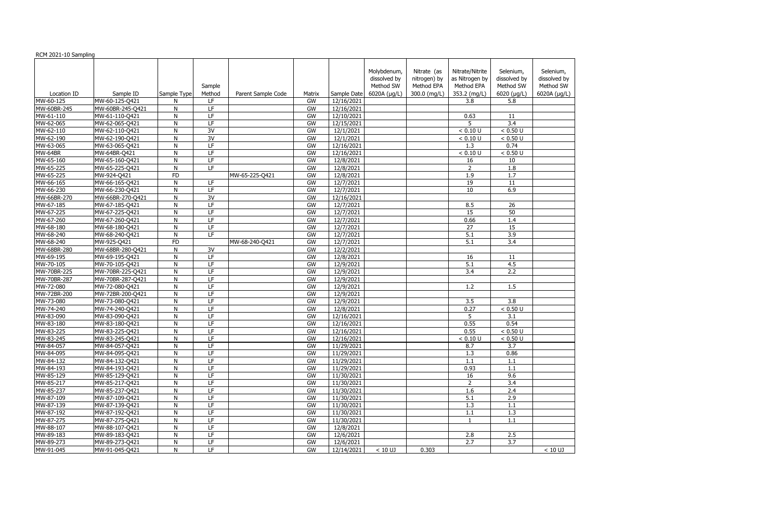|             |                  |              |                                                                                             |                    |        |             | Molybdenum,  | Nitrate (as  | Nitrate/Nitrite  | Selenium,        | Selenium,    |
|-------------|------------------|--------------|---------------------------------------------------------------------------------------------|--------------------|--------|-------------|--------------|--------------|------------------|------------------|--------------|
|             |                  |              |                                                                                             |                    |        |             | dissolved by | nitrogen) by | as Nitrogen by   | dissolved by     | dissolved by |
|             |                  |              | Sample                                                                                      |                    |        |             | Method SW    | Method EPA   | Method EPA       | Method SW        | Method SW    |
| Location ID | Sample ID        | Sample Type  | Method                                                                                      | Parent Sample Code | Matrix | Sample Date | 6020A (µg/L) | 300.0 (mg/L) | 353.2 (mg/L)     | 6020 (µg/L)      | 6020A (µg/L) |
| MW-60-125   | MW-60-125-Q421   | N            | LF                                                                                          |                    | GW     | 12/16/2021  |              |              | 3.8              | 5.8              |              |
| MW-60BR-245 | MW-60BR-245-Q421 | $\mathsf{N}$ | LF                                                                                          |                    | GW     | 12/16/2021  |              |              |                  |                  |              |
| MW-61-110   | MW-61-110-Q421   | N            | LF                                                                                          |                    | GW     | 12/10/2021  |              |              | 0.63             | 11               |              |
| MW-62-065   | MW-62-065-Q421   | N            | LF                                                                                          |                    | GW     | 12/15/2021  |              |              | 5                | 3.4              |              |
| MW-62-110   | MW-62-110-Q421   | N            | 3V                                                                                          |                    | GW     | 12/1/2021   |              |              | < 0.10 U         | < 0.50 U         |              |
| MW-62-190   | MW-62-190-Q421   | ${\sf N}$    | $\overline{3V}$                                                                             |                    | GW     | 12/1/2021   |              |              | < 0.10 U         | < 0.50 U         |              |
| MW-63-065   | MW-63-065-Q421   | N            | $\overline{\mathsf{LF}}$                                                                    |                    | GW     | 12/16/2021  |              |              | 1.3              | 0.74             |              |
| MW-64BR     | MW-64BR-Q421     | N            | LF                                                                                          |                    | GW     | 12/16/2021  |              |              | < 0.10 U         | < 0.50 U         |              |
| MW-65-160   | MW-65-160-Q421   | N            | LF                                                                                          |                    | GW     | 12/8/2021   |              |              | 16               | 10               |              |
| MW-65-225   | MW-65-225-Q421   | ${\sf N}$    | $\overline{\mathsf{LF}}$                                                                    |                    | GW     | 12/8/2021   |              |              | $\overline{2}$   | 1.8              |              |
| MW-65-225   | MW-924-Q421      | FD           |                                                                                             | MW-65-225-Q421     | GW     | 12/8/2021   |              |              | 1.9              | 1.7              |              |
| MW-66-165   | MW-66-165-Q421   | $\mathsf{N}$ | LF                                                                                          |                    | GW     | 12/7/2021   |              |              | $\overline{19}$  | $\overline{11}$  |              |
| MW-66-230   | MW-66-230-Q421   | $\mathsf{N}$ | LF                                                                                          |                    | GW     | 12/7/2021   |              |              | $\overline{10}$  | 6.9              |              |
| MW-66BR-270 | MW-66BR-270-Q421 | $\mathsf{N}$ | $\overline{3V}$                                                                             |                    | GW     | 12/16/2021  |              |              |                  |                  |              |
| MW-67-185   | MW-67-185-Q421   | N            | $\overline{\mathsf{LF}}$                                                                    |                    | GW     | 12/7/2021   |              |              | 8.5              | $\overline{26}$  |              |
| MW-67-225   | MW-67-225-Q421   | N            | LF                                                                                          |                    | GW     | 12/7/2021   |              |              | 15               | 50               |              |
| MW-67-260   | MW-67-260-Q421   | N            | LF                                                                                          |                    | GW     | 12/7/2021   |              |              | 0.66             | 1.4              |              |
| MW-68-180   | MW-68-180-Q421   | N            | LF                                                                                          |                    | GW     | 12/7/2021   |              |              | 27               | 15               |              |
| MW-68-240   | MW-68-240-Q421   | $\mathsf{N}$ | LF                                                                                          |                    | GW     | 12/7/2021   |              |              | $\overline{5.1}$ | $\overline{3.9}$ |              |
| MW-68-240   | MW-925-Q421      | <b>FD</b>    |                                                                                             | MW-68-240-Q421     | GW     | 12/7/2021   |              |              | 5.1              | 3.4              |              |
| MW-68BR-280 | MW-68BR-280-Q421 | $\mathsf{N}$ | 3V                                                                                          |                    | GW     | 12/2/2021   |              |              |                  |                  |              |
| MW-69-195   | MW-69-195-Q421   | ${\sf N}$    | $\mathsf{LF}% _{0}\left( \mathcal{N}\right) \equiv\mathsf{LF}_{0}\left( \mathcal{N}\right)$ |                    | GW     | 12/8/2021   |              |              | 16               | 11               |              |
| MW-70-105   | MW-70-105-Q421   | $\mathsf{N}$ | $\overline{\mathsf{LF}}$                                                                    |                    | GW     | 12/9/2021   |              |              | $\overline{5.1}$ | 4.5              |              |
| MW-70BR-225 | MW-70BR-225-Q421 | N            | LF                                                                                          |                    | GW     | 12/9/2021   |              |              | 3.4              | 2.2              |              |
| MW-70BR-287 | MW-70BR-287-Q421 | $\mathsf{N}$ | LF                                                                                          |                    | GW     | 12/9/2021   |              |              |                  |                  |              |
| MW-72-080   | MW-72-080-Q421   | $\mathsf{N}$ | LF                                                                                          |                    | GW     | 12/9/2021   |              |              | 1.2              | 1.5              |              |
| MW-72BR-200 | MW-72BR-200-Q421 | N            | LF                                                                                          |                    | GW     | 12/9/2021   |              |              |                  |                  |              |
| MW-73-080   | MW-73-080-Q421   | ${\sf N}$    | $\overline{\mathsf{LF}}$                                                                    |                    | GW     | 12/9/2021   |              |              | 3.5              | $\overline{3.8}$ |              |
| MW-74-240   | MW-74-240-Q421   | N            | LF                                                                                          |                    | GW     | 12/8/2021   |              |              | 0.27             | < 0.50 U         |              |
| MW-83-090   | MW-83-090-Q421   | N            | LF                                                                                          |                    | GW     | 12/16/2021  |              |              | 5                | $\overline{3.1}$ |              |
| MW-83-180   | MW-83-180-Q421   | N            | LF                                                                                          |                    | GW     | 12/16/2021  |              |              | 0.55             | 0.54             |              |
| MW-83-225   | MW-83-225-Q421   | N            | LF                                                                                          |                    | GW     | 12/16/2021  |              |              | 0.55             | < 0.50 U         |              |
| MW-83-245   | MW-83-245-Q421   | N            | LF                                                                                          |                    | GW     | 12/16/2021  |              |              | < 0.10 U         | < 0.50 U         |              |
| MW-84-057   | MW-84-057-Q421   | N            | LF                                                                                          |                    | GW     | 11/29/2021  |              |              | 8.7              | 3.7              |              |
| MW-84-095   | MW-84-095-Q421   | N            | LF                                                                                          |                    | GW     | 11/29/2021  |              |              | 1.3              | 0.86             |              |
| MW-84-132   | MW-84-132-Q421   | ${\sf N}$    | LF                                                                                          |                    | GW     | 11/29/2021  |              |              | 1.1              | 1.1              |              |
| MW-84-193   | MW-84-193-Q421   | N            | LF                                                                                          |                    | GW     | 11/29/2021  |              |              | 0.93             | 1.1              |              |
| MW-85-129   | MW-85-129-Q421   | N            | LF                                                                                          |                    | GW     | 11/30/2021  |              |              | 16               | 9.6              |              |
| MW-85-217   | MW-85-217-Q421   | N            | LF                                                                                          |                    | GW     | 11/30/2021  |              |              | 2                | 3.4              |              |
| MW-85-237   | MW-85-237-Q421   | ${\sf N}$    | LF.                                                                                         |                    | GW     | 11/30/2021  |              |              | 1.6              | 2.4              |              |
| MW-87-109   | MW-87-109-Q421   | N            | LF.                                                                                         |                    | GW     | 11/30/2021  |              |              | 5.1              | 2.9              |              |
| MW-87-139   | MW-87-139-Q421   | ${\sf N}$    | LF                                                                                          |                    | GW     | 11/30/2021  |              |              | 1.3              | 1.1              |              |
| MW-87-192   | MW-87-192-Q421   | ${\sf N}$    | LF                                                                                          |                    | GW     | 11/30/2021  |              |              | 1.1              | 1.3              |              |
| MW-87-275   | MW-87-275-Q421   | N            | $\overline{LF}$                                                                             |                    | GW     | 11/30/2021  |              |              |                  | 1.1              |              |
| MW-88-107   | MW-88-107-Q421   | ${\sf N}$    | LF                                                                                          |                    | GW     | 12/8/2021   |              |              |                  |                  |              |
| MW-89-183   | MW-89-183-Q421   | ${\sf N}$    | $\overline{LF}$                                                                             |                    | GW     | 12/6/2021   |              |              | 2.8              | 2.5              |              |
| MW-89-273   | MW-89-273-Q421   | ${\sf N}$    | $\overline{LF}$                                                                             |                    | GW     | 12/6/2021   |              |              | 2.7              | $\overline{3.7}$ |              |
| MW-91-045   | MW-91-045-Q421   | ${\sf N}$    | $\overline{LF}$                                                                             |                    | GW     | 12/14/2021  | $< 10$ UJ    | 0.303        |                  |                  | $< 10$ UJ    |
|             |                  |              |                                                                                             |                    |        |             |              |              |                  |                  |              |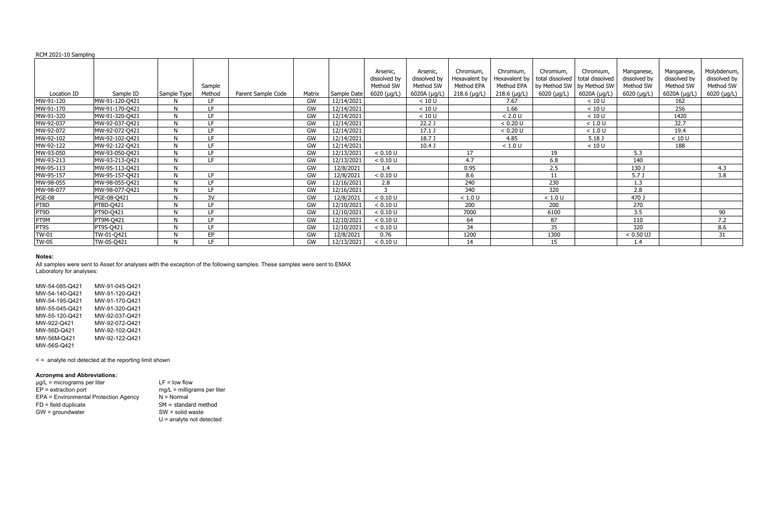| RCM 2021-10 Sampling |
|----------------------|
|----------------------|

|               |                |             |        |                    |        |             | Arsenic,<br>dissolved by | Arsenic,<br>dissolved by | Chromium,<br>Hexavalent by | Chromium,<br>Hexavalent by | Chromium,<br>total dissolved   total dissolved | Chromium,    | Manganese,<br>dissolved by | Manganese,<br>dissolved by | Molybdenum,               |
|---------------|----------------|-------------|--------|--------------------|--------|-------------|--------------------------|--------------------------|----------------------------|----------------------------|------------------------------------------------|--------------|----------------------------|----------------------------|---------------------------|
|               |                |             | Sample |                    |        |             | Method SW                | Method SW                | Method EPA                 | Method EPA                 | by Method SW   by Method SW                    |              | Method SW                  | Method SW                  | dissolved by<br>Method SW |
| Location ID   | Sample ID      | Sample Type | Method | Parent Sample Code | Matrix | Sample Date | $6020$ (µg/L)            | 6020A (µg/L)             | $218.6$ (µg/L)             | $218.6$ (µg/L)             | $6020 \; (\mu g/L)$                            | 6020A (µg/L) | 6020 (µg/L)                | 6020A (µg/L)               | 6020 (µg/L)               |
| MW-91-120     | MW-91-120-Q421 |             | LF.    |                    | GW     | 12/14/2021  |                          | < 10 U                   |                            | 7.67                       |                                                | < 10 U       |                            | 162                        |                           |
| MW-91-170     | MW-91-170-Q421 |             | LF     |                    | GW     | 12/14/2021  |                          | < 10 U                   |                            | 1.66                       |                                                | < 10 U       |                            | 256                        |                           |
| MW-91-320     | MW-91-320-Q421 |             | LF     |                    | GW     | 12/14/2021  |                          | < 10 U                   |                            | < 2.0 U                    |                                                | < 10 U       |                            | 1420                       |                           |
| MW-92-037     | MW-92-037-Q421 |             | LF     |                    | GW     | 12/14/2021  |                          | 22.2J                    |                            | < 0.20 U                   |                                                | $<1.0$ U     |                            | 32.7                       |                           |
| MW-92-072     | MW-92-072-Q421 |             | LF     |                    | GW     | 12/14/2021  |                          | $17.1$ J                 |                            | < 0.20 U                   |                                                | < 1.0 U      |                            | 19.4                       |                           |
| MW-92-102     | MW-92-102-Q421 |             | LF     |                    | GW     | 12/14/2021  |                          | 18.7 J                   |                            | 4.85                       |                                                | 5.18J        |                            | < 10 U                     |                           |
| MW-92-122     | MW-92-122-Q421 |             | LF.    |                    | GW     | 12/14/2021  |                          | 10.4 <sub>J</sub>        |                            | < 1.0 U                    |                                                | < 10 U       |                            | 188                        |                           |
| MW-93-050     | MW-93-050-Q421 | N           | LF     |                    | GW     | 12/13/2021  | < 0.10 U                 |                          | 17                         |                            | 19                                             |              | 5.3                        |                            |                           |
| MW-93-213     | MW-93-213-Q421 | M           | LF.    |                    | GW     | 12/13/2021  | < 0.10 U                 |                          | 4.7                        |                            | 6.8                                            |              | 140                        |                            |                           |
| MW-95-113     | MW-95-113-Q421 | N           |        |                    | GW     | 12/8/2021   | $1.4^{\circ}$            |                          | 0.95                       |                            | 2.5                                            |              | 130 J                      |                            | 4.3                       |
| MW-95-157     | MW-95-157-Q421 |             | LF.    |                    | GW     | 12/8/2021   | < 0.10 U                 |                          | 8.6                        |                            | 11                                             |              | 5.7 <sub>J</sub>           |                            | 3.8                       |
| MW-98-055     | MW-98-055-Q421 |             | ΙF     |                    | GW     | 12/16/2021  | 2.8                      |                          | 240                        |                            | 230                                            |              | 1.3                        |                            |                           |
| MW-98-077     | MW-98-077-Q421 |             | ΙF     |                    | GW     | 12/16/2021  | 3                        |                          | 340                        |                            | 320                                            |              | 2.8                        |                            |                           |
| <b>PGE-08</b> | PGE-08-Q421    |             | 3V     |                    | GW     | 12/8/2021   | < 0.10 U                 |                          | < 1.0 U                    |                            | < 1.0 U                                        |              | 470 J                      |                            |                           |
| PT8D          | PT8D-Q421      |             | LF     |                    | GW     | 12/10/2021  | < 0.10 U                 |                          | 200                        |                            | 200                                            |              | 270                        |                            |                           |
| PT9D          | PT9D-Q421      |             | LF     |                    | GW     | 12/10/2021  | < 0.10 U                 |                          | 7000                       |                            | 6100                                           |              | 3.5                        |                            | 90                        |
| PT9M          | PT9M-Q421      |             | LF.    |                    | GW     | 12/10/2021  | < 0.10 U                 |                          | 64                         |                            | 87                                             |              | 110                        |                            | 7.2                       |
| PT9S          | PT9S-Q421      |             | LF     |                    | GW     | 12/10/2021  | < 0.10 U                 |                          | 34                         |                            | 35                                             |              | 320                        |                            | 8.6                       |
| $TW-01$       | TW-01-Q421     |             | EP     |                    | GW     | 12/8/2021   | 0.76                     |                          | 1200                       |                            | 1300                                           |              | $< 0.50$ UJ                |                            | 31                        |
| <b>TW-05</b>  | TW-05-Q421     |             | LF     |                    | GW     | 12/13/2021  | < 0.10 U                 |                          | 14                         |                            | 15                                             |              | 1.4                        |                            |                           |

| MW-54-085-Q421 | MW-91-045-Q421 |
|----------------|----------------|
| MW-54-140-Q421 | MW-91-120-Q421 |
| MW-54-195-Q421 | MW-91-170-Q421 |
| MW-55-045-Q421 | MW-91-320-Q421 |
| MW-55-120-Q421 | MW-92-037-Q421 |
| MW-922-Q421    | MW-92-072-Q421 |
| MW-56D-Q421    | MW-92-102-Q421 |
| MW-56M-Q421    | MW-92-122-Q421 |
| MW-56S-Q421    |                |

< = analyte not detected at the reporting limit shown

# **Acronyms and Abbreviations:**

| $\mu$ g/L = micrograms per liter      | $LF = low flow$               |
|---------------------------------------|-------------------------------|
| $EP =$ extraction port                | $mq/L =$ milligrams per liter |
| EPA = Environmental Protection Agency | $N = Normal$                  |
| $FD = field$ duplicate                | $SM = standard$ method        |
| $GW =$ groundwater                    | $SW = solid waste$            |
|                                       | $U =$ analyte not detected    |

All samples were sent to Asset for analyses with the exception of the following samples. These samples were sent to EMAX Laboratory for analyses: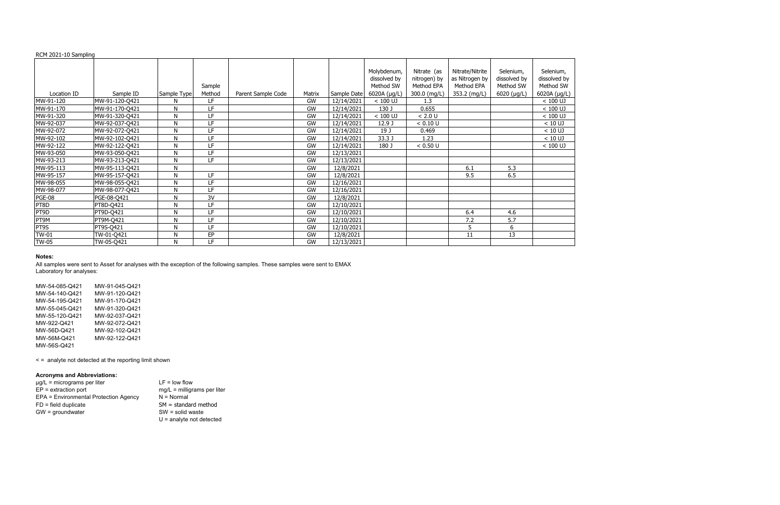| RCM 2021-10 Sampling |
|----------------------|
|----------------------|

| MW-54-085-Q421 | MW-91-045-Q421 |
|----------------|----------------|
| MW-54-140-Q421 | MW-91-120-Q421 |
| MW-54-195-Q421 | MW-91-170-Q421 |
| MW-55-045-Q421 | MW-91-320-Q421 |
| MW-55-120-Q421 | MW-92-037-Q421 |
| MW-922-Q421    | MW-92-072-Q421 |
| MW-56D-Q421    | MW-92-102-Q421 |
| MW-56M-Q421    | MW-92-122-Q421 |
| MW-56S-Q421    |                |

|               |                |              |           |                    |           |             | Molybdenum,  | Nitrate (as  | Nitrate/Nitrite | Selenium,     | Selenium,    |
|---------------|----------------|--------------|-----------|--------------------|-----------|-------------|--------------|--------------|-----------------|---------------|--------------|
|               |                |              |           |                    |           |             | dissolved by | nitrogen) by | as Nitrogen by  | dissolved by  | dissolved by |
|               |                |              | Sample    |                    |           |             | Method SW    | Method EPA   | Method EPA      | Method SW     | Method SW    |
| Location ID   | Sample ID      | Sample Type  | Method    | Parent Sample Code | Matrix    | Sample Date | 6020A (µg/L) | 300.0 (mg/L) | 353.2 (mg/L)    | $6020$ (µg/L) | 6020A (µg/L) |
| MW-91-120     | MW-91-120-Q421 | N            | LF        |                    | GW        | 12/14/2021  | $< 100$ UJ   | 1.3          |                 |               | $< 100$ UJ   |
| MW-91-170     | MW-91-170-Q421 | N            | LF        |                    | GW        | 12/14/2021  | 130 J        | 0.655        |                 |               | $< 100$ UJ   |
| MW-91-320     | MW-91-320-Q421 | N            | LF        |                    | GW        | 12/14/2021  | $< 100$ UJ   | < 2.0 U      |                 |               | $< 100$ UJ   |
| MW-92-037     | MW-92-037-Q421 | $\mathsf{N}$ | LF        |                    | GW        | 12/14/2021  | 12.9 J       | < 0.10 U     |                 |               | $< 10$ UJ    |
| MW-92-072     | MW-92-072-Q421 | $\mathsf{N}$ | LF        |                    | GW        | 12/14/2021  | 19 J         | 0.469        |                 |               | $< 10$ UJ    |
| MW-92-102     | MW-92-102-Q421 | $\mathsf{N}$ | LF        |                    | GW        | 12/14/2021  | 33.3 J       | 1.23         |                 |               | $< 10$ UJ    |
| MW-92-122     | MW-92-122-Q421 | N            | LF        |                    | GW        | 12/14/2021  | 180 J        | < 0.50 U     |                 |               | $< 100$ UJ   |
| MW-93-050     | MW-93-050-Q421 | $\mathsf{N}$ | LF        |                    | GW        | 12/13/2021  |              |              |                 |               |              |
| MW-93-213     | MW-93-213-Q421 | N            | LF        |                    | GW        | 12/13/2021  |              |              |                 |               |              |
| MW-95-113     | MW-95-113-Q421 | N            |           |                    | GW        | 12/8/2021   |              |              | 6.1             | 5.3           |              |
| MW-95-157     | MW-95-157-Q421 | N            | <b>LF</b> |                    | <b>GW</b> | 12/8/2021   |              |              | 9.5             | 6.5           |              |
| MW-98-055     | MW-98-055-Q421 | N            | LF        |                    | <b>GW</b> | 12/16/2021  |              |              |                 |               |              |
| MW-98-077     | MW-98-077-Q421 | N            | ΙF        |                    | <b>GW</b> | 12/16/2021  |              |              |                 |               |              |
| <b>PGE-08</b> | PGE-08-Q421    | N            | 3V        |                    | GW        | 12/8/2021   |              |              |                 |               |              |
| PT8D          | PT8D-Q421      | N            | <b>LF</b> |                    | GW        | 12/10/2021  |              |              |                 |               |              |
| PT9D          | PT9D-Q421      | N            | LF        |                    | GW        | 12/10/2021  |              |              | 6.4             | 4.6           |              |
| PT9M          | PT9M-Q421      | N            | LF        |                    | GW        | 12/10/2021  |              |              | 7.2             | 5.7           |              |
| PT9S          | PT9S-Q421      | N            | LF        |                    | GW        | 12/10/2021  |              |              |                 | 6             |              |
| <b>TW-01</b>  | TW-01-Q421     | N            | EP        |                    | GW        | 12/8/2021   |              |              | 11              | 13            |              |
| <b>TW-05</b>  | TW-05-Q421     | N            | LF        |                    | GW        | 12/13/2021  |              |              |                 |               |              |

< = analyte not detected at the reporting limit shown

# **Acronyms and Abbreviations:**

| $\mu$ g/L = micrograms per liter      | $LF = low flow$               |
|---------------------------------------|-------------------------------|
| $EP =$ extraction port                | $mg/L =$ milligrams per liter |
| EPA = Environmental Protection Agency | $N = Normal$                  |
| $FD = field$ duplicate                | $SM = standard$ method        |
| $GW =$ groundwater                    | $SW = solid waste$            |
|                                       | $U =$ analyte not detected    |

All samples were sent to Asset for analyses with the exception of the following samples. These samples were sent to EMAX Laboratory for analyses: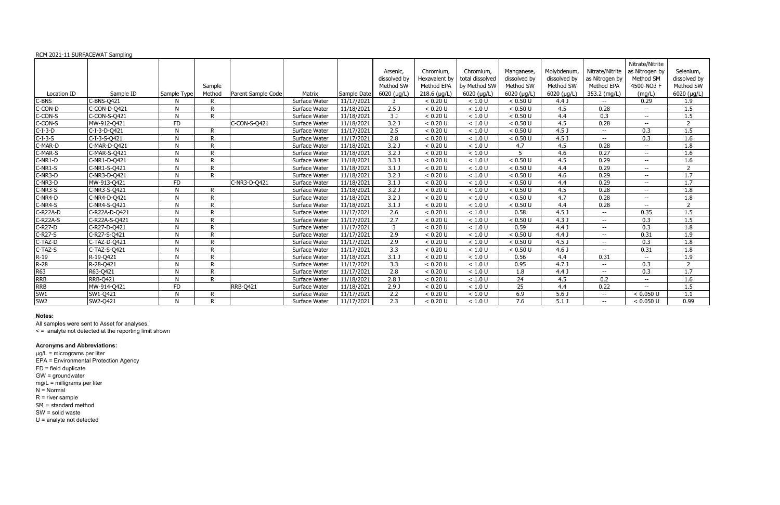### RCM 2021-11 SURFACEWAT Sampling

|                 | $\frac{1}{2}$ . EVEI 11 00.000 . The state of the state of $\frac{1}{2}$ |             |        |                    |               |             | Arsenic,            | Chromium,      | Chromium,           | Manganese,          | Molybdenum,      | Nitrate/Nitrite  | Nitrate/Nitrite<br>as Nitrogen by | Selenium,           |
|-----------------|--------------------------------------------------------------------------|-------------|--------|--------------------|---------------|-------------|---------------------|----------------|---------------------|---------------------|------------------|------------------|-----------------------------------|---------------------|
|                 |                                                                          |             |        |                    |               |             | dissolved by        | Hexavalent by  | total dissolved     | dissolved by        | dissolved by     | as Nitrogen by   | Method SM                         | dissolved by        |
|                 |                                                                          |             | Sample |                    |               |             | Method SW           | Method EPA     | by Method SW        | Method SW           | Method SW        | Method EPA       | 4500-NO3 F                        | Method SW           |
| Location ID     | Sample ID                                                                | Sample Type | Method | Parent Sample Code | Matrix        | Sample Date | $6020$ ( $\mu$ g/L) | $218.6$ (µg/L) | $6020$ ( $\mu$ g/L) | $6020$ ( $\mu$ g/L) | 6020 (µg/L)      | 353.2 (mg/L)     | (mg/L)                            | $6020$ ( $\mu$ g/L) |
| -BNS            | C-BNS-0421                                                               |             |        |                    | Surface Water | 11/17/2021  | 3                   | < 0.20 U       | < 1.0 U             | < 0.50 U            | 4.4 <sub>J</sub> | $\sim$           | 0.29                              | 1.9                 |
| C-CON-D         | C-CON-D-Q421                                                             | N           | R      |                    | Surface Water | 11/18/2021  | 2.5 <sub>J</sub>    | < 0.20 U       | < 1.0 U             | < 0.50 U            | 4.5              | 0.28             |                                   | 1.5                 |
| C-CON-S         | C-CON-S-Q421                                                             | N           | R      |                    | Surface Water | 11/18/2021  | $\overline{3J}$     | < 0.20 U       | < 1.0 U             | < 0.50 U            | 4.4              | $\overline{0.3}$ | ÷÷                                | 1.5                 |
| C-CON-S         | MW-912-Q421                                                              | FD.         |        | C-CON-S-Q421       | Surface Water | 11/18/2021  | 3.2 <sub>0</sub>    | < 0.20 U       | < 1.0 U             | < 0.50 U            | 4.5              | 0.28             |                                   | $\overline{2}$      |
| $-1 - 3 - D$    | C-I-3-D-Q421                                                             | N           | R      |                    | Surface Water | 11/17/2021  | 2.5                 | < 0.20 U       | < 1.0 U             | < 0.50 U            | 4.5 <sub>1</sub> | $- -$            | 0.3                               | 1.5                 |
| $C-I-3-S$       | C-I-3-S-Q421                                                             | N           | D      |                    | Surface Water | 11/17/2021  | 2.8                 | < 0.20 U       | < 1.0 U             | < 0.50 U            | 4.5 <sub>1</sub> | $- -$            | 0.3                               | 1.6                 |
| C-MAR-D         | C-MAR-D-Q421                                                             | N           | D      |                    | Surface Water | 11/18/2021  | 3.2 <sub>0</sub>    | < 0.20 U       | $<1.0$ U            | 4.7                 | 4.5              | 0.28             | $- -$ .                           | 1.8                 |
| C-MAR-S         | C-MAR-S-Q421                                                             | N           | D      |                    | Surface Water | 11/18/2021  | 3.2 <sub>0</sub>    | < 0.20 U       | < 1.0 U             |                     | 4.6              | 0.27             |                                   | 1.6                 |
| $C-NR1-D$       | C-NR1-D-Q421                                                             | N           | D      |                    | Surface Water | 11/18/2021  | 3.3 J               | < 0.20 U       | < 1.0 U             | < 0.50 U            | 4.5              | 0.29             |                                   | 1.6                 |
| $C-NR1-S$       | C-NR1-S-Q421                                                             | N           | D      |                    | Surface Water | 11/18/2021  | 3.1 J               | < 0.20 U       | < 1.0 U             | < 0.50 U            | 4.4              | 0.29             | $\overline{\phantom{a}}$          | $\overline{2}$      |
| C-NR3-D         | C-NR3-D-Q421                                                             | N           | D      |                    | Surface Water | 11/18/2021  | 3.2 J               | < 0.20 U       | < 1.0 U             | < 0.50 U            | 4.6              | 0.29             | $\overline{\phantom{a}}$          | 1.7                 |
| C-NR3-D         | MW-913-Q421                                                              | FD          |        | C-NR3-D-Q421       | Surface Water | 11/18/2021  | $3.1$ J             | < 0.20 U       | < 1.0 U             | < 0.50 U            | 4.4              | 0.29             | $- -$                             | 1.7                 |
| $C-NR3-S$       | C-NR3-S-Q421                                                             | N           | R      |                    | Surface Water | 11/18/2021  | 3.2 <sub>0</sub>    | < 0.20 U       | < 1.0 U             | < 0.50 U            | 4.5              | 0.28             | $- -$                             | 1.8                 |
| C-NR4-D         | C-NR4-D-Q421                                                             | N           |        |                    | Surface Water | 11/18/2021  | 3.2 <sub>0</sub>    | < 0.20 U       | $<1.0$ U            | < 0.50 U            | 4.7              | 0.28             | $\overline{\phantom{a}}$          | 1.8                 |
| $C-NR4-S$       | C-NR4-S-Q421                                                             | N           | D      |                    | Surface Water | 11/18/2021  | $3.1$ J             | < 0.20 U       | < 1.0 U             | < 0.50 U            | 4.4              | 0.28             | $- -$                             | $\overline{2}$      |
| C-R22A-D        | C-R22A-D-Q421                                                            | N           | D      |                    | Surface Water | 11/17/2021  | 2.6                 | < 0.20 U       | $<1.0$ U            | 0.58                | 4.5 <sub>1</sub> | $- -$            | 0.35                              | 1.5                 |
| $C-R22A-S$      | C-R22A-S-Q421                                                            | N           | D      |                    | Surface Water | 11/17/2021  | 2.7                 | < 0.20 U       | < 1.0 U             | < 0.50 U            | 4.3J             | $\sim$           | 0.3                               | 1.5                 |
| $-$ R27-D       | C-R27-D-Q421                                                             | N           | D      |                    | Surface Water | 11/17/2021  | 3                   | < 0.20 U       | < 1.0 U             | 0.59                | 4.4 <sub>J</sub> | $- -$            | 0.3                               | 1.8                 |
| C-R27-S         | C-R27-S-Q421                                                             | N           | D      |                    | Surface Water | 11/17/2021  | 2.9                 | < 0.20 U       | < 1.0 U             | < 0.50 U            | 4.4 <sub>J</sub> | $\sim$           | 0.31                              | 1.9                 |
| C-TAZ-D         | C-TAZ-D-Q421                                                             | N           | D      |                    | Surface Water | 11/17/2021  | 2.9                 | < 0.20 U       | < 1.0 U             | < 0.50 U            | 4.5 <sub>1</sub> | $- -$            | 0.3                               | 1.8                 |
| C-TAZ-S         | C-TAZ-S-Q421                                                             | N           | D      |                    | Surface Water | 11/17/2021  | $\overline{3.3}$    | < 0.20 U       | < 1.0 U             | < 0.50 U            | 4.6 <sub>1</sub> | $- -$            | 0.31                              | 1.8                 |
| $R-19$          | R-19-Q421                                                                | N           | D      |                    | Surface Water | 11/18/2021  | $3.1$ J             | < 0.20 U       | < 1.0 U             | 0.56                | 4.4              | 0.31             |                                   | 1.9                 |
| $R-28$          | R-28-Q421                                                                | N           |        |                    | Surface Water | 11/17/2021  | $\overline{3.3}$    | < 0.20 U       | $<1.0$ U            | 0.95                | 4.7 <sub>J</sub> | $- -$            | 0.3                               | $\overline{2}$      |
| R63             | R63-Q421                                                                 | N           | R      |                    | Surface Water | 11/17/2021  | $\overline{2.8}$    | < 0.20 U       | < 1.0 U             | 1.8                 | 4.4 <sub>J</sub> | $\sim$           | 0.3                               | 1.7                 |
| <b>RRB</b>      | <b>RRB-Q421</b>                                                          | N           | R      |                    | Surface Water | 11/18/2021  | 2.8 <sub>J</sub>    | < 0.20 U       | $<1.0$ U            | 24                  | 4.5              | 0.2              | $-$                               | 1.6                 |
| <b>RRB</b>      | MW-914-Q421                                                              | FD          |        | <b>RRB-Q421</b>    | Surface Water | 11/18/2021  | 2.9J                | < 0.20 U       | < 1.0 U             | $\overline{25}$     | 4.4              | 0.22             |                                   | 1.5                 |
| SW1             | SW1-Q421                                                                 | N           |        |                    | Surface Water | 11/17/2021  | 2.2                 | < 0.20 U       | < 1.0 U             | 6.9                 | 5.6 <sub>0</sub> | $\sim$           | < 0.050 U                         | 1.1                 |
| SW <sub>2</sub> | SW2-Q421                                                                 | N           | R      |                    | Surface Water | 11/17/2021  | 2.3                 | < 0.20 U       | < 1.0 U             | 7.6                 | $\overline{5.1}$ | $\sim$           | < 0.050 U                         | 0.99                |

### **Notes:**

All samples were sent to Asset for analyses.

< = analyte not detected at the reporting limit shown

#### **Acronyms and Abbreviations:**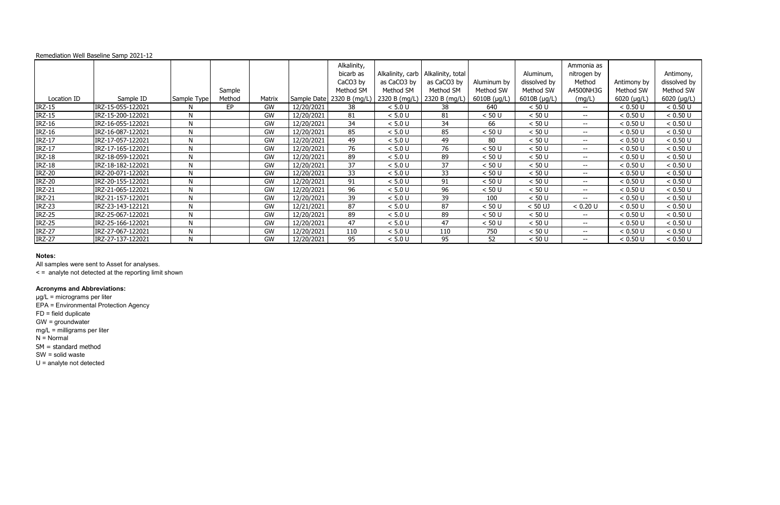|               | Remediation Well Baseline Samp 2021-12 |              |        |           |             |                 |               |                                      |              |              |                          |               |              |
|---------------|----------------------------------------|--------------|--------|-----------|-------------|-----------------|---------------|--------------------------------------|--------------|--------------|--------------------------|---------------|--------------|
|               |                                        |              |        |           |             | Alkalinity,     |               |                                      |              |              | Ammonia as               |               |              |
|               |                                        |              |        |           |             | bicarb as       |               | Alkalinity, carb   Alkalinity, total |              | Aluminum,    | nitrogen by              |               | Antimony,    |
|               |                                        |              |        |           |             | CaCO3 by        | as CaCO3 by   | as CaCO3 by                          | Aluminum by  | dissolved by | Method                   | Antimony by   | dissolved by |
|               |                                        |              | Sample |           |             | Method SM       | Method SM     | Method SM                            | Method SW    | Method SW    | A4500NH3G                | Method SW     | Method SW    |
| Location ID   | Sample ID                              | Sample Type  | Method | Matrix    | Sample Date | 2320 B (mg/L)   | 2320 B (mg/L) | 2320 B (mg/L)                        | 6010B (µg/L) | 6010B (µg/L) | (mg/L)                   | $6020$ (µg/L) | 6020 (µg/L)  |
| <b>IRZ-15</b> | IRZ-15-055-122021                      | N            | EP     | <b>GW</b> | 12/20/2021  | 38              | < 5.0 U       | 38                                   | 640          | < 50 U       | $--$                     | < 0.50 U      | < 0.50 U     |
| <b>IRZ-15</b> | IRZ-15-200-122021                      | N            |        | <b>GW</b> | 12/20/2021  | 81              | < 5.0 U       | 81                                   | < 50 U       | < 50 U       | $- -$                    | < 0.50 U      | < 0.50 U     |
| <b>IRZ-16</b> | IRZ-16-055-122021                      | N            |        | <b>GW</b> | 12/20/2021  | 34              | $< 5.0 U$     | 34                                   | 66           | < 50 U       |                          | < 0.50 U      | < 0.50 U     |
| <b>IRZ-16</b> | IRZ-16-087-122021                      | N            |        | <b>GW</b> | 12/20/2021  | 85              | < 5.0 U       | 85                                   | < 50 U       | < 50 U       | $- -$                    | < 0.50 U      | < 0.50 U     |
| <b>IRZ-17</b> | IRZ-17-057-122021                      | N            |        | GW        | 12/20/2021  | 49              | < 5.0 U       | 49                                   | 80           | < 50 U       | $- -$                    | < 0.50 U      | < 0.50 U     |
| <b>IRZ-17</b> | IRZ-17-165-122021                      | $\mathsf{N}$ |        | GW        | 12/20/2021  | 76              | < 5.0 U       | 76                                   | < 50 U       | < 50 U       | $- -$                    | < 0.50 U      | < 0.50 U     |
| <b>IRZ-18</b> | IRZ-18-059-122021                      | $\mathsf{N}$ |        | <b>GW</b> | 12/20/2021  | 89              | < 5.0 U       | 89                                   | < 50 U       | < 50 U       | $- -$                    | < 0.50 U      | < 0.50 U     |
| <b>IRZ-18</b> | IRZ-18-182-122021                      | N            |        | <b>GW</b> | 12/20/2021  | $\overline{37}$ | $< 5.0 U$     | 37                                   | < 50 U       | < 50 U       | $- -$                    | < 0.50 U      | < 0.50 U     |
| <b>IRZ-20</b> | IRZ-20-071-122021                      | N            |        | <b>GW</b> | 12/20/2021  | 33              | < 5.0 U       | 33                                   | < 50 U       | < 50 U       | $\sim$ $\sim$            | < 0.50 U      | < 0.50 U     |
| <b>IRZ-20</b> | IRZ-20-155-122021                      | N            |        | <b>GW</b> | 12/20/2021  | 91              | < 5.0 U       | 91                                   | < 50 U       | < 50 U       | $\overline{\phantom{a}}$ | < 0.50 U      | < 0.50 U     |
| <b>IRZ-21</b> | IRZ-21-065-122021                      | N            |        | <b>GW</b> | 12/20/2021  | 96              | < 5.0 U       | 96                                   | < 50 U       | < 50 U       | $- -$                    | < 0.50 U      | < 0.50 U     |
| <b>IRZ-21</b> | IRZ-21-157-122021                      | N            |        | <b>GW</b> | 12/20/2021  | 39              | < 5.0 U       | 39                                   | 100          | < 50 U       | --                       | < 0.50 U      | < 0.50 U     |
| <b>IRZ-23</b> | IRZ-23-143-122121                      | N            |        | <b>GW</b> | 12/21/2021  | 87              | $< 5.0 U$     | 87                                   | < 50 U       | $< 50$ UJ    | < 0.20 U                 | < 0.50 U      | < 0.50 U     |
| <b>IRZ-25</b> | IRZ-25-067-122021                      | N            |        | <b>GW</b> | 12/20/2021  | 89              | $< 5.0 U$     | 89                                   | < 50 U       | < 50 U       | $\sim$ $\sim$            | < 0.50 U      | < 0.50 U     |
| <b>IRZ-25</b> | IRZ-25-166-122021                      | N            |        | <b>GW</b> | 12/20/2021  | 47              | < 5.0 U       | 47                                   | < 50 U       | < 50 U       | $- -$                    | < 0.50 U      | < 0.50 U     |
| <b>IRZ-27</b> | IRZ-27-067-122021                      | N            |        | <b>GW</b> | 12/20/2021  | 110             | < 5.0 U       | 110                                  | 750          | < 50 U       | --                       | < 0.50 U      | < 0.50 U     |
| <b>IRZ-27</b> | IRZ-27-137-122021                      | N            |        | GW        | 12/20/2021  | 95              | < 5.0 U       | 95                                   | 52           | < 50 U       | $- -$                    | < 0.50 U      | < 0.50 U     |

All samples were sent to Asset for analyses.

< = analyte not detected at the reporting limit shown

# **Acronyms and Abbreviations:**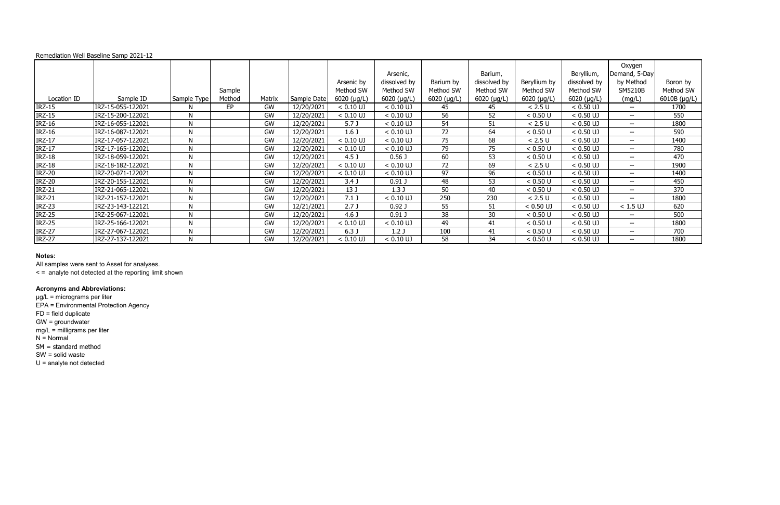All samples were sent to Asset for analyses.

< = analyte not detected at the reporting limit shown

# **Acronyms and Abbreviations:**

|               | Remediation Well Baseline Samp 2021-12 |              |        |        |             |                  |                   |               |              |               |               |                         |              |
|---------------|----------------------------------------|--------------|--------|--------|-------------|------------------|-------------------|---------------|--------------|---------------|---------------|-------------------------|--------------|
|               |                                        |              |        |        |             |                  | Arsenic,          |               | Barium,      |               | Beryllium,    | Oxygen<br>Demand, 5-Day |              |
|               |                                        |              |        |        |             | Arsenic by       | dissolved by      | Barium by     | dissolved by | Beryllium by  | dissolved by  | by Method               | Boron by     |
|               |                                        |              | Sample |        |             | Method SW        | Method SW         | Method SW     | Method SW    | Method SW     | Method SW     | SM5210B                 | Method SW    |
| Location ID   | Sample ID                              | Sample Type  | Method | Matrix | Sample Date | $6020$ (µg/L)    | 6020 (µg/L)       | $6020$ (µg/L) | 6020 (µg/L)  | $6020$ (µg/L) | $6020$ (µg/L) | (mg/L)                  | 6010B (µg/L) |
| <b>IRZ-15</b> | IRZ-15-055-122021                      | M            | EP     | GW     | 12/20/2021  | $< 0.10$ UJ      | $< 0.10$ UJ       | 45            | 45           | < 2.5 U       | $< 0.50$ UJ   | $- -$ .                 | 1700         |
| <b>IRZ-15</b> | IRZ-15-200-122021                      | N            |        | GW     | 12/20/2021  | $< 0.10$ UJ      | $< 0.10$ UJ       | 56            | 52           | < 0.50 U      | $< 0.50$ UJ   | $- -$                   | 550          |
| <b>IRZ-16</b> | IRZ-16-055-122021                      | N            |        | GW     | 12/20/2021  | 5.7 <sub>J</sub> | $< 0.10$ UJ       | 54            | 51           | < 2.5 U       | $< 0.50$ UJ   | $- -$                   | 1800         |
| <b>IRZ-16</b> | IRZ-16-087-122021                      | N            |        | GW     | 12/20/2021  | 1.6 <sub>J</sub> | $< 0.10$ UJ       | 72            | 64           | < 0.50 U      | $< 0.50$ UJ   | $-  \,$                 | 590          |
| <b>IRZ-17</b> | IRZ-17-057-122021                      | N            |        | GW     | 12/20/2021  | $< 0.10$ UJ      | $< 0.10$ UJ       | 75            | 68           | < 2.5 U       | $< 0.50$ UJ   | $- -$ .                 | 1400         |
| $IRZ-17$      | IRZ-17-165-122021                      | N            |        | GW     | 12/20/2021  | $< 0.10$ UJ      | $< 0.10$ UJ       | 79            | 75           | < 0.50 U      | $< 0.50$ UJ   | $--$                    | 780          |
| <b>IRZ-18</b> | IRZ-18-059-122021                      | $\mathsf{N}$ |        | GW     | 12/20/2021  | 4.5 <sub>J</sub> | 0.56 <sub>J</sub> | 60            | 53           | < 0.50 U      | $< 0.50$ UJ   | $- -$                   | 470          |
| <b>IRZ-18</b> | IRZ-18-182-122021                      | $\mathsf{N}$ |        | GW     | 12/20/2021  | $< 0.10$ UJ      | $< 0.10$ UJ       | 72            | 69           | < 2.5 U       | $< 0.50$ UJ   | $- -$                   | 1900         |
| <b>IRZ-20</b> | IRZ-20-071-122021                      | N            |        | GW     | 12/20/2021  | $< 0.10$ UJ      | $< 0.10$ UJ       | 97            | 96           | < 0.50 U      | $< 0.50$ UJ   | $- -$ .                 | 1400         |
| <b>IRZ-20</b> | IRZ-20-155-122021                      | N            |        | GW     | 12/20/2021  | 3.4 <sub>J</sub> | $0.91$ J          | 48            | 53           | < 0.50 U      | $< 0.50$ UJ   | $-  \,$                 | 450          |
| <b>IRZ-21</b> | IRZ-21-065-122021                      | Ν            |        | GW     | 12/20/2021  | 13 <sub>J</sub>  | 1.3J              | 50            | 40           | < 0.50 U      | $< 0.50$ UJ   | $--$                    | 370          |
| <b>IRZ-21</b> | IRZ-21-157-122021                      | N            |        | GW     | 12/20/2021  | 7.1 <sub>J</sub> | $< 0.10$ UJ       | 250           | 230          | < 2.5 U       | $< 0.50$ UJ   | $- -$                   | 1800         |
| <b>IRZ-23</b> | IRZ-23-143-122121                      | N            |        | GW     | 12/21/2021  | 2.7J             | 0.92 <sub>J</sub> | 55            | 51           | $< 0.50$ UJ   | $< 0.50$ UJ   | $< 1.5$ UJ              | 620          |
| <b>IRZ-25</b> | IRZ-25-067-122021                      | N            |        | GW     | 12/20/2021  | 4.6 <sub>J</sub> | $0.91$ J          | 38            | 30           | < 0.50 U      | $< 0.50$ UJ   | $- -$                   | 500          |
| <b>IRZ-25</b> | IRZ-25-166-122021                      | N            |        | GW     | 12/20/2021  | $< 0.10$ UJ      | $< 0.10$ UJ       | 49            | 41           | < 0.50 U      | $< 0.50$ UJ   | $- -$ .                 | 1800         |
| <b>IRZ-27</b> | IRZ-27-067-122021                      | N            |        | GW     | 12/20/2021  | 6.3J             | 1.2 <sub>J</sub>  | 100           | 41           | < 0.50 U      | $< 0.50$ UJ   | $- -$                   | 700          |
| <b>IRZ-27</b> | IRZ-27-137-122021                      | N            |        | GW     | 12/20/2021  | $< 0.10$ UJ      | $< 0.10$ UJ       | 58            | 34           | < 0.50 U      | $< 0.50$ UJ   | $- -$ .                 | 1800         |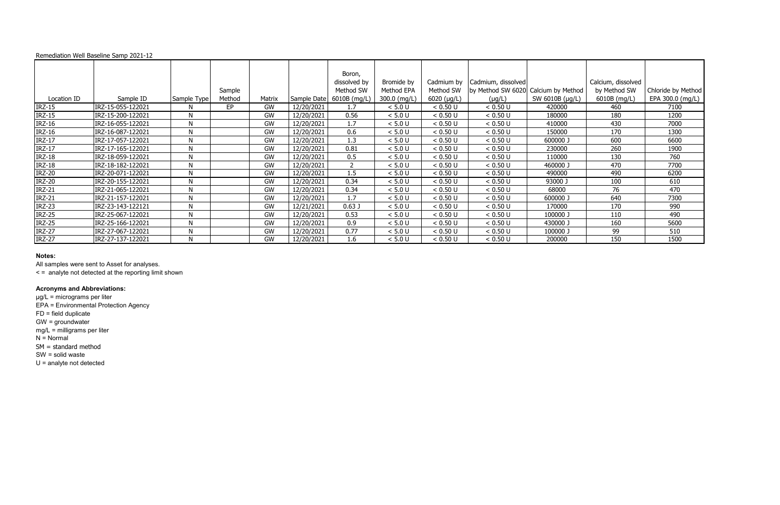All samples were sent to Asset for analyses.

< = analyte not detected at the reporting limit shown

# **Acronyms and Abbreviations:**

|               | Remediation Well Baseline Samp 2021-12 |              |        |           |             |                |              |                     |                                     |                 |                    |                    |
|---------------|----------------------------------------|--------------|--------|-----------|-------------|----------------|--------------|---------------------|-------------------------------------|-----------------|--------------------|--------------------|
|               |                                        |              |        |           |             | Boron,         |              |                     |                                     |                 |                    |                    |
|               |                                        |              |        |           |             | dissolved by   | Bromide by   | Cadmium by          | Cadmium, dissolved                  |                 | Calcium, dissolved |                    |
|               |                                        |              | Sample |           |             | Method SW      | Method EPA   | Method SW           | by Method SW 6020 Calcium by Method |                 | by Method SW       | Chloride by Method |
| Location ID   | Sample ID                              | Sample Type  | Method | Matrix    | Sample Date | 6010B (mg/L)   | 300.0 (mg/L) | $6020$ ( $\mu$ g/L) | $(\mu g/L)$                         | SW 6010B (µg/L) | 6010B (mg/L)       | EPA 300.0 (mg/L)   |
| <b>IRZ-15</b> | IRZ-15-055-122021                      | N.           | EP     | GW        | 12/20/2021  | 1.7            | < 5.0 U      | < 0.50 U            | < 0.50 U                            | 420000          | 460                | 7100               |
| <b>IRZ-15</b> | IRZ-15-200-122021                      | N            |        | GW        | 12/20/2021  | 0.56           | < 5.0 U      | < 0.50 U            | < 0.50 U                            | 180000          | 180                | 1200               |
| <b>IRZ-16</b> | IRZ-16-055-122021                      | $\mathsf{N}$ |        | GW        | 12/20/2021  | 1.7            | < 5.0 U      | < 0.50 U            | < 0.50 U                            | 410000          | 430                | 7000               |
| <b>IRZ-16</b> | IRZ-16-087-122021                      | $\mathsf{N}$ |        | GW        | 12/20/2021  | 0.6            | < 5.0 U      | < 0.50 U            | < 0.50 U                            | 150000          | 170                | 1300               |
| <b>IRZ-17</b> | IRZ-17-057-122021                      | N            |        | GW        | 12/20/2021  | 1.3            | < 5.0 U      | < 0.50 U            | < 0.50 U                            | 600000 J        | 600                | 6600               |
| <b>IRZ-17</b> | IRZ-17-165-122021                      | N            |        | GW        | 12/20/2021  | 0.81           | < 5.0 U      | < 0.50 U            | < 0.50 U                            | 230000          | 260                | 1900               |
| <b>IRZ-18</b> | IRZ-18-059-122021                      | N            |        | GW        | 12/20/2021  | 0.5            | < 5.0 U      | < 0.50 U            | < 0.50 U                            | 110000          | 130                | 760                |
| <b>IRZ-18</b> | IRZ-18-182-122021                      | N            |        | <b>GW</b> | 12/20/2021  | $\overline{2}$ | < 5.0 U      | < 0.50 U            | < 0.50 U                            | 460000 J        | 470                | 7700               |
| <b>IRZ-20</b> | IRZ-20-071-122021                      | N            |        | GW        | 12/20/2021  | 1.5            | < 5.0 U      | < 0.50 U            | < 0.50 U                            | 490000          | 490                | 6200               |
| <b>IRZ-20</b> | IRZ-20-155-122021                      | N            |        | GW        | 12/20/2021  | 0.34           | < 5.0 U      | < 0.50 U            | < 0.50 U                            | 93000 J         | 100                | 610                |
| <b>IRZ-21</b> | IRZ-21-065-122021                      | N            |        | GW        | 12/20/2021  | 0.34           | < 5.0 U      | < 0.50 U            | < 0.50 U                            | 68000           | 76                 | 470                |
| <b>IRZ-21</b> | IRZ-21-157-122021                      | N            |        | GW        | 12/20/2021  | 1.7            | < 5.0 U      | < 0.50 U            | < 0.50 U                            | 600000 J        | 640                | 7300               |
| <b>IRZ-23</b> | IRZ-23-143-122121                      | $\mathsf{N}$ |        | GW        | 12/21/2021  | 0.63J          | < 5.0 U      | < 0.50 U            | < 0.50 U                            | 170000          | 170                | 990                |
| <b>IRZ-25</b> | IRZ-25-067-122021                      | N            |        | GW        | 12/20/2021  | 0.53           | < 5.0 U      | < 0.50 U            | < 0.50 U                            | 100000 J        | 110                | 490                |
| <b>IRZ-25</b> | IRZ-25-166-122021                      | N            |        | GW        | 12/20/2021  | 0.9            | < 5.0 U      | < 0.50 U            | < 0.50 U                            | 430000 J        | 160                | 5600               |
| <b>IRZ-27</b> | IRZ-27-067-122021                      | N            |        | <b>GW</b> | 12/20/2021  | 0.77           | < 5.0 U      | < 0.50 U            | < 0.50 U                            | 100000 J        | 99                 | 510                |
| <b>IRZ-27</b> | IRZ-27-137-122021                      | N            |        | GW        | 12/20/2021  | 1.6            | < 5.0 U      | < 0.50 U            | < 0.50 U                            | 200000          | 150                | 1500               |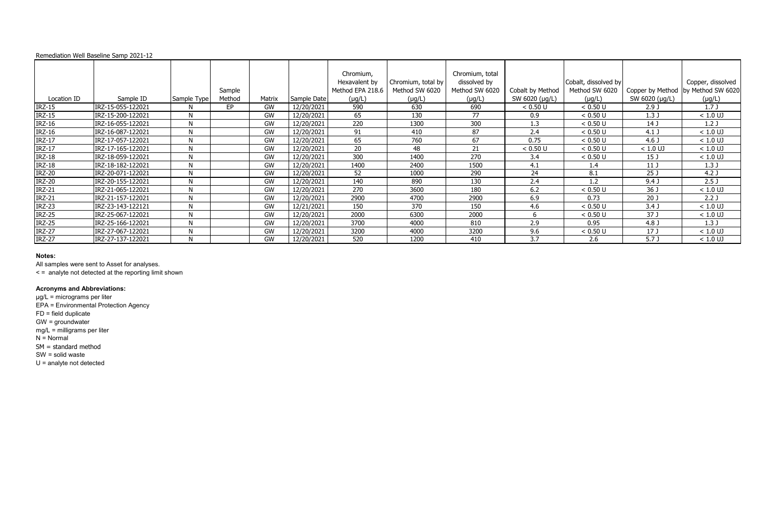All samples were sent to Asset for analyses.

< = analyte not detected at the reporting limit shown

# **Acronyms and Abbreviations:**

|               | Remediation Well Baseline Samp 2021-12 |              |                  |        |             |                                                               |                                                     |                                                                  |                                    |                                                       |                                    |                                                       |
|---------------|----------------------------------------|--------------|------------------|--------|-------------|---------------------------------------------------------------|-----------------------------------------------------|------------------------------------------------------------------|------------------------------------|-------------------------------------------------------|------------------------------------|-------------------------------------------------------|
| Location ID   | Sample ID                              | Sample Type  | Sample<br>Method | Matrix | Sample Date | Chromium,<br>Hexavalent by<br>Method EPA 218.6<br>$(\mu g/L)$ | Chromium, total by<br>Method SW 6020<br>$(\mu g/L)$ | Chromium, total<br>dissolved by<br>Method SW 6020<br>$(\mu g/L)$ | Cobalt by Method<br>SW 6020 (µg/L) | Cobalt, dissolved by<br>Method SW 6020<br>$(\mu g/L)$ | Copper by Method<br>SW 6020 (µg/L) | Copper, dissolved<br>by Method SW 6020<br>$(\mu g/L)$ |
| <b>IRZ-15</b> | IRZ-15-055-122021                      | N            | EP.              | GW     | 12/20/2021  | 590                                                           | 630                                                 | 690                                                              | < 0.50 U                           | < 0.50 U                                              | 2.9J                               | 1.7J                                                  |
| <b>IRZ-15</b> | IRZ-15-200-122021                      | $\mathsf{N}$ |                  | GW     | 12/20/2021  | 65                                                            | 130                                                 | 77                                                               | 0.9                                | < 0.50 U                                              | 1.3J                               | $< 1.0$ UJ                                            |
| $IRZ-16$      | IRZ-16-055-122021                      | N            |                  | GW     | 12/20/2021  | 220                                                           | 1300                                                | 300                                                              | 1.3                                | < 0.50 U                                              | 14 J                               | 1.2 <sub>J</sub>                                      |
| <b>IRZ-16</b> | IRZ-16-087-122021                      | N            |                  | GW     | 12/20/2021  | 91                                                            | 410                                                 | 87                                                               | 2.4                                | < 0.50 U                                              | $4.1$ J                            | $< 1.0$ UJ                                            |
| $IRZ-17$      | IRZ-17-057-122021                      | N            |                  | GW     | 12/20/2021  | 65                                                            | 760                                                 | 67                                                               | 0.75                               | < 0.50 U                                              | 4.6 <sub>J</sub>                   | $< 1.0$ UJ                                            |
| $IRZ-17$      | IRZ-17-165-122021                      | N            |                  | GW     | 12/20/2021  | 20                                                            | 48                                                  | 21                                                               | < 0.50 U                           | < 0.50 U                                              | $< 1.0$ UJ                         | $< 1.0$ UJ                                            |
| <b>IRZ-18</b> | IRZ-18-059-122021                      | $\mathsf{N}$ |                  | GW     | 12/20/2021  | 300                                                           | 1400                                                | 270                                                              | 3.4                                | < 0.50 U                                              | 15 J                               | $< 1.0$ UJ                                            |
| $IRZ-18$      | IRZ-18-182-122021                      | $\mathsf{N}$ |                  | GW     | 12/20/2021  | 1400                                                          | 2400                                                | 1500                                                             | 4.1                                | 1.4                                                   | 11 J                               | 1.3J                                                  |
| <b>IRZ-20</b> | IRZ-20-071-122021                      | N            |                  | GW     | 12/20/2021  | 52                                                            | 1000                                                | 290                                                              | 24                                 | 8.1                                                   | 25J                                | 4.2 <sub>0</sub>                                      |
| <b>IRZ-20</b> | IRZ-20-155-122021                      | N            |                  | GW     | 12/20/2021  | 140                                                           | 890                                                 | 130                                                              | 2.4                                | 1.2                                                   | $9.4$ J                            | 2.5 <sub>J</sub>                                      |
| <b>IRZ-21</b> | IRZ-21-065-122021                      | N            |                  | GW     | 12/20/2021  | 270                                                           | 3600                                                | 180                                                              | 6.2                                | < 0.50 U                                              | 36 J                               | $< 1.0$ UJ                                            |
| <b>IRZ-21</b> | IRZ-21-157-122021                      | N            |                  | GW     | 12/20/2021  | 2900                                                          | 4700                                                | 2900                                                             | 6.9                                | 0.73                                                  | 20 <sub>J</sub>                    | 2.2 <sub>J</sub>                                      |
| <b>IRZ-23</b> | IRZ-23-143-122121                      | N            |                  | GW     | 12/21/2021  | 150                                                           | 370                                                 | 150                                                              | 4.6                                | < 0.50 U                                              | 3.4 <sub>J</sub>                   | $< 1.0$ UJ                                            |
| <b>IRZ-25</b> | IRZ-25-067-122021                      | N            |                  | GW     | 12/20/2021  | 2000                                                          | 6300                                                | 2000                                                             | b                                  | < 0.50 U                                              | 37 J                               | $< 1.0$ UJ                                            |
| <b>IRZ-25</b> | IRZ-25-166-122021                      | N            |                  | GW     | 12/20/2021  | 3700                                                          | 4000                                                | 810                                                              | 2.9                                | 0.95                                                  | 4.8 J                              | 1.3J                                                  |
| <b>IRZ-27</b> | IRZ-27-067-122021                      | N            |                  | GW     | 12/20/2021  | 3200                                                          | 4000                                                | 3200                                                             | 9.6                                | < 0.50 U                                              | 17J                                | $< 1.0$ UJ                                            |
| <b>IRZ-27</b> | IRZ-27-137-122021                      | N            |                  | GW     | 12/20/2021  | 520                                                           | 1200                                                | 410                                                              | 3.7                                | 2.6                                                   | 5.7 <sub>J</sub>                   | $< 1.0$ UJ                                            |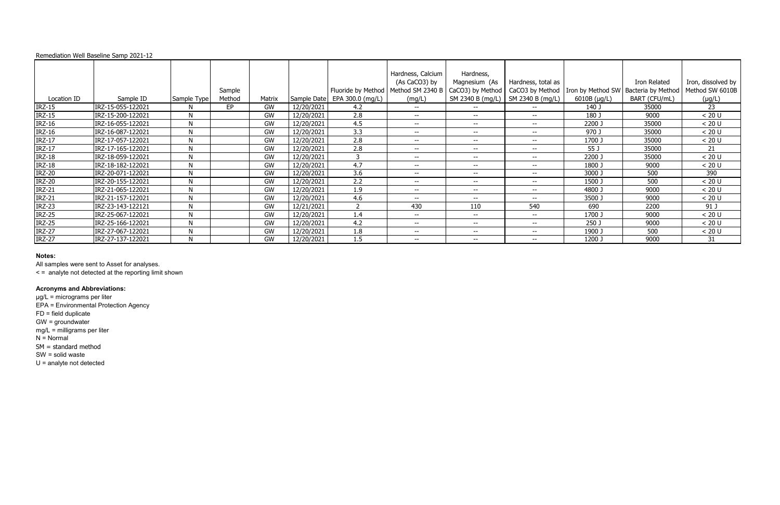All samples were sent to Asset for analyses.

< = analyte not detected at the reporting limit shown

# **Acronyms and Abbreviations:**

|               | Remediation Well Baseline Samp 2021-12 |              |        |        |            |                                |                                    |                            |                                     |                                                          |               |                    |
|---------------|----------------------------------------|--------------|--------|--------|------------|--------------------------------|------------------------------------|----------------------------|-------------------------------------|----------------------------------------------------------|---------------|--------------------|
|               |                                        |              |        |        |            |                                | Hardness, Calcium<br>(As CaCO3) by | Hardness,<br>Magnesium (As | Hardness, total as                  |                                                          | Iron Related  | Iron, dissolved by |
|               |                                        |              | Sample |        |            | Fluoride by Method             | Method SM 2340 B                   | CaCO3) by Method           |                                     | CaCO3 by Method   Iron by Method SW   Bacteria by Method |               | Method SW 6010B    |
| Location ID   | Sample ID                              | Sample Type  | Method | Matrix |            | Sample Date   EPA 300.0 (mg/L) | (mg/L)                             |                            | SM 2340 B (mg/L)   SM 2340 B (mg/L) | $6010B$ (µg/L)                                           | BART (CFU/mL) | $(\mu g/L)$        |
| <b>IRZ-15</b> | IRZ-15-055-122021                      |              | EP.    | GW     | 12/20/2021 | 4.2                            | $- -$                              | $\sim$ $\sim$              | $- -$                               | 140 J                                                    | 35000         | 23                 |
| <b>IRZ-15</b> | IRZ-15-200-122021                      | N            |        | GW     | 12/20/2021 | 2.8                            | $-  \,$                            | $- -$                      | $-  \,$                             | 180 J                                                    | 9000          | < 20 U             |
| <b>IRZ-16</b> | IRZ-16-055-122021                      | $\mathsf{N}$ |        | GW     | 12/20/2021 | 4.5                            | $--$                               | $- -$                      | $-  \,$                             | 2200 J                                                   | 35000         | < 20 U             |
| <b>IRZ-16</b> | IRZ-16-087-122021                      | $\mathsf{N}$ |        | GW     | 12/20/2021 | 3.3                            | $-  \,$                            | $- -$                      | $-  \,$                             | 970 J                                                    | 35000         | < 20 U             |
| <b>IRZ-17</b> | IRZ-17-057-122021                      | N            |        | GW     | 12/20/2021 | 2.8                            | $- -$                              | $- -$                      | $-  \,$                             | 1700 J                                                   | 35000         | < 20 U             |
| <b>IRZ-17</b> | IRZ-17-165-122021                      | N            |        | GW     | 12/20/2021 | 2.8                            | $- -$                              | $- -$                      | $- -$                               | 55 J                                                     | 35000         | 21                 |
| <b>IRZ-18</b> | IRZ-18-059-122021                      | N            |        | GW     | 12/20/2021 | 3                              | $-  \,$                            | $- -$                      | $-  \,$                             | 2200 J                                                   | 35000         | < 20 U             |
| <b>IRZ-18</b> | IRZ-18-182-122021                      | $\mathsf{N}$ |        | GW     | 12/20/2021 | 4.7                            | $--$                               | $--$                       | $- -$                               | 1800 J                                                   | 9000          | < 20 U             |
| <b>IRZ-20</b> | IRZ-20-071-122021                      | $\mathsf{N}$ |        | GW     | 12/20/2021 | 3.6                            | $-  \,$                            | $- -$                      | $-  \,$                             | 3000 J                                                   | 500           | 390                |
| <b>IRZ-20</b> | IRZ-20-155-122021                      | N            |        | GW     | 12/20/2021 | 2.2                            | $-  \,$                            | $- -$                      | $-  \,$                             | 1500 J                                                   | 500           | < 20 U             |
| <b>IRZ-21</b> | IRZ-21-065-122021                      | N            |        | GW     | 12/20/2021 | 1.9                            | $- -$                              | $- -$                      | $- -$                               | 4800 J                                                   | 9000          | < 20 U             |
| <b>IRZ-21</b> | IRZ-21-157-122021                      | N            |        | GW     | 12/20/2021 | 4.6                            | $- -$                              | $- -$                      | $-  \,$                             | 3500 J                                                   | 9000          | < 20 U             |
| <b>IRZ-23</b> | IRZ-23-143-122121                      | $\mathsf{N}$ |        | GW     | 12/21/2021 | $\overline{2}$                 | 430                                | 110                        | 540                                 | 690                                                      | 2200          | 91 J               |
| <b>IRZ-25</b> | IRZ-25-067-122021                      | $\mathsf{N}$ |        | GW     | 12/20/2021 | 1.4                            | $-  \,$                            | $- -$                      | $- -$                               | 1700 J                                                   | 9000          | < 20 U             |
| <b>IRZ-25</b> | IRZ-25-166-122021                      | N            |        | GW     | 12/20/2021 | 4.2                            | $- -$                              | $- -$                      | $- -$                               | 250 J                                                    | 9000          | < 20 U             |
| <b>IRZ-27</b> | IRZ-27-067-122021                      | N            |        | GW     | 12/20/2021 | 1.8                            | $- -$                              | $- -$                      | $- -$                               | 1900 J                                                   | 500           | < 20 U             |
| <b>IRZ-27</b> | IRZ-27-137-122021                      | N            |        | GW     | 12/20/2021 | 1.5                            | $-  \,$                            | $- -$                      | $-  \,$                             | 1200 J                                                   | 9000          | 31                 |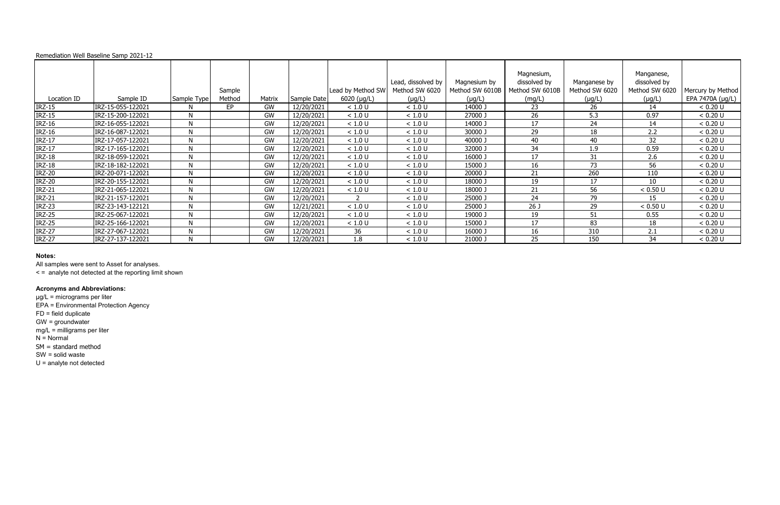All samples were sent to Asset for analyses.

< = analyte not detected at the reporting limit shown

# **Acronyms and Abbreviations:**

|               | Remediation Well Baseline Samp 2021-12 |              |        |        |             |                     |                                      |                                 |                                               |                                |                                              |                   |
|---------------|----------------------------------------|--------------|--------|--------|-------------|---------------------|--------------------------------------|---------------------------------|-----------------------------------------------|--------------------------------|----------------------------------------------|-------------------|
|               |                                        |              | Sample |        |             | Lead by Method SW   | Lead, dissolved by<br>Method SW 6020 | Magnesium by<br>Method SW 6010B | Magnesium,<br>dissolved by<br>Method SW 6010B | Manganese by<br>Method SW 6020 | Manganese,<br>dissolved by<br>Method SW 6020 | Mercury by Method |
| Location ID   | Sample ID                              | Sample Type  | Method | Matrix | Sample Date | $6020$ ( $\mu$ g/L) | $(\mu g/L)$                          | $(\mu g/L)$                     | (mg/L)                                        | $(\mu g/L)$                    | $(\mu g/L)$                                  | EPA 7470A (µg/L)  |
| <b>IRZ-15</b> | IRZ-15-055-122021                      | N            | EP.    | GW     | 12/20/2021  | < 1.0 U             | < 1.0 U                              | 14000 J                         | 23                                            | 26                             | 14                                           | < 0.20 U          |
| <b>IRZ-15</b> | IRZ-15-200-122021                      | N            |        | GW     | 12/20/2021  | < 1.0 U             | < 1.0 U                              | 27000 J                         | 26                                            | 5.3                            | 0.97                                         | < 0.20 U          |
| <b>IRZ-16</b> | IRZ-16-055-122021                      | $\mathsf{N}$ |        | GW     | 12/20/2021  | < 1.0 U             | < 1.0 U                              | 14000 J                         | 17                                            | 24                             | 14                                           | < 0.20 U          |
| <b>IRZ-16</b> | IRZ-16-087-122021                      | N            |        | GW     | 12/20/2021  | < 1.0 U             | < 1.0 U                              | 30000 J                         | 29                                            | 18                             | 2.2                                          | < 0.20 U          |
| <b>IRZ-17</b> | IRZ-17-057-122021                      | N            |        | GW     | 12/20/2021  | < 1.0 U             | < 1.0 U                              | 40000 J                         | 40                                            | 40                             | 32                                           | < 0.20 U          |
| $IRZ-17$      | IRZ-17-165-122021                      | N            |        | GW     | 12/20/2021  | < 1.0 U             | < 1.0 U                              | 32000 J                         | 34                                            | 1.9                            | 0.59                                         | < 0.20 U          |
| <b>IRZ-18</b> | IRZ-18-059-122021                      | N            |        | GW     | 12/20/2021  | < 1.0 U             | < 1.0 U                              | 16000 J                         | 17                                            | 31                             | 2.6                                          | < 0.20 U          |
| <b>IRZ-18</b> | IRZ-18-182-122021                      | N            |        | GW     | 12/20/2021  | < 1.0 U             | < 1.0 U                              | 15000 J                         | 16                                            | 73                             | 56                                           | < 0.20 U          |
| <b>IRZ-20</b> | IRZ-20-071-122021                      | N            |        | GW     | 12/20/2021  | < 1.0 U             | < 1.0 U                              | 20000 J                         | 21                                            | 260                            | 110                                          | < 0.20 U          |
| <b>IRZ-20</b> | IRZ-20-155-122021                      | N            |        | GW     | 12/20/2021  | < 1.0 U             | < 1.0 U                              | 18000 J                         | 19                                            | 17                             | 10                                           | < 0.20 U          |
| <b>IRZ-21</b> | IRZ-21-065-122021                      | N            |        | GW     | 12/20/2021  | < 1.0 U             | < 1.0 U                              | 18000 J                         | 21                                            | 56                             | < 0.50 U                                     | < 0.20 U          |
| <b>IRZ-21</b> | IRZ-21-157-122021                      | N            |        | GW     | 12/20/2021  | 2                   | < 1.0 U                              | 25000 J                         | 24                                            | 79                             | 15                                           | < 0.20 U          |
| <b>IRZ-23</b> | IRZ-23-143-122121                      | N            |        | GW     | 12/21/2021  | < 1.0 U             | < 1.0 U                              | 25000 J                         | 26 J                                          | 29                             | < 0.50 U                                     | < 0.20 U          |
| <b>IRZ-25</b> | IRZ-25-067-122021                      | N            |        | GW     | 12/20/2021  | < 1.0 U             | < 1.0 U                              | 19000 J                         | 19                                            | 51                             | 0.55                                         | < 0.20 U          |
| <b>IRZ-25</b> | IRZ-25-166-122021                      | N            |        | GW     | 12/20/2021  | < 1.0 U             | < 1.0 U                              | 15000 J                         | 17                                            | 83                             | 18                                           | < 0.20 U          |
| <b>IRZ-27</b> | IRZ-27-067-122021                      | N            |        | GW     | 12/20/2021  | 36                  | < 1.0 U                              | 16000 J                         | 16                                            | 310                            | 2.1                                          | < 0.20 U          |
| <b>IRZ-27</b> | IRZ-27-137-122021                      | N            |        | GW     | 12/20/2021  | 1.8                 | < 1.0 U                              | 21000 J                         | 25                                            | 150                            | 34                                           | < 0.20 U          |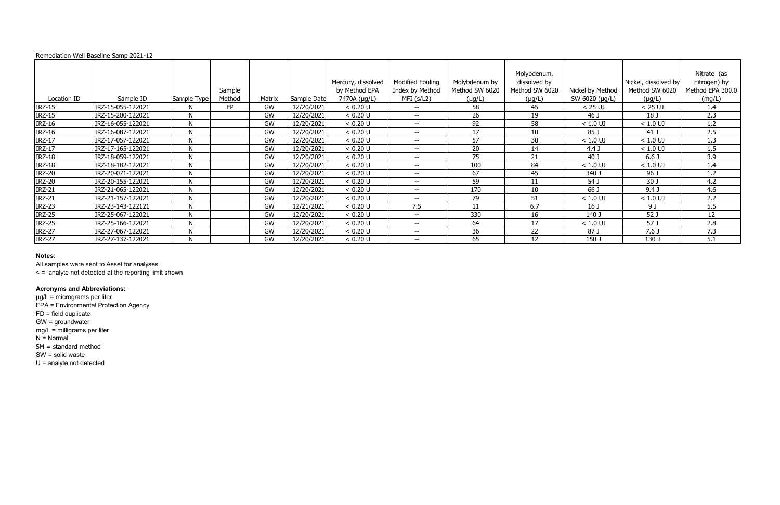All samples were sent to Asset for analyses.

< = analyte not detected at the reporting limit shown

# **Acronyms and Abbreviations:**

|               | Remediation Well Baseline Samp 2021-12 |             |                  |        |             |                                                     |                                                         |                                                |                                                              |                                    |                                                       |                                                           |
|---------------|----------------------------------------|-------------|------------------|--------|-------------|-----------------------------------------------------|---------------------------------------------------------|------------------------------------------------|--------------------------------------------------------------|------------------------------------|-------------------------------------------------------|-----------------------------------------------------------|
| Location ID   | Sample ID                              | Sample Type | Sample<br>Method | Matrix | Sample Date | Mercury, dissolved<br>by Method EPA<br>7470A (µg/L) | <b>Modified Fouling</b><br>Index by Method<br>MFI(s/L2) | Molybdenum by<br>Method SW 6020<br>$(\mu g/L)$ | Molybdenum,<br>dissolved by<br>Method SW 6020<br>$(\mu g/L)$ | Nickel by Method<br>SW 6020 (µg/L) | Nickel, dissolved by<br>Method SW 6020<br>$(\mu g/L)$ | Nitrate (as<br>nitrogen) by<br>Method EPA 300.0<br>(mg/L) |
| <b>IRZ-15</b> | IRZ-15-055-122021                      | N           | EP.              | GW     | 12/20/2021  | < 0.20 U                                            | $\overline{\phantom{m}}$                                | 58                                             | 45                                                           | $< 25$ UJ                          | $< 25$ UJ                                             | 1.4                                                       |
| <b>IRZ-15</b> | IRZ-15-200-122021                      | N           |                  | GW     | 12/20/2021  | < 0.20 U                                            | $- -$                                                   | 26                                             | 19                                                           | 46 J                               | 18 J                                                  | 2.3                                                       |
| <b>IRZ-16</b> | IRZ-16-055-122021                      | N           |                  | GW     | 12/20/2021  | < 0.20 U                                            | $- -$                                                   | 92                                             | 58                                                           | $< 1.0$ UJ                         | $< 1.0$ UJ                                            | 1.2                                                       |
| <b>IRZ-16</b> | IRZ-16-087-122021                      | N           |                  | GW     | 12/20/2021  | < 0.20 U                                            | $- -$                                                   | 17                                             | 10                                                           | 85 J                               | 41 J                                                  | 2.5                                                       |
| $IRZ-17$      | IRZ-17-057-122021                      | N           |                  | GW     | 12/20/2021  | < 0.20 U                                            | $- -$                                                   | 57                                             | 30                                                           | $< 1.0$ UJ                         | $< 1.0$ UJ                                            | 1.3                                                       |
| <b>IRZ-17</b> | IRZ-17-165-122021                      | N           |                  | GW     | 12/20/2021  | < 0.20 U                                            | $--$                                                    | 20                                             | 14                                                           | 4.4 <sub>J</sub>                   | $< 1.0$ UJ                                            | 1.5                                                       |
| <b>IRZ-18</b> | IRZ-18-059-122021                      | N           |                  | GW     | 12/20/2021  | < 0.20 U                                            | $- -$                                                   | 75                                             | 21                                                           | 40 J                               | 6.6 <sub>J</sub>                                      | 3.9                                                       |
| <b>IRZ-18</b> | IRZ-18-182-122021                      | N           |                  | GW     | 12/20/2021  | < 0.20 U                                            | $- -$                                                   | 100                                            | 84                                                           | $< 1.0$ UJ                         | $< 1.0$ UJ                                            | 1.4                                                       |
| <b>IRZ-20</b> | IRZ-20-071-122021                      | N           |                  | GW     | 12/20/2021  | < 0.20 U                                            | $- -$                                                   | 67                                             | 45                                                           | 340 J                              | 96 J                                                  | 1.2                                                       |
| <b>IRZ-20</b> | IRZ-20-155-122021                      | N           |                  | GW     | 12/20/2021  | < 0.20 U                                            | $- -$                                                   | 59                                             | 11                                                           | 54 J                               | 30 J                                                  | 4.2                                                       |
| <b>IRZ-21</b> | IRZ-21-065-122021                      | N           |                  | GW     | 12/20/2021  | < 0.20 U                                            | $\overline{\phantom{a}}$                                | 170                                            | 10                                                           | 66 J                               | 9.4J                                                  | 4.6                                                       |
| <b>IRZ-21</b> | IRZ-21-157-122021                      | N           |                  | GW     | 12/20/2021  | < 0.20 U                                            | $- -$                                                   | 79                                             | 51                                                           | $< 1.0$ UJ                         | $< 1.0$ UJ                                            | 2.2                                                       |
| <b>IRZ-23</b> | IRZ-23-143-122121                      | N           |                  | GW     | 12/21/2021  | < 0.20 U                                            | 7.5                                                     | -11                                            | 6.7                                                          | 16 <sub>J</sub>                    | 9 J                                                   | 5.5                                                       |
| <b>IRZ-25</b> | IRZ-25-067-122021                      | N           |                  | GW     | 12/20/2021  | < 0.20 U                                            | $- -$                                                   | 330                                            | 16                                                           | 140 J                              | 52 J                                                  | 12                                                        |
| <b>IRZ-25</b> | IRZ-25-166-122021                      | N           |                  | GW     | 12/20/2021  | < 0.20 U                                            | $- -$                                                   | 64                                             | 17                                                           | $< 1.0$ UJ                         | 57 J                                                  | 2.8                                                       |
| <b>IRZ-27</b> | IRZ-27-067-122021                      | N           |                  | GW     | 12/20/2021  | < 0.20 U                                            | $- -$                                                   | 36                                             | 22                                                           | 87 J                               | 7.6 <sub>J</sub>                                      | 7.3                                                       |
| <b>IRZ-27</b> | IRZ-27-137-122021                      | N           |                  | GW     | 12/20/2021  | < 0.20 U                                            | $- -$                                                   | 65                                             | 12                                                           | 150 J                              | 130 J                                                 | 5.1                                                       |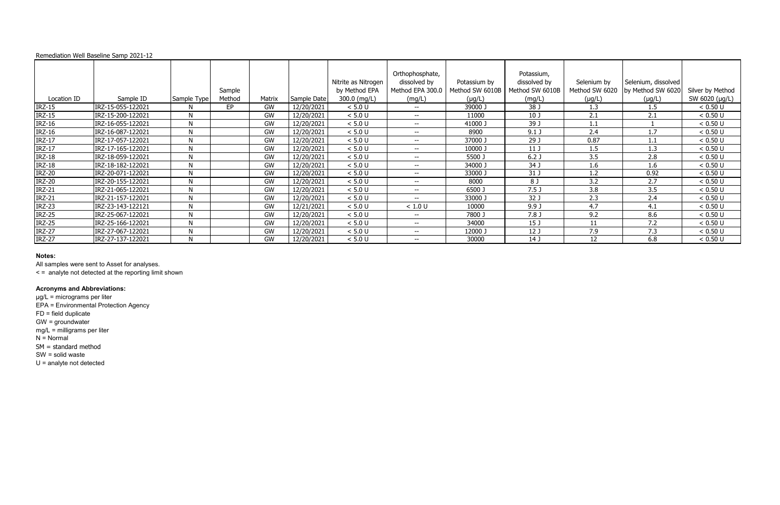All samples were sent to Asset for analyses.

< = analyte not detected at the reporting limit shown

# **Acronyms and Abbreviations:**

|               | Remediation Well Baseline Samp 2021-12 |             |        |        |             |                     |                  |                 |                  |                |                     |                  |
|---------------|----------------------------------------|-------------|--------|--------|-------------|---------------------|------------------|-----------------|------------------|----------------|---------------------|------------------|
|               |                                        |             |        |        |             |                     | Orthophosphate,  |                 | Potassium,       |                |                     |                  |
|               |                                        |             |        |        |             | Nitrite as Nitrogen | dissolved by     | Potassium by    | dissolved by     | Selenium by    | Selenium, dissolved |                  |
|               |                                        |             | Sample |        |             | by Method EPA       | Method EPA 300.0 | Method SW 6010B | Method SW 6010B  | Method SW 6020 | by Method SW 6020   | Silver by Method |
| Location ID   | Sample ID                              | Sample Type | Method | Matrix | Sample Date | 300.0 (mg/L)        | (mg/L)           | $(\mu g/L)$     | (mg/L)           | $(\mu g/L)$    | $(\mu g/L)$         | SW 6020 (µg/L)   |
| <b>IRZ-15</b> | IRZ-15-055-122021                      | N           | EP     | GW     | 12/20/2021  | < 5.0 U             | $- -$            | 39000 J         | 38 J             | 1.3            | 1.5                 | < 0.50 U         |
| <b>IRZ-15</b> | IRZ-15-200-122021                      | N           |        | GW     | 12/20/2021  | < 5.0 U             | $- -$            | 11000           | 10 <sub>J</sub>  | 2.1            | 2.1                 | < 0.50 U         |
| <b>IRZ-16</b> | IRZ-16-055-122021                      | N           |        | GW     | 12/20/2021  | $< 5.0 U$           | $- -$            | 41000 J         | 39 J             | 1.1            |                     | < 0.50 U         |
| <b>IRZ-16</b> | IRZ-16-087-122021                      | N           |        | GW     | 12/20/2021  | < 5.0 U             | $- -$            | 8900            | $9.1$ J          | 2.4            | 1.7                 | < 0.50 U         |
| <b>IRZ-17</b> | IRZ-17-057-122021                      | N           |        | GW     | 12/20/2021  | < 5.0 U             | $- -$            | 37000 J         | 29 J             | 0.87           | 1.1                 | < 0.50 U         |
| <b>IRZ-17</b> | IRZ-17-165-122021                      | N           |        | GW     | 12/20/2021  | < 5.0 U             | $--$             | 10000 J         | 11 <sub>1</sub>  | 1.5            | 1.3                 | < 0.50 U         |
| <b>IRZ-18</b> | IRZ-18-059-122021                      | N           |        | GW     | 12/20/2021  | < 5.0 U             | $- -$            | 5500 J          | 6.2 <sub>J</sub> | 3.5            | 2.8                 | < 0.50 U         |
| <b>IRZ-18</b> | IRZ-18-182-122021                      | N           |        | GW     | 12/20/2021  | $< 5.0 U$           | $- -$            | 34000 J         | 34 J             | 1.6            | 1.6                 | < 0.50 U         |
| <b>IRZ-20</b> | IRZ-20-071-122021                      | N           |        | GW     | 12/20/2021  | < 5.0 U             | $- -$            | 33000 J         | 31 J             | 1.2            | 0.92                | < 0.50 U         |
| <b>IRZ-20</b> | IRZ-20-155-122021                      | N           |        | GW     | 12/20/2021  | < 5.0 U             | $- -$            | 8000            | 8 J              | 3.2            | 2.7                 | < 0.50 U         |
| <b>IRZ-21</b> | IRZ-21-065-122021                      | N           |        | GW     | 12/20/2021  | < 5.0 U             | $\sim$           | 6500 J          | 7.5 <sub>1</sub> | 3.8            | 3.5                 | < 0.50 U         |
| <b>IRZ-21</b> | IRZ-21-157-122021                      | N           |        | GW     | 12/20/2021  | < 5.0 U             | $- -$            | 33000 J         | 32 J             | 2.3            | 2.4                 | < 0.50 U         |
| <b>IRZ-23</b> | IRZ-23-143-122121                      | N           |        | GW     | 12/21/2021  | $< 5.0 U$           | < 1.0 U          | 10000           | 9.9J             | 4.7            | 4.1                 | < 0.50 U         |
| <b>IRZ-25</b> | IRZ-25-067-122021                      | N           |        | GW     | 12/20/2021  | < 5.0 U             | $- -$            | 7800 J          | 7.8 <sub>0</sub> | 9.2            | 8.6                 | < 0.50 U         |
| <b>IRZ-25</b> | IRZ-25-166-122021                      | N           |        | GW     | 12/20/2021  | < 5.0 U             | $- -$            | 34000           | 15 J             | 11             | 7.2                 | < 0.50 U         |
| <b>IRZ-27</b> | IRZ-27-067-122021                      | N           |        | GW     | 12/20/2021  | < 5.0 U             | $--$             | 12000 J         | 12 <sub>J</sub>  | 7.9            | 7.3                 | < 0.50 U         |
| <b>IRZ-27</b> | IRZ-27-137-122021                      | N           |        | GW     | 12/20/2021  | < 5.0 U             | $- -$            | 30000           | 14 J             | 12             | 6.8                 | < 0.50 U         |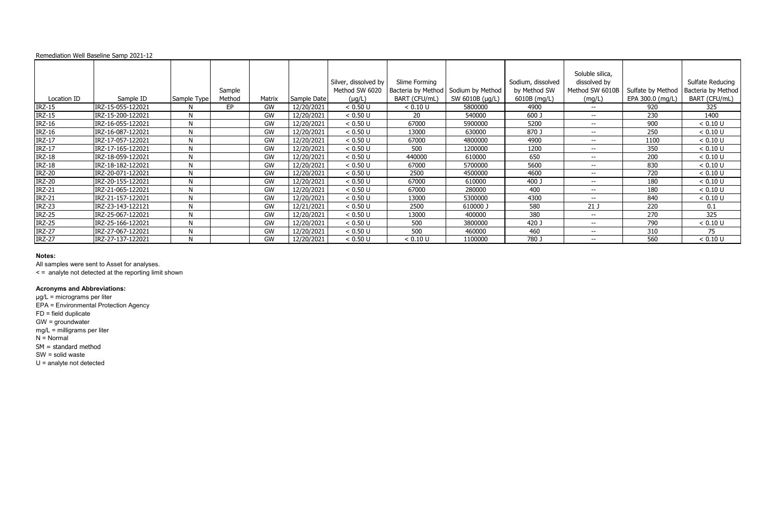All samples were sent to Asset for analyses.

< = analyte not detected at the reporting limit shown

# **Acronyms and Abbreviations:**

|               | Remediation Well Baseline Samp 2021-12 |              |        |        |             |                      |               |                                       |                   |                 |                   |                    |
|---------------|----------------------------------------|--------------|--------|--------|-------------|----------------------|---------------|---------------------------------------|-------------------|-----------------|-------------------|--------------------|
|               |                                        |              |        |        |             |                      |               |                                       |                   | Soluble silica, |                   |                    |
|               |                                        |              |        |        |             | Silver, dissolved by | Slime Forming |                                       | Sodium, dissolved | dissolved by    |                   | Sulfate Reducing   |
|               |                                        |              | Sample |        |             | Method SW 6020       |               | Bacteria by Method   Sodium by Method | by Method SW      | Method SW 6010B | Sulfate by Method | Bacteria by Method |
| Location ID   | Sample ID                              | Sample Type  | Method | Matrix | Sample Date | $(\mu g/L)$          | BART (CFU/mL) | SW 6010B (µg/L)                       | 6010B (mg/L)      | (mg/L)          | EPA 300.0 (mg/L)  | BART (CFU/mL)      |
| <b>IRZ-15</b> | IRZ-15-055-122021                      | N            | EP.    | GW     | 12/20/2021  | < 0.50 U             | < 0.10 U      | 5800000                               | 4900              | $- -$           | 920               | 325                |
| <b>IRZ-15</b> | IRZ-15-200-122021                      | N            |        | GW     | 12/20/2021  | < 0.50 U             | 20            | 540000                                | 600 J             | $- -$           | 230               | 1400               |
| <b>IRZ-16</b> | IRZ-16-055-122021                      | N            |        | GW     | 12/20/2021  | < 0.50 U             | 67000         | 5900000                               | 5200              | $- -$           | 900               | < 0.10 U           |
| <b>IRZ-16</b> | IRZ-16-087-122021                      | N            |        | GW     | 12/20/2021  | < 0.50 U             | 13000         | 630000                                | 870 J             | $- -$           | 250               | < 0.10 U           |
| $IRZ-17$      | IRZ-17-057-122021                      | N            |        | GW     | 12/20/2021  | < 0.50 U             | 67000         | 4800000                               | 4900              | $- -$           | 1100              | < 0.10 U           |
| $IRZ-17$      | IRZ-17-165-122021                      | N            |        | GW     | 12/20/2021  | < 0.50 U             | 500           | 1200000                               | 1200              | $--$            | 350               | < 0.10 U           |
| <b>IRZ-18</b> | IRZ-18-059-122021                      | N            |        | GW     | 12/20/2021  | < 0.50 U             | 440000        | 610000                                | 650               | $- -$           | 200               | < 0.10 U           |
| <b>IRZ-18</b> | IRZ-18-182-122021                      | N            |        | GW     | 12/20/2021  | < 0.50 U             | 67000         | 5700000                               | 5600              | $- -$           | 830               | < 0.10 U           |
| <b>IRZ-20</b> | IRZ-20-071-122021                      | N            |        | GW     | 12/20/2021  | < 0.50 U             | 2500          | 4500000                               | 4600              | $- -$           | 720               | < 0.10 U           |
| <b>IRZ-20</b> | IRZ-20-155-122021                      | N            |        | GW     | 12/20/2021  | < 0.50 U             | 67000         | 610000                                | 400 J             | $- -$           | 180               | < 0.10 U           |
| <b>IRZ-21</b> | IRZ-21-065-122021                      | N            |        | GW     | 12/20/2021  | < 0.50 U             | 67000         | 280000                                | 400               | $--$            | 180               | < 0.10 U           |
| <b>IRZ-21</b> | IRZ-21-157-122021                      | N            |        | GW     | 12/20/2021  | < 0.50 U             | 13000         | 5300000                               | 4300              | $- -$           | 840               | < 0.10 U           |
| <b>IRZ-23</b> | IRZ-23-143-122121                      | $\mathsf{N}$ |        | GW     | 12/21/2021  | < 0.50 U             | 2500          | 610000 J                              | 580               | 21J             | 220               | 0.1                |
| <b>IRZ-25</b> | IRZ-25-067-122021                      | N            |        | GW     | 12/20/2021  | < 0.50 U             | 13000         | 400000                                | 380               | $- -$           | 270               | 325                |
| <b>IRZ-25</b> | IRZ-25-166-122021                      | N            |        | GW     | 12/20/2021  | < 0.50 U             | 500           | 3800000                               | 420 J             | $- -$           | 790               | < 0.10 U           |
| <b>IRZ-27</b> | IRZ-27-067-122021                      | N            |        | GW     | 12/20/2021  | < 0.50 U             | 500           | 460000                                | 460               | $--$            | 310               | 75                 |
| <b>IRZ-27</b> | IRZ-27-137-122021                      | N            |        | GW     | 12/20/2021  | < 0.50 U             | < 0.10 U      | 1100000                               | 780 J             | $- -$           | 560               | < 0.10 U           |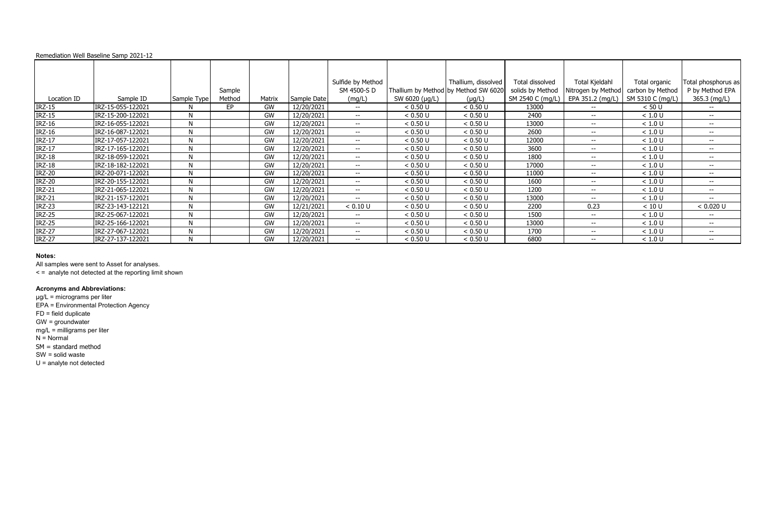All samples were sent to Asset for analyses.

< = analyte not detected at the reporting limit shown

# **Acronyms and Abbreviations:**

|               | Remediation Well Baseline Samp 2021-12 |              |                  |        |             |                          |                |                                                     |                                      |                                        |                                      |                                 |
|---------------|----------------------------------------|--------------|------------------|--------|-------------|--------------------------|----------------|-----------------------------------------------------|--------------------------------------|----------------------------------------|--------------------------------------|---------------------------------|
|               |                                        |              |                  |        |             | Sulfide by Method        |                | Thallium, dissolved                                 | Total dissolved                      | Total Kjeldahl                         | Total organic                        | Total phosphorus as             |
| Location ID   | Sample ID                              | Sample Type  | Sample<br>Method | Matrix | Sample Date | SM 4500-S D<br>(mg/L)    | SW 6020 (µg/L) | Thallium by Method by Method SW 6020<br>$(\mu g/L)$ | solids by Method<br>SM 2540 C (mg/L) | Nitrogen by Method<br>EPA 351.2 (mg/L) | carbon by Method<br>SM 5310 C (mg/L) | P by Method EPA<br>365.3 (mg/L) |
| <b>IRZ-15</b> | IRZ-15-055-122021                      | N            | EP.              | GW     | 12/20/2021  | $- -$                    | < 0.50 U       | < 0.50 U                                            | 13000                                | $- -$                                  | < 50 U                               | $\overline{\phantom{a}}$        |
| <b>IRZ-15</b> | IRZ-15-200-122021                      | N            |                  | GW     | 12/20/2021  | $- -$                    | < 0.50 U       | < 0.50 U                                            | 2400                                 | $- -$                                  | < 1.0 U                              | $- -$                           |
| <b>IRZ-16</b> | IRZ-16-055-122021                      | $\mathsf{N}$ |                  | GW     | 12/20/2021  | $- -$                    | < 0.50 U       | < 0.50 U                                            | 13000                                | $- -$                                  | < 1.0 U                              | $-$                             |
| <b>IRZ-16</b> | IRZ-16-087-122021                      | N            |                  | GW     | 12/20/2021  | $- -$                    | < 0.50 U       | < 0.50 U                                            | 2600                                 | $- -$                                  | < 1.0 U                              | $- -$                           |
| <b>IRZ-17</b> | IRZ-17-057-122021                      | N            |                  | GW     | 12/20/2021  | $- -$                    | < 0.50 U       | < 0.50 U                                            | 12000                                | $- -$                                  | < 1.0 U                              | $- -$                           |
| $IRZ-17$      | IRZ-17-165-122021                      | N            |                  | GW     | 12/20/2021  | $--$                     | < 0.50 U       | < 0.50 U                                            | 3600                                 | $--$                                   | < 1.0 U                              | $\overline{\phantom{a}}$        |
| <b>IRZ-18</b> | IRZ-18-059-122021                      | N            |                  | GW     | 12/20/2021  | $- -$                    | < 0.50 U       | < 0.50 U                                            | 1800                                 | $- -$                                  | < 1.0 U                              | $- -$                           |
| <b>IRZ-18</b> | IRZ-18-182-122021                      | N            |                  | GW     | 12/20/2021  | $- -$                    | < 0.50 U       | < 0.50 U                                            | 17000                                | $- -$                                  | < 1.0 U                              | $-$                             |
| <b>IRZ-20</b> | IRZ-20-071-122021                      | N            |                  | GW     | 12/20/2021  | $- -$                    | < 0.50 U       | < 0.50 U                                            | 11000                                | $- -$                                  | < 1.0 U                              | $-$                             |
| <b>IRZ-20</b> | IRZ-20-155-122021                      | N            |                  | GW     | 12/20/2021  | $- -$                    | < 0.50 U       | < 0.50 U                                            | 1600                                 | $- -$                                  | < 1.0 U                              | $- -$                           |
| <b>IRZ-21</b> | IRZ-21-065-122021                      | N            |                  | GW     | 12/20/2021  | $\overline{\phantom{a}}$ | < 0.50 U       | < 0.50 U                                            | 1200                                 | $--$                                   | < 1.0 U                              | $\overline{\phantom{a}}$        |
| <b>IRZ-21</b> | IRZ-21-157-122021                      | N            |                  | GW     | 12/20/2021  | $--$                     | < 0.50 U       | < 0.50 U                                            | 13000                                | $- -$                                  | < 1.0 U                              | $- -$                           |
| <b>IRZ-23</b> | IRZ-23-143-122121                      | $\mathsf{N}$ |                  | GW     | 12/21/2021  | < 0.10 U                 | < 0.50 U       | < 0.50 U                                            | 2200                                 | 0.23                                   | < 10 U                               | < 0.020 U                       |
| <b>IRZ-25</b> | IRZ-25-067-122021                      | $\mathsf{N}$ |                  | GW     | 12/20/2021  | $- -$                    | < 0.50 U       | < 0.50 U                                            | 1500                                 | $- -$                                  | < 1.0 U                              | $--$                            |
| <b>IRZ-25</b> | IRZ-25-166-122021                      | N            |                  | GW     | 12/20/2021  | $-  \,$                  | < 0.50 U       | < 0.50 U                                            | 13000                                | $-  \,$                                | < 1.0 U                              | $- -$                           |
| <b>IRZ-27</b> | IRZ-27-067-122021                      | N            |                  | GW     | 12/20/2021  | $\overline{\phantom{a}}$ | < 0.50 U       | < 0.50 U                                            | 1700                                 | $- -$                                  | < 1.0 U                              | $\overline{\phantom{a}}$        |
| <b>IRZ-27</b> | IRZ-27-137-122021                      | N            |                  | GW     | 12/20/2021  | $- -$                    | < 0.50 U       | < 0.50 U                                            | 6800                                 | $- -$                                  | < 1.0 U                              | $-  \,$                         |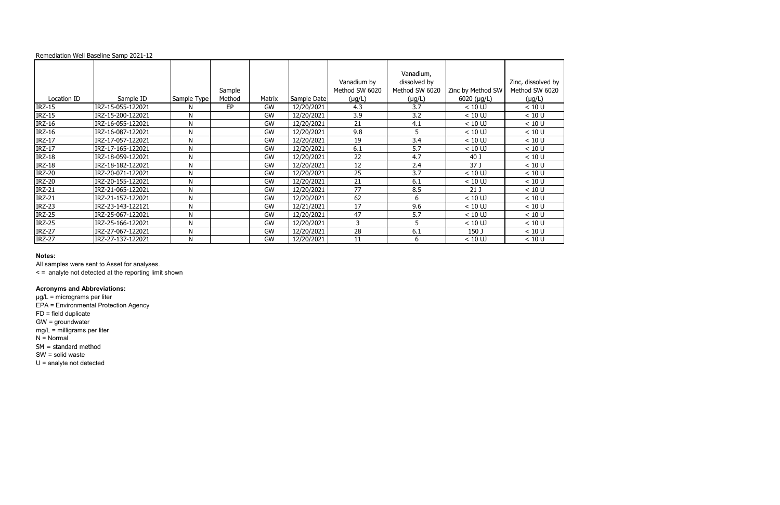All samples were sent to Asset for analyses.

|               | Remediation Well Baseline Samp 2021-12 |             |                  |           |             |                |                           |                     |                    |
|---------------|----------------------------------------|-------------|------------------|-----------|-------------|----------------|---------------------------|---------------------|--------------------|
|               |                                        |             |                  |           |             | Vanadium by    | Vanadium,<br>dissolved by |                     | Zinc, dissolved by |
| Location ID   | Sample ID                              |             | Sample<br>Method |           | Sample Date | Method SW 6020 | Method SW 6020            | Zinc by Method SW   | Method SW 6020     |
|               |                                        | Sample Type |                  | Matrix    |             | $(\mu g/L)$    | $(\mu g/L)$               | $6020$ ( $\mu$ g/L) | $(\mu g/L)$        |
| <b>IRZ-15</b> | IRZ-15-055-122021                      | N.          | EP               | <b>GW</b> | 12/20/2021  | 4.3            | 3.7                       | $< 10$ UJ           | < 10 U             |
| <b>IRZ-15</b> | IRZ-15-200-122021                      | N           |                  | GW        | 12/20/2021  | 3.9            | 3.2                       | $< 10$ UJ           | < 10 U             |
| <b>IRZ-16</b> | IRZ-16-055-122021                      | N           |                  | <b>GW</b> | 12/20/2021  | 21             | 4.1                       | $< 10$ UJ           | < 10 U             |
| <b>IRZ-16</b> | IRZ-16-087-122021                      | N           |                  | GW        | 12/20/2021  | 9.8            | 5                         | $< 10$ UJ           | < 10 U             |
| <b>IRZ-17</b> | IRZ-17-057-122021                      | N           |                  | GW        | 12/20/2021  | 19             | 3.4                       | $< 10$ UJ           | < 10 U             |
| <b>IRZ-17</b> | IRZ-17-165-122021                      | N           |                  | GW        | 12/20/2021  | 6.1            | 5.7                       | $< 10$ UJ           | < 10 U             |
| <b>IRZ-18</b> | IRZ-18-059-122021                      | N           |                  | GW        | 12/20/2021  | 22             | 4.7                       | 40 J                | < 10 U             |
| <b>IRZ-18</b> | IRZ-18-182-122021                      | N           |                  | <b>GW</b> | 12/20/2021  | 12             | 2.4                       | 37 J                | < 10 U             |
| <b>IRZ-20</b> | IRZ-20-071-122021                      | N           |                  | <b>GW</b> | 12/20/2021  | 25             | 3.7                       | $< 10$ UJ           | < 10 U             |
| <b>IRZ-20</b> | IRZ-20-155-122021                      | N           |                  | GW        | 12/20/2021  | 21             | 6.1                       | $< 10$ UJ           | < 10 U             |
| <b>IRZ-21</b> | IRZ-21-065-122021                      | N           |                  | GW        | 12/20/2021  | 77             | 8.5                       | 21 <sub>J</sub>     | < 10 U             |
| <b>IRZ-21</b> | IRZ-21-157-122021                      | N           |                  | GW        | 12/20/2021  | 62             | 6                         | $< 10$ UJ           | < 10 U             |
| <b>IRZ-23</b> | IRZ-23-143-122121                      | N           |                  | <b>GW</b> | 12/21/2021  | 17             | 9.6                       | $< 10$ UJ           | < 10 U             |
| <b>IRZ-25</b> | IRZ-25-067-122021                      | N           |                  | GW        | 12/20/2021  | 47             | 5.7                       | $< 10$ UJ           | < 10 U             |
| <b>IRZ-25</b> | IRZ-25-166-122021                      | N           |                  | GW        | 12/20/2021  | 3              | 5                         | $< 10$ UJ           | < 10 U             |
| <b>IRZ-27</b> | IRZ-27-067-122021                      | N           |                  | GW        | 12/20/2021  | 28             | 6.1                       | 150 J               | < 10 U             |
| <b>IRZ-27</b> | IRZ-27-137-122021                      | N           |                  | GW        | 12/20/2021  | 11             | 6                         | $< 10$ UJ           | < 10 U             |

< = analyte not detected at the reporting limit shown

# **Acronyms and Abbreviations:**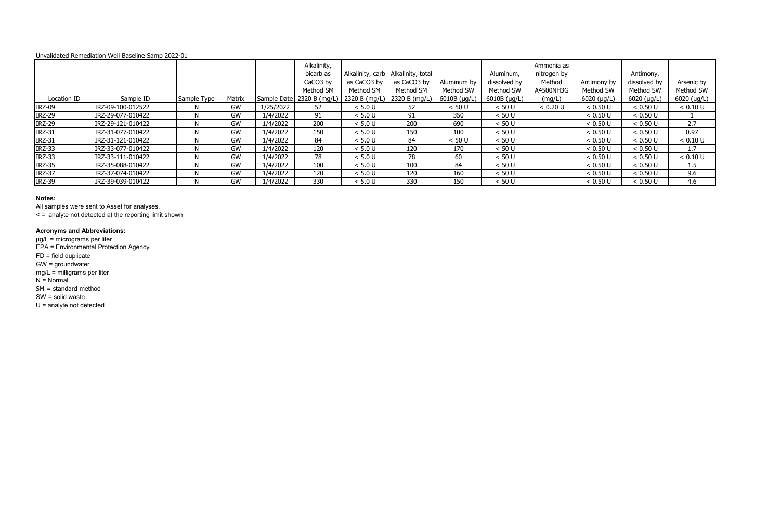|               |                   |             |           |             | Alkalinity,<br>bicarb as<br>CaCO <sub>3</sub> by<br>Method SM | as CaCO3 by<br>Method SM | Alkalinity, carb   Alkalinity, total<br>as CaCO3 by<br>Method SM | Aluminum by<br>Method SW | Aluminum,<br>dissolved by<br>Method SW | Ammonia as<br>nitrogen by<br>Method<br>A4500NH3G | Antimony by<br>Method SW | Antimony,<br>dissolved by<br>Method SW | Arsenic by<br>Method SW |
|---------------|-------------------|-------------|-----------|-------------|---------------------------------------------------------------|--------------------------|------------------------------------------------------------------|--------------------------|----------------------------------------|--------------------------------------------------|--------------------------|----------------------------------------|-------------------------|
| Location ID   | Sample ID         | Sample Type | Matrix    | Sample Date | 2320 B (mg/L)                                                 | 2320 B (mg/L)            | 2320 B (mg/L)                                                    | $6010B$ ( $\mu$ g/L)     | 6010B (µg/L)                           | (mg/L)                                           | $6020$ (µg/L)            | 6020 ( $\mu$ g/L)                      | 6020 (µg/L)             |
| <b>IRZ-09</b> | IRZ-09-100-012522 |             | GW        | 1/25/2022   | 52                                                            | < 5.0 U                  | 52                                                               | < 50 U                   | < 50 U                                 | < 0.20 U                                         | < 0.50 U                 | < 0.50 U                               | < 0.10 U                |
| <b>IRZ-29</b> | IRZ-29-077-010422 |             | GW        | 1/4/2022    | 91                                                            | < 5.0 U                  | 91                                                               | 350                      | < 50 U                                 |                                                  | < 0.50 U                 | < 0.50 U                               |                         |
| <b>IRZ-29</b> | IRZ-29-121-010422 |             | GW        | 1/4/2022    | 200                                                           | < 5.0 U                  | 200                                                              | 690                      | < 50 U                                 |                                                  | < 0.50 U                 | < 0.50 U                               | 2.7                     |
| <b>IRZ-31</b> | IRZ-31-077-010422 |             | GW        | 1/4/2022    | 150                                                           | < 5.0 U                  | 150                                                              | 100                      | < 50 U                                 |                                                  | < 0.50 U                 | < 0.50 U                               | 0.97                    |
| <b>IRZ-31</b> | IRZ-31-121-010422 | N.          | GW        | 1/4/2022    | 84                                                            | < 5.0 U                  | 84                                                               | < 50 U                   | < 50 U                                 |                                                  | < 0.50 U                 | < 0.50 U                               | < 0.10 U                |
| <b>IRZ-33</b> | IRZ-33-077-010422 | N.          | GW        | 1/4/2022    | 120                                                           | < 5.0 U                  | 120                                                              | 170                      | < 50 U                                 |                                                  | < 0.50 U                 | < 0.50 U                               | 1.7                     |
| <b>IRZ-33</b> | IRZ-33-111-010422 |             | GW        | 1/4/2022    | 78                                                            | < 5.0 U                  | 78                                                               | 60                       | < 50 U                                 |                                                  | < 0.50 U                 | < 0.50 U                               | < 0.10 U                |
| <b>IRZ-35</b> | IRZ-35-088-010422 |             | GW        | 1/4/2022    | 100                                                           | < 5.0 U                  | 100                                                              | 84                       | < 50 U                                 |                                                  | < 0.50 U                 | < 0.50 U                               | 1.5                     |
| <b>IRZ-37</b> | IRZ-37-074-010422 |             | GW        | 1/4/2022    | 120                                                           | < 5.0 U                  | 120                                                              | 160                      | < 50 U                                 |                                                  | < 0.50 U                 | < 0.50 U                               | 9.6                     |
| <b>IRZ-39</b> | IRZ-39-039-010422 |             | <b>GW</b> | 1/4/2022    | 330                                                           | < 5.0 U                  | 330                                                              | 150                      | < 50 U                                 |                                                  | < 0.50 U                 | < 0.50 U                               | 4.6                     |

### **Notes:**

All samples were sent to Asset for analyses.

< = analyte not detected at the reporting limit shown

### **Acronyms and Abbreviations:**

µg/L = micrograms per liter

EPA = Environmental Protection Agency

FD = field duplicate

GW = groundwater

mg/L = milligrams per liter

 $N =$  Normal

SM = standard method

SW = solid waste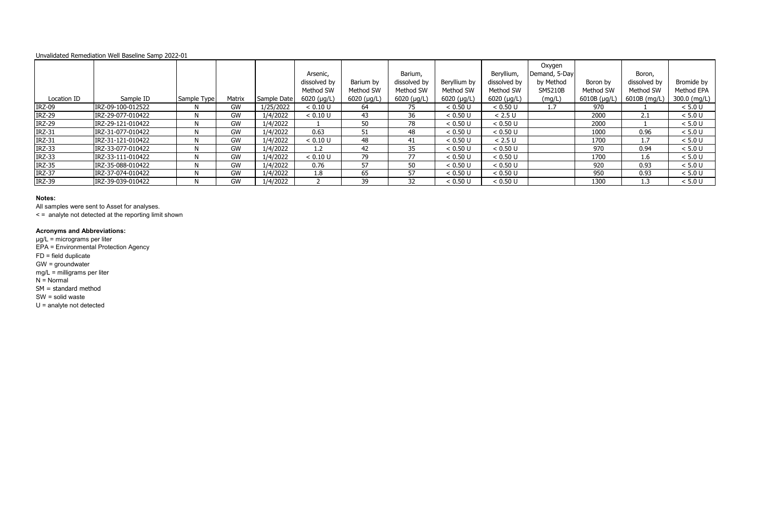### **Notes:**

All samples were sent to Asset for analyses.

< = analyte not detected at the reporting limit shown

### **Acronyms and Abbreviations:**

µg/L = micrograms per liter

EPA = Environmental Protection Agency

FD = field duplicate

GW = groundwater

mg/L = milligrams per liter

 $N =$  Normal

SM = standard method

SW = solid waste

|               | <u>UTIVAINANCU NCITICUIANUIT VVCII DASCIITIC JAITID ZUZZ-UI</u> |             |        |             |               |               |                    |              |                     |                         |                |              |              |
|---------------|-----------------------------------------------------------------|-------------|--------|-------------|---------------|---------------|--------------------|--------------|---------------------|-------------------------|----------------|--------------|--------------|
|               |                                                                 |             |        |             | Arsenic,      |               | Barium,            |              | Beryllium,          | Oxygen<br>Demand, 5-Day |                | Boron,       |              |
|               |                                                                 |             |        |             | dissolved by  | Barium by     | dissolved by       | Beryllium by | dissolved by        | by Method               | Boron by       | dissolved by | Bromide by   |
|               |                                                                 |             |        |             | Method SW     | Method SW     | Method SW          | Method SW    | Method SW           | SM5210B                 | Method SW      | Method SW    | Method EPA   |
| Location ID   | Sample ID                                                       | Sample Type | Matrix | Sample Date | $6020$ (µg/L) | $6020$ (µg/L) | $6020 ( \mu g/L )$ | 6020 (µg/L)  | $6020 \; (\mu g/L)$ | (mg/L)                  | $6010B$ (µg/L) | 6010B (mg/L) | 300.0 (mg/L) |
| <b>IRZ-09</b> | IRZ-09-100-012522                                               | N.          | GW     | 1/25/2022   | < 0.10 U      | 64            | 75                 | < 0.50 U     | < 0.50 U            | 1.7                     | 970            |              | < 5.0 U      |
| <b>IRZ-29</b> | IRZ-29-077-010422                                               | N           | GW     | 1/4/2022    | < 0.10 U      | 43            | 36                 | < 0.50 U     | < 2.5 U             |                         | 2000           | 2.1          | < 5.0 U      |
| <b>IRZ-29</b> | IRZ-29-121-010422                                               | N.          | GW     | 1/4/2022    |               | 50            | 78                 | < 0.50 U     | < 0.50 U            |                         | 2000           |              | < 5.0 U      |
| <b>IRZ-31</b> | IRZ-31-077-010422                                               |             | GW     | 1/4/2022    | 0.63          | 51            | 48                 | < 0.50 U     | < 0.50 U            |                         | 1000           | 0.96         | < 5.0 U      |
| <b>IRZ-31</b> | IRZ-31-121-010422                                               | N.          | GW     | 1/4/2022    | < 0.10 U      | 48            | 41                 | < 0.50 U     | < 2.5 U             |                         | 1700           | 1.7          | < 5.0 U      |
| <b>IRZ-33</b> | IRZ-33-077-010422                                               |             | GW     | 1/4/2022    | 1.2           | 42            | 35                 | < 0.50 U     | < 0.50 U            |                         | 970            | 0.94         | < 5.0 U      |
| <b>IRZ-33</b> | IRZ-33-111-010422                                               | N.          | GW     | 1/4/2022    | < 0.10 U      | 79            | 77                 | < 0.50 U     | < 0.50 U            |                         | 1700           | 1.6          | < 5.0 U      |
| <b>IRZ-35</b> | IRZ-35-088-010422                                               | N.          | GW     | 1/4/2022    | 0.76          | 57            | 50                 | < 0.50 U     | < 0.50 U            |                         | 920            | 0.93         | < 5.0 U      |
| <b>IRZ-37</b> | IRZ-37-074-010422                                               |             | GW     | 1/4/2022    | 1.8           | 65            | 57                 | < 0.50 U     | < 0.50 U            |                         | 950            | 0.93         | < 5.0 U      |
| <b>IRZ-39</b> | IRZ-39-039-010422                                               | N.          | GW     | 1/4/2022    |               | 39            | 32                 | < 0.50 U     | < 0.50 U            |                         | 1300           | 1.3          | < 5.0 U      |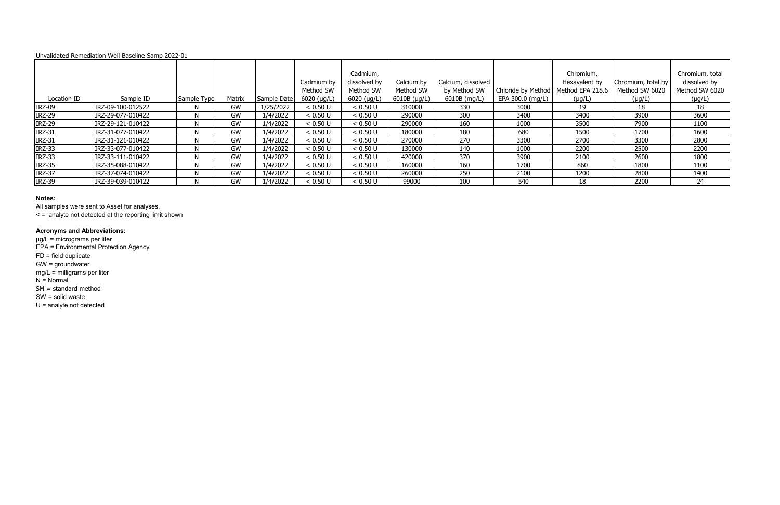### **Notes:**

All samples were sent to Asset for analyses.

< = analyte not detected at the reporting limit shown

### **Acronyms and Abbreviations:**

µg/L = micrograms per liter

EPA = Environmental Protection Agency

FD = field duplicate

GW = groundwater

mg/L = milligrams per liter

 $N =$  Normal

SM = standard method

SW = solid waste

|               |                   |              |        |             | Cadmium by          | Cadmium,<br>dissolved by | Calcium by   | Calcium, dissolved |                  | Chromium,<br>Hexavalent by            | Chromium, total by | Chromium, total<br>dissolved by |
|---------------|-------------------|--------------|--------|-------------|---------------------|--------------------------|--------------|--------------------|------------------|---------------------------------------|--------------------|---------------------------------|
|               |                   |              |        |             | Method SW           | Method SW                | Method SW    | by Method SW       |                  | Chloride by Method   Method EPA 218.6 | Method SW 6020     | Method SW 6020                  |
| Location ID   | Sample ID         | Sample Type  | Matrix | Sample Date | $6020$ ( $\mu$ g/L) | $6020 \; (\mu g/L)$      | 6010B (µg/L) | 6010B (mg/L)       | EPA 300.0 (mg/L) | $(\mu g/L)$                           | $(\mu g/L)$        | $(\mu g/L)$                     |
| <b>IRZ-09</b> | IRZ-09-100-012522 | N.           | GW     | 1/25/2022   | < 0.50 U            | < 0.50 U                 | 310000       | 330                | 3000             | 19                                    | 18                 | 18                              |
| <b>IRZ-29</b> | IRZ-29-077-010422 | N.           | GW     | 1/4/2022    | < 0.50 U            | < 0.50 U                 | 290000       | 300                | 3400             | 3400                                  | 3900               | 3600                            |
| <b>IRZ-29</b> | IRZ-29-121-010422 | N            | GW     | 1/4/2022    | < 0.50 U            | < 0.50 U                 | 290000       | 160                | 1000             | 3500                                  | 7900               | 1100                            |
| <b>IRZ-31</b> | IRZ-31-077-010422 | <sup>N</sup> | GW     | 1/4/2022    | < 0.50 U            | < 0.50 U                 | 180000       | 180                | 680              | 1500                                  | 1700               | 1600                            |
| <b>IRZ-31</b> | IRZ-31-121-010422 | N            | GW     | 1/4/2022    | < 0.50 U            | < 0.50 U                 | 270000       | 270                | 3300             | 2700                                  | 3300               | 2800                            |
| <b>IRZ-33</b> | IRZ-33-077-010422 | N.           | GW     | 1/4/2022    | < 0.50 U            | < 0.50 U                 | 130000       | 140                | 1000             | 2200                                  | 2500               | 2200                            |
| <b>IRZ-33</b> | IRZ-33-111-010422 | N.           | GW     | 1/4/2022    | < 0.50 U            | < 0.50 U                 | 420000       | 370                | 3900             | 2100                                  | 2600               | 1800                            |
| <b>IRZ-35</b> | IRZ-35-088-010422 | N            | GW     | 1/4/2022    | < 0.50 U            | < 0.50 U                 | 160000       | 160                | 1700             | 860                                   | 1800               | 1100                            |
| <b>IRZ-37</b> | IRZ-37-074-010422 | N.           | GW     | 1/4/2022    | < 0.50 U            | < 0.50 U                 | 260000       | 250                | 2100             | 1200                                  | 2800               | 1400                            |
| <b>IRZ-39</b> | IRZ-39-039-010422 | N            | GW     | 1/4/2022    | < 0.50 U            | < 0.50 U                 | 99000        | 100                | 540              | 18                                    | 2200               | 24                              |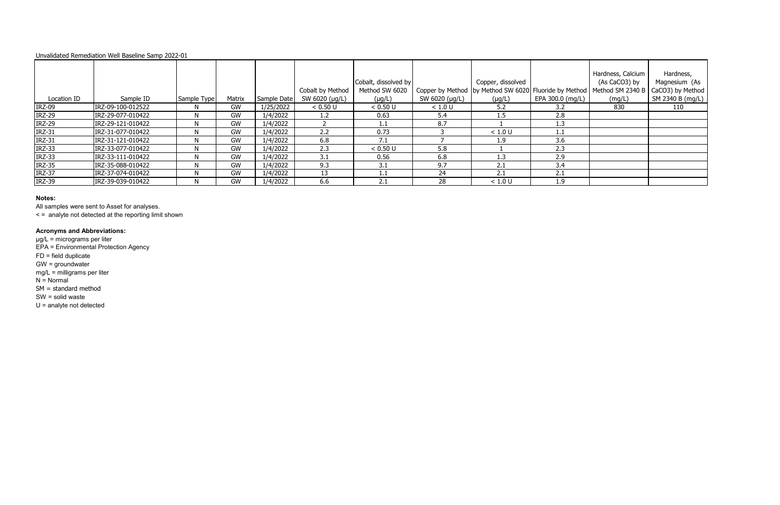### **Notes:**

All samples were sent to Asset for analyses.

< = analyte not detected at the reporting limit shown

### **Acronyms and Abbreviations:**

µg/L = micrograms per liter

EPA = Environmental Protection Agency

FD = field duplicate

|               |                   |             |        |             |                  |                      |                |                                                           |                  | Hardness, Calcium | Hardness,        |
|---------------|-------------------|-------------|--------|-------------|------------------|----------------------|----------------|-----------------------------------------------------------|------------------|-------------------|------------------|
|               |                   |             |        |             |                  | Cobalt, dissolved by |                | Copper, dissolved                                         |                  | (As CaCO3) by     | Magnesium (As    |
|               |                   |             |        |             | Cobalt by Method | Method SW 6020       |                | Copper by Method   by Method SW 6020   Fluoride by Method |                  | Method SM 2340 B  | CaCO3) by Method |
| Location ID   | Sample ID         | Sample Type | Matrix | Sample Date | SW 6020 (µg/L)   | $(\mu g/L)$          | SW 6020 (µg/L) | $(\mu g/L)$                                               | EPA 300.0 (mg/L) | (mg/L)            | SM 2340 B (mg/L) |
| <b>IRZ-09</b> | IRZ-09-100-012522 |             | GW     | 1/25/2022   | < 0.50 U         | < 0.50 U             | < 1.0 U        | 5.2                                                       | 3.2              | 830               | 110              |
| <b>IRZ-29</b> | IRZ-29-077-010422 |             | GW     | 1/4/2022    | 1.2              | 0.63                 | 5.4            | 5.ء                                                       | 2.8              |                   |                  |
| <b>IRZ-29</b> | IRZ-29-121-010422 |             | GW     | 1/4/2022    |                  |                      | 8.7            |                                                           | 1.3              |                   |                  |
| <b>IRZ-31</b> | IRZ-31-077-010422 |             | GW     | 1/4/2022    | 2.2              | 0.73                 |                | < 1.0 U                                                   | 1.1              |                   |                  |
| <b>IRZ-31</b> | IRZ-31-121-010422 |             | GW     | 1/4/2022    | 6.8              | 7.1                  |                | 1.9                                                       | 3.6              |                   |                  |
| <b>IRZ-33</b> | IRZ-33-077-010422 |             | GW     | 1/4/2022    | 2.3              | < 0.50 U             | 5.8            |                                                           | 2.3              |                   |                  |
| <b>IRZ-33</b> | IRZ-33-111-010422 |             | GW     | 1/4/2022    | 3.1              | 0.56                 | 6.8            | 1.3                                                       | 2.9              |                   |                  |
| <b>IRZ-35</b> | IRZ-35-088-010422 |             | GW     | 1/4/2022    | 9.3              | 3.1                  | 9.7            | 2.1                                                       | 3.4              |                   |                  |
| <b>IRZ-37</b> | IRZ-37-074-010422 |             | GW     | 1/4/2022    | 13               |                      | 24             | 2.1                                                       | 2.1              |                   |                  |
| <b>IRZ-39</b> | IRZ-39-039-010422 |             | GW     | 1/4/2022    | 6.6              | 2.1                  | 28             | < 1.0 U                                                   | 1.9              |                   |                  |

GW = groundwater

mg/L = milligrams per liter

 $N =$  Normal

SM = standard method

SW = solid waste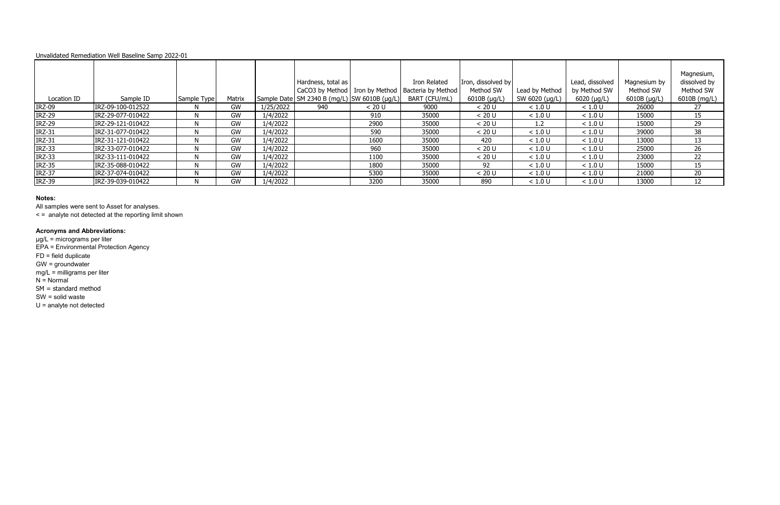### **Notes:**

All samples were sent to Asset for analyses.

< = analyte not detected at the reporting limit shown

### **Acronyms and Abbreviations:**

µg/L = micrograms per liter

EPA = Environmental Protection Agency

FD = field duplicate

GW = groundwater

mg/L = milligrams per liter

 $N =$  Normal

SM = standard method

SW = solid waste

|               |                   |             |        |           |                                                  |        |                                                       |                    |                |                 |              | Magnesium,   |
|---------------|-------------------|-------------|--------|-----------|--------------------------------------------------|--------|-------------------------------------------------------|--------------------|----------------|-----------------|--------------|--------------|
|               |                   |             |        |           | Hardness, total as                               |        | Iron Related                                          | Iron, dissolved by |                | Lead, dissolved | Magnesium by | dissolved by |
|               |                   |             |        |           |                                                  |        | CaCO3 by Method   Iron by Method   Bacteria by Method | Method SW          | Lead by Method | by Method SW    | Method SW    | Method SW    |
| Location ID   | Sample ID         | Sample Type | Matrix |           | Sample Date   SM 2340 B (mg/L)   SW 6010B (µg/L) |        | BART (CFU/mL)                                         | 6010B (µg/L)       | SW 6020 (µg/L) | $6020$ (µg/L)   | 6010B (µg/L) | 6010B (mg/L) |
| <b>IRZ-09</b> | IRZ-09-100-012522 |             | GW     | 1/25/2022 | 940                                              | < 20 U | 9000                                                  | < 20 U             | < 1.0 U        | < 1.0 U         | 26000        | 27           |
| <b>IRZ-29</b> | IRZ-29-077-010422 |             | GW     | 1/4/2022  |                                                  | 910    | 35000                                                 | < 20 U             | < 1.0 U        | < 1.0 U         | 15000        | 15           |
| <b>IRZ-29</b> | IRZ-29-121-010422 |             | GW     | 1/4/2022  |                                                  | 2900   | 35000                                                 | < 20 U             | 1.2            | < 1.0 U         | 15000        | 29           |
| <b>IRZ-31</b> | IRZ-31-077-010422 |             | GW     | 1/4/2022  |                                                  | 590    | 35000                                                 | < 20 U             | < 1.0 U        | < 1.0 U         | 39000        | 38           |
| <b>IRZ-31</b> | IRZ-31-121-010422 |             | GW     | 1/4/2022  |                                                  | 1600   | 35000                                                 | 420                | < 1.0 U        | < 1.0 U         | 13000        | 13           |
| <b>IRZ-33</b> | IRZ-33-077-010422 |             | GW     | 1/4/2022  |                                                  | 960    | 35000                                                 | < 20 U             | < 1.0 U        | < 1.0 U         | 25000        | 26           |
| <b>IRZ-33</b> | IRZ-33-111-010422 |             | GW     | 1/4/2022  |                                                  | 1100   | 35000                                                 | < 20 U             | < 1.0 U        | < 1.0 U         | 23000        | 22           |
| <b>IRZ-35</b> | IRZ-35-088-010422 |             | GW     | 1/4/2022  |                                                  | 1800   | 35000                                                 | 92                 | < 1.0 U        | < 1.0 U         | 15000        | 15           |
| <b>IRZ-37</b> | IRZ-37-074-010422 |             | GW     | 1/4/2022  |                                                  | 5300   | 35000                                                 | < 20 U             | < 1.0 U        | < 1.0 U         | 21000        | 20           |
| <b>IRZ-39</b> | IRZ-39-039-010422 |             | GW     | 1/4/2022  |                                                  | 3200   | 35000                                                 | 890                | < 1.0 U        | < 1.0 U         | 13000        | 12           |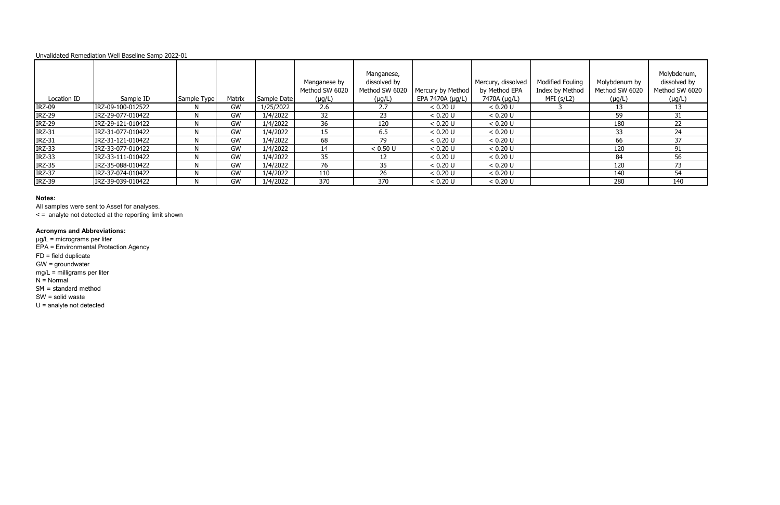### **Notes:**

All samples were sent to Asset for analyses.

< = analyte not detected at the reporting limit shown

### **Acronyms and Abbreviations:**

µg/L = micrograms per liter

EPA = Environmental Protection Agency

FD = field duplicate

GW = groundwater

mg/L = milligrams per liter

 $N =$  Normal

|               |                   |             |        |             | Manganese by<br>Method SW 6020 | Manganese,<br>dissolved by<br>Method SW 6020 | Mercury by Method | Mercury, dissolved<br>by Method EPA | <b>Modified Fouling</b><br>Index by Method | Molybdenum by<br>Method SW 6020 | Molybdenum,<br>dissolved by<br>Method SW 6020 |
|---------------|-------------------|-------------|--------|-------------|--------------------------------|----------------------------------------------|-------------------|-------------------------------------|--------------------------------------------|---------------------------------|-----------------------------------------------|
| Location ID   | Sample ID         | Sample Type | Matrix | Sample Date | $(\mu g/L)$                    | $(\mu g/L)$                                  | EPA 7470A (µg/L)  | 7470A (µg/L)                        | MFI(s/L2)                                  | $(\mu g/L)$                     | $(\mu g/L)$                                   |
| <b>IRZ-09</b> | IRZ-09-100-012522 |             | GW     | 1/25/2022   | 2.6                            | 2.7                                          | < 0.20 U          | < 0.20 U                            |                                            | 13                              | 13                                            |
| <b>IRZ-29</b> | IRZ-29-077-010422 |             | GW     | 1/4/2022    | 32                             | 23                                           | < 0.20 U          | < 0.20 U                            |                                            | 59                              | 31                                            |
| <b>IRZ-29</b> | IRZ-29-121-010422 |             | GW     | 1/4/2022    | 36                             | 120                                          | < 0.20 U          | < 0.20 U                            |                                            | 180                             | 22                                            |
| <b>IRZ-31</b> | IRZ-31-077-010422 |             | GW     | 1/4/2022    | 15                             | 6.5                                          | < 0.20 U          | < 0.20 U                            |                                            | 33                              | 24                                            |
| <b>IRZ-31</b> | IRZ-31-121-010422 | N           | GW     | 1/4/2022    | 68                             | 79                                           | < 0.20 U          | < 0.20 U                            |                                            | 66                              | 37                                            |
| <b>IRZ-33</b> | IRZ-33-077-010422 |             | GW     | 1/4/2022    | 14                             | < 0.50 U                                     | < 0.20 U          | < 0.20 U                            |                                            | 120                             | 91                                            |
| <b>IRZ-33</b> | IRZ-33-111-010422 |             | GW     | 1/4/2022    | 35                             |                                              | < 0.20 U          | < 0.20 U                            |                                            | 84                              | 56                                            |
| <b>IRZ-35</b> | IRZ-35-088-010422 |             | GW     | 1/4/2022    | 76                             | 35                                           | < 0.20 U          | < 0.20 U                            |                                            | 120                             | 73                                            |
| <b>IRZ-37</b> | IRZ-37-074-010422 |             | GW     | 1/4/2022    | 110                            | 26                                           | < 0.20 U          | < 0.20 U                            |                                            | 140                             | 54                                            |
| <b>IRZ-39</b> | IRZ-39-039-010422 |             | GW     | 1/4/2022    | 370                            | 370                                          | < 0.20 U          | < 0.20 U                            |                                            | 280                             | 140                                           |

SM = standard method

SW = solid waste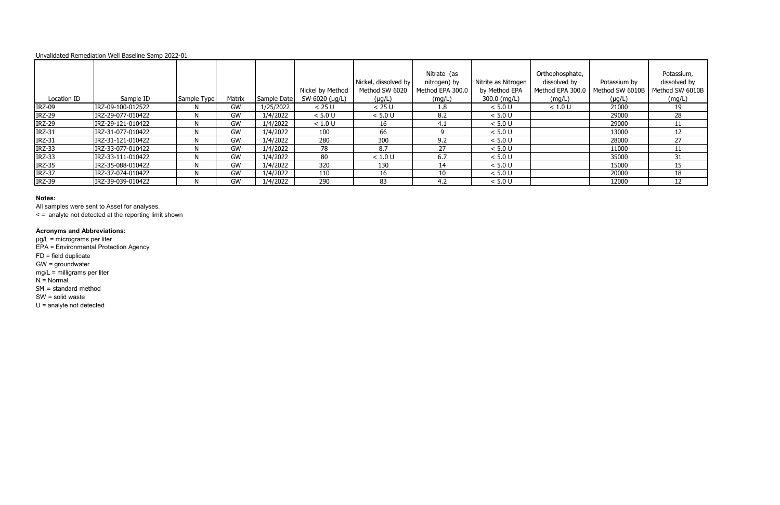### **Notes:**

All samples were sent to Asset for analyses.

< = analyte not detected at the reporting limit shown

### **Acronyms and Abbreviations:**

µg/L = micrograms per liter

EPA = Environmental Protection Agency

FD = field duplicate

GW = groundwater

mg/L = milligrams per liter

 $N =$  Normal

|               |                   |             |        |             |                  |                      | Nitrate (as      |                     | Orthophosphate,  |                 | Potassium,      |
|---------------|-------------------|-------------|--------|-------------|------------------|----------------------|------------------|---------------------|------------------|-----------------|-----------------|
|               |                   |             |        |             |                  | Nickel, dissolved by | nitrogen) by     | Nitrite as Nitrogen | dissolved by     | Potassium by    | dissolved by    |
|               |                   |             |        |             | Nickel by Method | Method SW 6020       | Method EPA 300.0 | by Method EPA       | Method EPA 300.0 | Method SW 6010B | Method SW 6010B |
| Location ID   | Sample ID         | Sample Type | Matrix | Sample Date | SW 6020 (µg/L)   | $(\mu g/L)$          | (mg/L)           | 300.0 (mg/L)        | (mg/L)           | $(\mu g/L)$     | (mg/L)          |
| <b>IRZ-09</b> | IRZ-09-100-012522 |             | GW     | 1/25/2022   | < 25 U           | < 25 U               | 1.8              | < 5.0 U             | < 1.0 U          | 21000           | 19              |
| <b>IRZ-29</b> | IRZ-29-077-010422 |             | GW     | 1/4/2022    | < 5.0 U          | < 5.0 U              | 8.2              | < 5.0 U             |                  | 29000           | 28              |
| <b>IRZ-29</b> | IRZ-29-121-010422 |             | GW     | 1/4/2022    | < 1.0 U          | 16                   | 4.1              | < 5.0 U             |                  | 29000           |                 |
| <b>IRZ-31</b> | IRZ-31-077-010422 |             | GW     | 1/4/2022    | 100              | 66                   |                  | < 5.0 U             |                  | 13000           | 12              |
| <b>IRZ-31</b> | IRZ-31-121-010422 |             | GW     | 1/4/2022    | 280              | 300                  | 9.2              | < 5.0 U             |                  | 28000           | 27              |
| <b>IRZ-33</b> | IRZ-33-077-010422 |             | GW     | 1/4/2022    | 78               | 8.7                  | 27               | < 5.0 U             |                  | 11000           |                 |
| <b>IRZ-33</b> | IRZ-33-111-010422 |             | GW     | 1/4/2022    | 80               | < 1.0 U              | 6.7              | < 5.0 U             |                  | 35000           | 31              |
| <b>IRZ-35</b> | IRZ-35-088-010422 |             | GW     | 1/4/2022    | 320              | 130                  | 14               | < 5.0 U             |                  | 15000           | 15              |
| <b>IRZ-37</b> | IRZ-37-074-010422 |             | GW     | 1/4/2022    | 110              | 16                   | 10               | < 5.0 U             |                  | 20000           | 18              |
| <b>IRZ-39</b> | IRZ-39-039-010422 |             | GW     | 1/4/2022    | 290              | 83                   | 4.2              | < 5.0 U             |                  | 12000           | 12              |

SM = standard method

SW = solid waste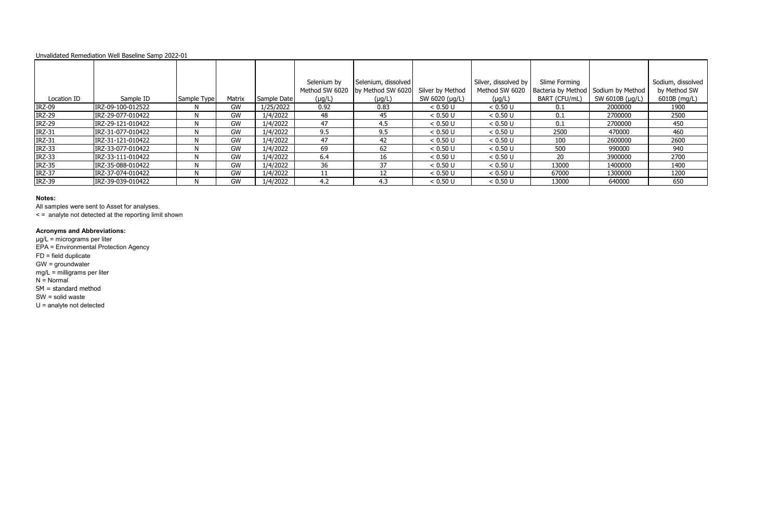### **Notes:**

All samples were sent to Asset for analyses.

< = analyte not detected at the reporting limit shown

#### **Acronyms and Abbreviations:**

µg/L = micrograms per liter

EPA = Environmental Protection Agency

FD = field duplicate

GW = groundwater

mg/L = milligrams per liter

 $N =$  Normal

SM = standard method

|               |                   |             |        |             | Selenium by<br>Method SW 6020 | Selenium, dissolved<br>by Method SW 6020 |                                    | Silver, dissolved by<br>Method SW 6020 | Slime Forming                                          |                 | Sodium, dissolved<br>by Method SW |
|---------------|-------------------|-------------|--------|-------------|-------------------------------|------------------------------------------|------------------------------------|----------------------------------------|--------------------------------------------------------|-----------------|-----------------------------------|
| Location ID   | Sample ID         | Sample Type | Matrix | Sample Date | $(\mu g/L)$                   | $(\mu g/L)$                              | Silver by Method<br>SW 6020 (µg/L) | $(\mu g/L)$                            | Bacteria by Method   Sodium by Method<br>BART (CFU/mL) | SW 6010B (µg/L) | 6010B (mg/L)                      |
| <b>IRZ-09</b> | IRZ-09-100-012522 |             | GW     | 1/25/2022   | 0.92                          | 0.83                                     | < 0.50 U                           | < 0.50 U                               | 0.1                                                    | 2000000         | 1900                              |
| <b>IRZ-29</b> | IRZ-29-077-010422 |             | GW     | 1/4/2022    | 48                            | 45                                       | < 0.50 U                           | < 0.50 U                               | 0.1                                                    | 2700000         | 2500                              |
| <b>IRZ-29</b> | IRZ-29-121-010422 |             | GW     | 1/4/2022    | 47                            | 4.5                                      | < 0.50 U                           | $< 0.50 \text{ U}$                     | 0.1                                                    | 2700000         | 450                               |
| <b>IRZ-31</b> | IRZ-31-077-010422 |             | GW     | 1/4/2022    | 9.5                           | 9.5                                      | < 0.50 U                           | < 0.50 U                               | 2500                                                   | 470000          | 460                               |
| <b>IRZ-31</b> | IRZ-31-121-010422 |             | GW     | 1/4/2022    | 47                            | 42                                       | < 0.50 U                           | < 0.50 U                               | 100                                                    | 2600000         | 2600                              |
| <b>IRZ-33</b> | IRZ-33-077-010422 | N           | GW     | 1/4/2022    | 69                            | 62                                       | < 0.50 U                           | < 0.50 U                               | 500                                                    | 990000          | 940                               |
| <b>IRZ-33</b> | IRZ-33-111-010422 |             | GW     | 1/4/2022    | 6.4                           |                                          | < 0.50 U                           | < 0.50 U                               | 20                                                     | 3900000         | 2700                              |
| <b>IRZ-35</b> | IRZ-35-088-010422 |             | GW     | 1/4/2022    | 36                            | 37                                       | < 0.50 U                           | < 0.50 U                               | 13000                                                  | 1400000         | 1400                              |
| <b>IRZ-37</b> | IRZ-37-074-010422 |             | GW     | 1/4/2022    | 11                            |                                          | < 0.50 U                           | < 0.50 U                               | 67000                                                  | 1300000         | 1200                              |
| <b>IRZ-39</b> | IRZ-39-039-010422 |             | GW     | 1/4/2022    | 4.2                           | 4.3                                      | < 0.50 U                           | < 0.50 U                               | 13000                                                  | 640000          | 650                               |

SW = solid waste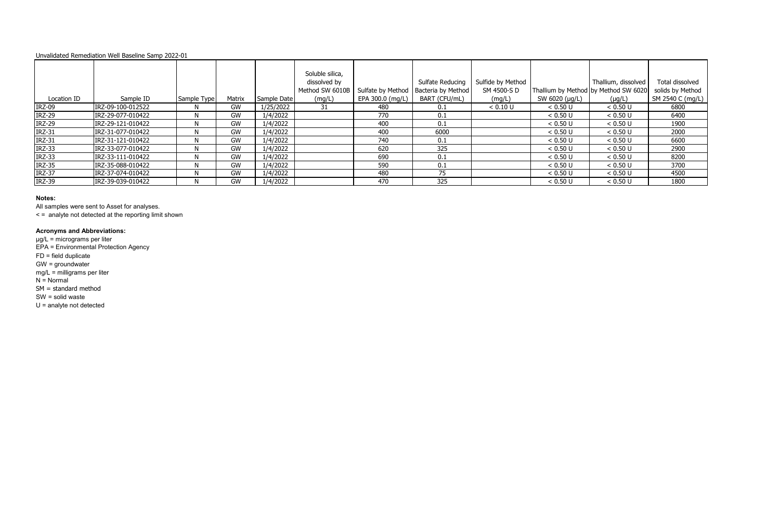### **Notes:**

All samples were sent to Asset for analyses.

< = analyte not detected at the reporting limit shown

### **Acronyms and Abbreviations:**

µg/L = micrograms per liter

EPA = Environmental Protection Agency

FD = field duplicate

GW = groundwater

mg/L = milligrams per liter

 $N =$  Normal

|               |                   |             |        |             | Soluble silica, |                  |                                        |                   |                |                                      |                  |
|---------------|-------------------|-------------|--------|-------------|-----------------|------------------|----------------------------------------|-------------------|----------------|--------------------------------------|------------------|
|               |                   |             |        |             | dissolved by    |                  | Sulfate Reducing                       | Sulfide by Method |                | Thallium, dissolved                  | Total dissolved  |
|               |                   |             |        |             | Method SW 6010B |                  | Sulfate by Method   Bacteria by Method | SM 4500-S D       |                | Thallium by Method by Method SW 6020 | solids by Method |
| Location ID   | Sample ID         | Sample Type | Matrix | Sample Date | (mg/L)          | EPA 300.0 (mg/L) | BART (CFU/mL)                          | (mg/L)            | SW 6020 (µg/L) | $(\mu g/L)$                          | SM 2540 C (mg/L) |
| <b>IRZ-09</b> | IRZ-09-100-012522 |             | GW     | 1/25/2022   | 31              | -480             | 0.1                                    | < 0.10 U          | < 0.50 U       | < 0.50 U                             | 6800             |
| <b>IRZ-29</b> | IRZ-29-077-010422 | N           | GW     | 1/4/2022    |                 | 770              | 0.1                                    |                   | < 0.50 U       | < 0.50 U                             | 6400             |
| <b>IRZ-29</b> | IRZ-29-121-010422 |             | GW     | 1/4/2022    |                 | 400              | 0.1                                    |                   | < 0.50 U       | < 0.50 U                             | 1900             |
| <b>IRZ-31</b> | IRZ-31-077-010422 |             | GW     | 1/4/2022    |                 | 400              | 6000                                   |                   | < 0.50 U       | < 0.50 U                             | 2000             |
| <b>IRZ-31</b> | IRZ-31-121-010422 |             | GW     | 1/4/2022    |                 | 740              | 0.1                                    |                   | < 0.50 U       | < 0.50 U                             | 6600             |
| <b>IRZ-33</b> | IRZ-33-077-010422 | N           | GW     | 1/4/2022    |                 | 620              | 325                                    |                   | < 0.50 U       | < 0.50 U                             | 2900             |
| <b>IRZ-33</b> | IRZ-33-111-010422 |             | GW     | 1/4/2022    |                 | 690              | 0.1                                    |                   | < 0.50 U       | < 0.50 U                             | 8200             |
| <b>IRZ-35</b> | IRZ-35-088-010422 |             | GW     | 1/4/2022    |                 | 590              | 0.1                                    |                   | < 0.50 U       | < 0.50 U                             | 3700             |
| <b>IRZ-37</b> | IRZ-37-074-010422 |             | GW     | 1/4/2022    |                 | 480              | 75                                     |                   | < 0.50 U       | < 0.50 U                             | 4500             |
| <b>IRZ-39</b> | IRZ-39-039-010422 |             | GW     | 1/4/2022    |                 | 470              | 325                                    |                   | < 0.50 U       | < 0.50 U                             | 1800             |

SM = standard method

SW = solid waste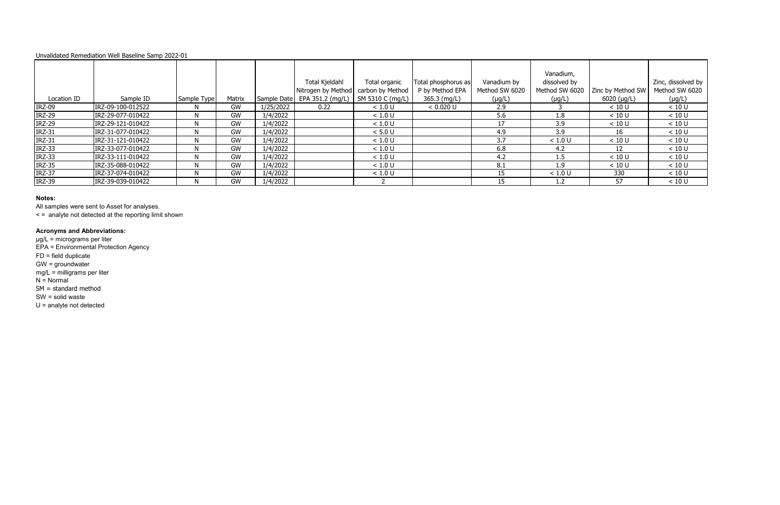### **Notes:**

All samples were sent to Asset for analyses.

< = analyte not detected at the reporting limit shown

### **Acronyms and Abbreviations:**

µg/L = micrograms per liter

EPA = Environmental Protection Agency

FD = field duplicate

GW = groundwater

mg/L = milligrams per liter

 $N =$  Normal

|               |                   |             |        |           |                                                                       |               |                     |                | Vanadium,      |                   |                    |
|---------------|-------------------|-------------|--------|-----------|-----------------------------------------------------------------------|---------------|---------------------|----------------|----------------|-------------------|--------------------|
|               |                   |             |        |           | Total Kjeldahl                                                        | Total organic | Total phosphorus as | Vanadium by    | dissolved by   |                   | Zinc, dissolved by |
|               |                   |             |        |           | Nitrogen by Method   carbon by Method                                 |               | P by Method EPA     | Method SW 6020 | Method SW 6020 | Zinc by Method SW | Method SW 6020     |
| Location ID   | Sample ID         | Sample Type | Matrix |           | $\vert$ Sample Date $\vert$ EPA 351.2 (mg/L) $\vert$ SM 5310 C (mg/L) |               | 365.3 (mg/L)        | $(\mu g/L)$    | $(\mu g/L)$    | $6020$ (µg/L)     | $(\mu g/L)$        |
| <b>IRZ-09</b> | IRZ-09-100-012522 |             | GW     | 1/25/2022 | 0.22                                                                  | < 1.0 U       | < 0.020 U           | 2.9            |                | < 10 U            | < 10 U             |
| <b>IRZ-29</b> | IRZ-29-077-010422 |             | GW     | 1/4/2022  |                                                                       | < 1.0 U       |                     | 5.6            | 1.8            | < 10 U            | < 10 U             |
| <b>IRZ-29</b> | IRZ-29-121-010422 |             | GW     | 1/4/2022  |                                                                       | < 1.0 U       |                     | 17             | 3.9            | < 10 U            | < 10 U             |
| <b>IRZ-31</b> | IRZ-31-077-010422 |             | GW     | 1/4/2022  |                                                                       | < 5.0 U       |                     | 4.9            | 3.9            | 16                | < 10 U             |
| <b>IRZ-31</b> | IRZ-31-121-010422 |             | GW     | 1/4/2022  |                                                                       | < 1.0 U       |                     | 3.7            | < 1.0 U        | < 10 U            | < 10 U             |
| <b>IRZ-33</b> | IRZ-33-077-010422 |             | GW     | 1/4/2022  |                                                                       | < 1.0 U       |                     | 6.8            | -4.2           | 12                | < 10 U             |
| <b>IRZ-33</b> | IRZ-33-111-010422 |             | GW     | 1/4/2022  |                                                                       | < 1.0 U       |                     | 4.2            | 1.5            | < 10 U            | < 10 U             |
| <b>IRZ-35</b> | IRZ-35-088-010422 |             | GW     | 1/4/2022  |                                                                       | < 1.0 U       |                     | 8.1            | 1.9            | < 10 U            | < 10 U             |
| <b>IRZ-37</b> | IRZ-37-074-010422 |             | GW     | 1/4/2022  |                                                                       | < 1.0 U       |                     | 15             | < 1.0 U        | 330               | < 10 U             |
| <b>IRZ-39</b> | IRZ-39-039-010422 | N           | GW     | 1/4/2022  |                                                                       |               |                     | 15             | 1.2            | 57                | < 10 U             |

SM = standard method

SW = solid waste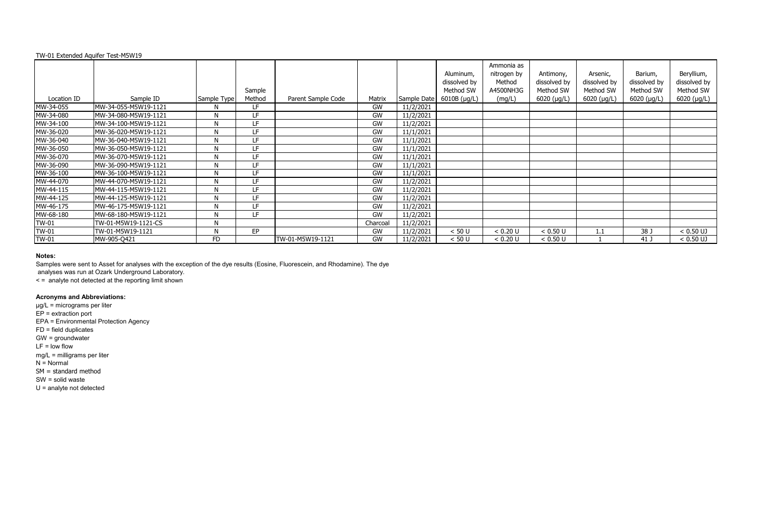|              | TW-01 Extended Aquifer Test-M5W19 |             |                  |                    |          |             |                                                          |                                                            |                                                         |                                                              |                                                             |                                                                |
|--------------|-----------------------------------|-------------|------------------|--------------------|----------|-------------|----------------------------------------------------------|------------------------------------------------------------|---------------------------------------------------------|--------------------------------------------------------------|-------------------------------------------------------------|----------------------------------------------------------------|
| Location ID  | Sample ID                         | Sample Type | Sample<br>Method | Parent Sample Code | Matrix   | Sample Date | Aluminum,<br>dissolved by<br>Method SW<br>$6010B$ (µg/L) | Ammonia as<br>nitrogen by<br>Method<br>A4500NH3G<br>(mg/L) | Antimony,<br>dissolved by<br>Method SW<br>$6020$ (µg/L) | Arsenic,<br>dissolved by<br>Method SW<br>$6020$ ( $\mu$ g/L) | Barium,<br>dissolved by<br>Method SW<br>$6020$ ( $\mu$ g/L) | Beryllium,<br>dissolved by<br>Method SW<br>$6020$ ( $\mu$ g/L) |
| MW-34-055    | MW-34-055-M5W19-1121              | N.          | LF.              |                    | GW       | 11/2/2021   |                                                          |                                                            |                                                         |                                                              |                                                             |                                                                |
| MW-34-080    | MW-34-080-M5W19-1121              | N           | LF.              |                    | GW       | 11/2/2021   |                                                          |                                                            |                                                         |                                                              |                                                             |                                                                |
| MW-34-100    | MW-34-100-M5W19-1121              | N           | LF.              |                    | GW       | 11/2/2021   |                                                          |                                                            |                                                         |                                                              |                                                             |                                                                |
| MW-36-020    | MW-36-020-M5W19-1121              | N           | LF.              |                    | GW       | 11/1/2021   |                                                          |                                                            |                                                         |                                                              |                                                             |                                                                |
| MW-36-040    | MW-36-040-M5W19-1121              | N           | LF               |                    | GW       | 11/1/2021   |                                                          |                                                            |                                                         |                                                              |                                                             |                                                                |
| MW-36-050    | MW-36-050-M5W19-1121              | N           | LF.              |                    | GW       | 11/1/2021   |                                                          |                                                            |                                                         |                                                              |                                                             |                                                                |
| MW-36-070    | MW-36-070-M5W19-1121              | N           | LF.              |                    | GW       | 11/1/2021   |                                                          |                                                            |                                                         |                                                              |                                                             |                                                                |
| MW-36-090    | MW-36-090-M5W19-1121              | N           | LF               |                    | GW       | 11/1/2021   |                                                          |                                                            |                                                         |                                                              |                                                             |                                                                |
| MW-36-100    | MW-36-100-M5W19-1121              | N           | LF               |                    | GW       | 11/1/2021   |                                                          |                                                            |                                                         |                                                              |                                                             |                                                                |
| MW-44-070    | MW-44-070-M5W19-1121              | N           | LF               |                    | GW       | 11/2/2021   |                                                          |                                                            |                                                         |                                                              |                                                             |                                                                |
| MW-44-115    | MW-44-115-M5W19-1121              | N           | LF               |                    | GW       | 11/2/2021   |                                                          |                                                            |                                                         |                                                              |                                                             |                                                                |
| MW-44-125    | MW-44-125-M5W19-1121              | N           | LF               |                    | GW       | 11/2/2021   |                                                          |                                                            |                                                         |                                                              |                                                             |                                                                |
| MW-46-175    | MW-46-175-M5W19-1121              | N           | LF.              |                    | GW       | 11/2/2021   |                                                          |                                                            |                                                         |                                                              |                                                             |                                                                |
| MW-68-180    | MW-68-180-M5W19-1121              | N           | LF.              |                    | GW       | 11/2/2021   |                                                          |                                                            |                                                         |                                                              |                                                             |                                                                |
| <b>TW-01</b> | TW-01-M5W19-1121-CS               | N           |                  |                    | Charcoal | 11/2/2021   |                                                          |                                                            |                                                         |                                                              |                                                             |                                                                |
| <b>TW-01</b> | TW-01-M5W19-1121                  | N           | EP               |                    | GW       | 11/2/2021   | < 50 U                                                   | < 0.20 U                                                   | < 0.50 U                                                | 1.1                                                          | 38 J                                                        | $< 0.50$ UJ                                                    |
| <b>TW-01</b> | MW-905-Q421                       | <b>FD</b>   |                  | TW-01-M5W19-1121   | GW       | 11/2/2021   | < 50 U                                                   | < 0.20 U                                                   | < 0.50 U                                                |                                                              | 41 J                                                        | $< 0.50$ UJ                                                    |

Samples were sent to Asset for analyses with the exception of the dye results (Eosine, Fluorescein, and Rhodamine). The dye

analyses was run at Ozark Underground Laboratory.

< = analyte not detected at the reporting limit shown

# **Acronyms and Abbreviations:**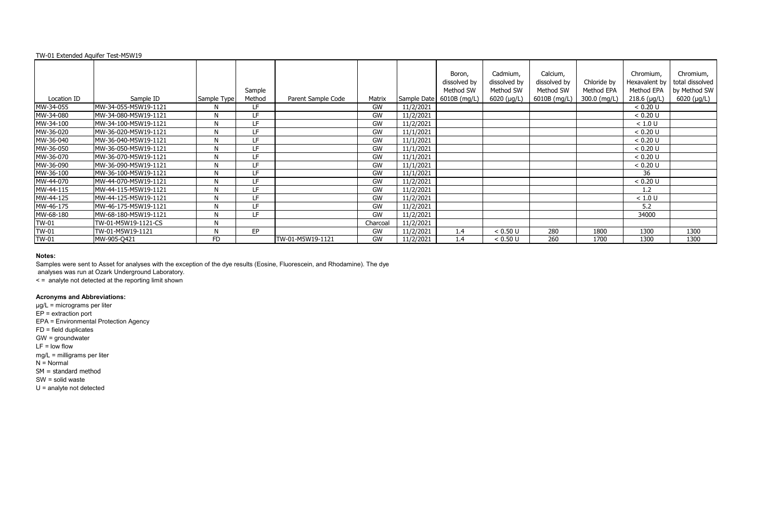| TW-01 Extended Aquifer Test-M5W19 |                      |             |                  |                    |          |             |                                                     |                                                      |                                                       |                                           |                                                            |                                                                     |
|-----------------------------------|----------------------|-------------|------------------|--------------------|----------|-------------|-----------------------------------------------------|------------------------------------------------------|-------------------------------------------------------|-------------------------------------------|------------------------------------------------------------|---------------------------------------------------------------------|
| Location ID                       | Sample ID            | Sample Type | Sample<br>Method | Parent Sample Code | Matrix   | Sample Date | Boron,<br>dissolved by<br>Method SW<br>6010B (mg/L) | Cadmium,<br>dissolved by<br>Method SW<br>6020 (µg/L) | Calcium,<br>dissolved by<br>Method SW<br>6010B (mg/L) | Chloride by<br>Method EPA<br>300.0 (mg/L) | Chromium,<br>Hexavalent by<br>Method EPA<br>$218.6$ (µg/L) | Chromium,<br>total dissolved<br>by Method SW<br>$6020$ ( $\mu$ g/L) |
| MW-34-055                         | MW-34-055-M5W19-1121 | N           | LF               |                    | GW       | 11/2/2021   |                                                     |                                                      |                                                       |                                           | < 0.20 U                                                   |                                                                     |
| MW-34-080                         | MW-34-080-M5W19-1121 | N           | LF               |                    | GW       | 11/2/2021   |                                                     |                                                      |                                                       |                                           | < 0.20 U                                                   |                                                                     |
| MW-34-100                         | MW-34-100-M5W19-1121 | N           | LF               |                    | GW       | 11/2/2021   |                                                     |                                                      |                                                       |                                           | < 1.0 U                                                    |                                                                     |
| MW-36-020                         | MW-36-020-M5W19-1121 | N           | LF               |                    | GW       | 11/1/2021   |                                                     |                                                      |                                                       |                                           | < 0.20 U                                                   |                                                                     |
| MW-36-040                         | MW-36-040-M5W19-1121 | N           | LF.              |                    | GW       | 11/1/2021   |                                                     |                                                      |                                                       |                                           | < 0.20 U                                                   |                                                                     |
| MW-36-050                         | MW-36-050-M5W19-1121 | N           | LF               |                    | GW       | 11/1/2021   |                                                     |                                                      |                                                       |                                           | < 0.20 U                                                   |                                                                     |
| MW-36-070                         | MW-36-070-M5W19-1121 | N           | LF               |                    | GW       | 11/1/2021   |                                                     |                                                      |                                                       |                                           | < 0.20 U                                                   |                                                                     |
| MW-36-090                         | MW-36-090-M5W19-1121 | N           | LF               |                    | GW       | 11/1/2021   |                                                     |                                                      |                                                       |                                           | < 0.20 U                                                   |                                                                     |
| MW-36-100                         | MW-36-100-M5W19-1121 | N           | LF               |                    | GW       | 11/1/2021   |                                                     |                                                      |                                                       |                                           | 36                                                         |                                                                     |
| MW-44-070                         | MW-44-070-M5W19-1121 | N           | LF               |                    | GW       | 11/2/2021   |                                                     |                                                      |                                                       |                                           | < 0.20 U                                                   |                                                                     |
| MW-44-115                         | MW-44-115-M5W19-1121 | N           | LF               |                    | GW       | 11/2/2021   |                                                     |                                                      |                                                       |                                           | 1.2                                                        |                                                                     |
| MW-44-125                         | MW-44-125-M5W19-1121 | N           | LF               |                    | GW       | 11/2/2021   |                                                     |                                                      |                                                       |                                           | < 1.0 U                                                    |                                                                     |
| MW-46-175                         | MW-46-175-M5W19-1121 | N           | LF               |                    | GW       | 11/2/2021   |                                                     |                                                      |                                                       |                                           | 5.2                                                        |                                                                     |
| MW-68-180                         | MW-68-180-M5W19-1121 | N           | LF               |                    | GW       | 11/2/2021   |                                                     |                                                      |                                                       |                                           | 34000                                                      |                                                                     |
| <b>TW-01</b>                      | TW-01-M5W19-1121-CS  | N           |                  |                    | Charcoal | 11/2/2021   |                                                     |                                                      |                                                       |                                           |                                                            |                                                                     |
| <b>TW-01</b>                      | TW-01-M5W19-1121     | N           | EP               |                    | GW       | 11/2/2021   | 1.4                                                 | < 0.50 U                                             | 280                                                   | 1800                                      | 1300                                                       | 1300                                                                |
| <b>TW-01</b>                      | MW-905-Q421          | <b>FD</b>   |                  | TW-01-M5W19-1121   | GW       | 11/2/2021   | 1.4                                                 | < 0.50 U                                             | 260                                                   | 1700                                      | 1300                                                       | 1300                                                                |

Samples were sent to Asset for analyses with the exception of the dye results (Eosine, Fluorescein, and Rhodamine). The dye

analyses was run at Ozark Underground Laboratory.

< = analyte not detected at the reporting limit shown

# **Acronyms and Abbreviations:**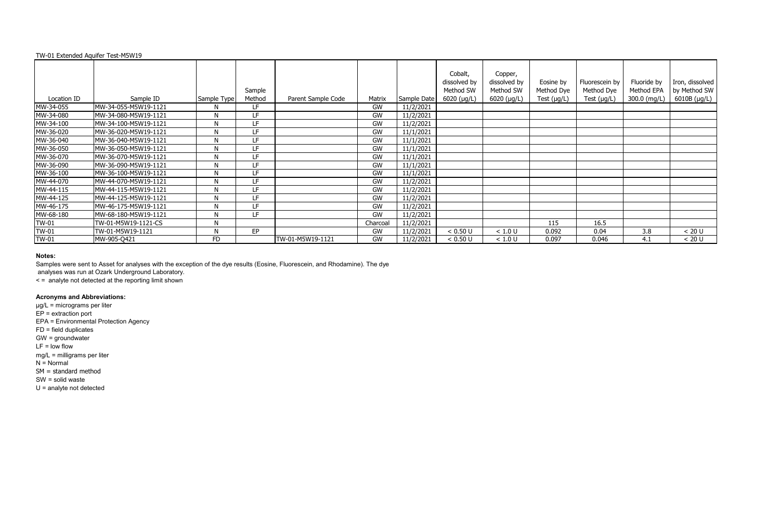|              | TW-01 Extended Aquifer Test-M5W19 |             |                  |                    |           |             |                                                             |                                                       |                                             |                                                  |                                           |                                                 |
|--------------|-----------------------------------|-------------|------------------|--------------------|-----------|-------------|-------------------------------------------------------------|-------------------------------------------------------|---------------------------------------------|--------------------------------------------------|-------------------------------------------|-------------------------------------------------|
| Location ID  | Sample ID                         | Sample Type | Sample<br>Method | Parent Sample Code | Matrix    | Sample Date | Cobalt,<br>dissolved by<br>Method SW<br>$6020$ ( $\mu$ g/L) | Copper,<br>dissolved by<br>Method SW<br>$6020$ (µg/L) | Eosine by<br>Method Dye<br>Test $(\mu g/L)$ | Fluorescein by<br>Method Dye<br>Test $(\mu g/L)$ | Fluoride by<br>Method EPA<br>300.0 (mg/L) | Iron, dissolved<br>by Method SW<br>6010B (µg/L) |
| MW-34-055    | MW-34-055-M5W19-1121              |             | LF               |                    | GW        | 11/2/2021   |                                                             |                                                       |                                             |                                                  |                                           |                                                 |
| MW-34-080    | MW-34-080-M5W19-1121              | N           | LF               |                    | GW        | 11/2/2021   |                                                             |                                                       |                                             |                                                  |                                           |                                                 |
| MW-34-100    | MW-34-100-M5W19-1121              | N           | LF.              |                    | <b>GW</b> | 11/2/2021   |                                                             |                                                       |                                             |                                                  |                                           |                                                 |
| MW-36-020    | MW-36-020-M5W19-1121              | N           | LF.              |                    | GW        | 11/1/2021   |                                                             |                                                       |                                             |                                                  |                                           |                                                 |
| MW-36-040    | MW-36-040-M5W19-1121              | Ν           | LF.              |                    | GW        | 11/1/2021   |                                                             |                                                       |                                             |                                                  |                                           |                                                 |
| MW-36-050    | MW-36-050-M5W19-1121              | Ν           | LF.              |                    | GW        | 11/1/2021   |                                                             |                                                       |                                             |                                                  |                                           |                                                 |
| MW-36-070    | MW-36-070-M5W19-1121              | M           | LF.              |                    | GW        | 11/1/2021   |                                                             |                                                       |                                             |                                                  |                                           |                                                 |
| MW-36-090    | MW-36-090-M5W19-1121              | Ν           | LF               |                    | GW        | 11/1/2021   |                                                             |                                                       |                                             |                                                  |                                           |                                                 |
| MW-36-100    | MW-36-100-M5W19-1121              |             | LF.              |                    | <b>GW</b> | 11/1/2021   |                                                             |                                                       |                                             |                                                  |                                           |                                                 |
| MW-44-070    | MW-44-070-M5W19-1121              | Ν           | LF.              |                    | <b>GW</b> | 11/2/2021   |                                                             |                                                       |                                             |                                                  |                                           |                                                 |
| MW-44-115    | MW-44-115-M5W19-1121              | Ν           | LF.              |                    | GW        | 11/2/2021   |                                                             |                                                       |                                             |                                                  |                                           |                                                 |
| MW-44-125    | MW-44-125-M5W19-1121              | Ν           | LF.              |                    | GW        | 11/2/2021   |                                                             |                                                       |                                             |                                                  |                                           |                                                 |
| MW-46-175    | MW-46-175-M5W19-1121              | Ν           | LF               |                    | GW        | 11/2/2021   |                                                             |                                                       |                                             |                                                  |                                           |                                                 |
| MW-68-180    | MW-68-180-M5W19-1121              | N           | LF.              |                    | <b>GW</b> | 11/2/2021   |                                                             |                                                       |                                             |                                                  |                                           |                                                 |
| <b>TW-01</b> | TW-01-M5W19-1121-CS               | N           |                  |                    | Charcoal  | 11/2/2021   |                                                             |                                                       | 115                                         | 16.5                                             |                                           |                                                 |
| <b>TW-01</b> | TW-01-M5W19-1121                  | N           | EP               |                    | GW        | 11/2/2021   | < 0.50 U                                                    | < 1.0 U                                               | 0.092                                       | 0.04                                             | 3.8                                       | < 20 U                                          |
| <b>TW-01</b> | MW-905-Q421                       | FD          |                  | TW-01-M5W19-1121   | GW        | 11/2/2021   | < 0.50 U                                                    | < 1.0 U                                               | 0.097                                       | 0.046                                            | 4.1                                       | < 20 U                                          |

Samples were sent to Asset for analyses with the exception of the dye results (Eosine, Fluorescein, and Rhodamine). The dye

analyses was run at Ozark Underground Laboratory.

< = analyte not detected at the reporting limit shown

# **Acronyms and Abbreviations:**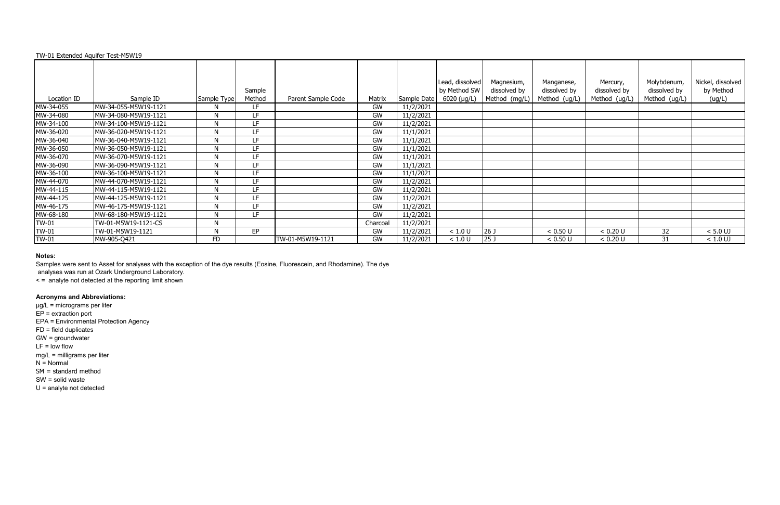|              |                      |             |        |                    |          |             | Lead, dissolved | Magnesium,      | Manganese,    | Mercury,      | Molybdenum,   | Nickel, dissolved |
|--------------|----------------------|-------------|--------|--------------------|----------|-------------|-----------------|-----------------|---------------|---------------|---------------|-------------------|
|              |                      |             | Sample |                    |          |             | by Method SW    | dissolved by    | dissolved by  | dissolved by  | dissolved by  | by Method         |
| Location ID  | Sample ID            | Sample Type | Method | Parent Sample Code | Matrix   | Sample Date | $6020$ (µg/L)   | Method (mg/L)   | Method (ug/L) | Method (ug/L) | Method (ug/L) | (ug/L)            |
| MW-34-055    | MW-34-055-M5W19-1121 |             | LF.    |                    | GW       | 11/2/2021   |                 |                 |               |               |               |                   |
| MW-34-080    | MW-34-080-M5W19-1121 | N           | LF     |                    | GW       | 11/2/2021   |                 |                 |               |               |               |                   |
| MW-34-100    | MW-34-100-M5W19-1121 | N           | LF.    |                    | GW       | 11/2/2021   |                 |                 |               |               |               |                   |
| MW-36-020    | MW-36-020-M5W19-1121 | N           | LF.    |                    | GW       | 11/1/2021   |                 |                 |               |               |               |                   |
| MW-36-040    | MW-36-040-M5W19-1121 | N           | LF.    |                    | GW       | 11/1/2021   |                 |                 |               |               |               |                   |
| MW-36-050    | MW-36-050-M5W19-1121 | N           | LF     |                    | GW       | 11/1/2021   |                 |                 |               |               |               |                   |
| MW-36-070    | MW-36-070-M5W19-1121 | N           | LF.    |                    | GW       | 11/1/2021   |                 |                 |               |               |               |                   |
| MW-36-090    | MW-36-090-M5W19-1121 | N           | LF     |                    | GW       | 11/1/2021   |                 |                 |               |               |               |                   |
| MW-36-100    | MW-36-100-M5W19-1121 | N           | LF     |                    | GW       | 11/1/2021   |                 |                 |               |               |               |                   |
| MW-44-070    | MW-44-070-M5W19-1121 |             | LF     |                    | GW       | 11/2/2021   |                 |                 |               |               |               |                   |
| MW-44-115    | MW-44-115-M5W19-1121 | N           | LF.    |                    | GW       | 11/2/2021   |                 |                 |               |               |               |                   |
| MW-44-125    | MW-44-125-M5W19-1121 | N           | LF     |                    | GW       | 11/2/2021   |                 |                 |               |               |               |                   |
| MW-46-175    | MW-46-175-M5W19-1121 | N           | LF.    |                    | GW       | 11/2/2021   |                 |                 |               |               |               |                   |
| MW-68-180    | MW-68-180-M5W19-1121 | N           | LF.    |                    | GW       | 11/2/2021   |                 |                 |               |               |               |                   |
| <b>TW-01</b> | TW-01-M5W19-1121-CS  | N           |        |                    | Charcoal | 11/2/2021   |                 |                 |               |               |               |                   |
| <b>TW-01</b> | TW-01-M5W19-1121     |             | EP     |                    | GW       | 11/2/2021   | < 1.0 U         | 26 <sub>J</sub> | < 0.50 U      | < 0.20 U      | 32            | $< 5.0$ UJ        |
| <b>TW-01</b> | MW-905-Q421          | <b>FD</b>   |        | TW-01-M5W19-1121   | GW       | 11/2/2021   | < 1.0 U         | 25 <sub>J</sub> | < 0.50 U      | < 0.20 U      | 31            | $< 1.0$ UJ        |

### **Notes:**

Samples were sent to Asset for analyses with the exception of the dye results (Eosine, Fluorescein, and Rhodamine). The dye

analyses was run at Ozark Underground Laboratory.

< = analyte not detected at the reporting limit shown

# **Acronyms and Abbreviations:**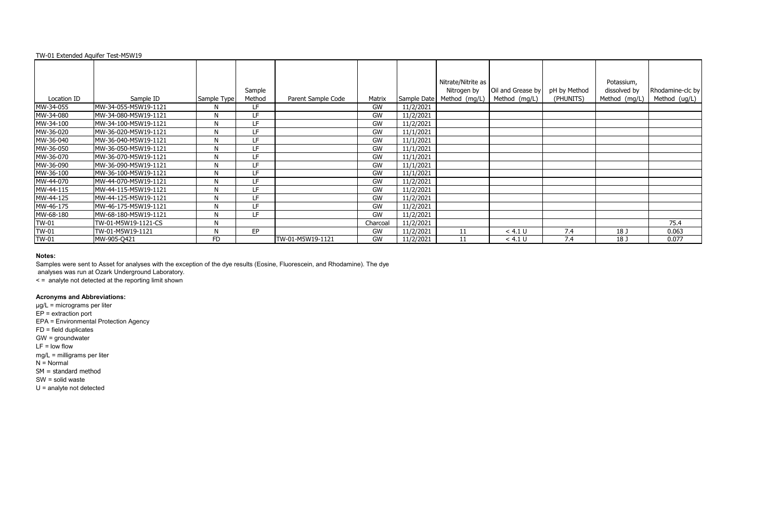|              |                      |              | Sample |                    |           |             | Nitrate/Nitrite as<br>Nitrogen by | Oil and Grease by | pH by Method | Potassium,<br>dissolved by | Rhodamine-clc by |
|--------------|----------------------|--------------|--------|--------------------|-----------|-------------|-----------------------------------|-------------------|--------------|----------------------------|------------------|
| Location ID  | Sample ID            | Sample Type  | Method | Parent Sample Code | Matrix    | Sample Date | Method (mg/L)                     | Method (mg/L)     | (PHUNITS)    | Method (mg/L)              | Method (ug/L)    |
| MW-34-055    | MW-34-055-M5W19-1121 | N            | LF     |                    | GW        | 11/2/2021   |                                   |                   |              |                            |                  |
| MW-34-080    | MW-34-080-M5W19-1121 | N            | LF     |                    | GW        | 11/2/2021   |                                   |                   |              |                            |                  |
| MW-34-100    | MW-34-100-M5W19-1121 | N            | LF     |                    | GW        | 11/2/2021   |                                   |                   |              |                            |                  |
| MW-36-020    | MW-36-020-M5W19-1121 | N            | LF     |                    | GW        | 11/1/2021   |                                   |                   |              |                            |                  |
| MW-36-040    | MW-36-040-M5W19-1121 | $\mathsf{N}$ | LF     |                    | GW        | 11/1/2021   |                                   |                   |              |                            |                  |
| MW-36-050    | MW-36-050-M5W19-1121 | N            | LF     |                    | GW        | 11/1/2021   |                                   |                   |              |                            |                  |
| MW-36-070    | MW-36-070-M5W19-1121 | $\mathsf{N}$ | LF     |                    | GW        | 11/1/2021   |                                   |                   |              |                            |                  |
| MW-36-090    | MW-36-090-M5W19-1121 | N            | LF     |                    | GW        | 11/1/2021   |                                   |                   |              |                            |                  |
| MW-36-100    | MW-36-100-M5W19-1121 | N            | LF     |                    | GW        | 11/1/2021   |                                   |                   |              |                            |                  |
| MW-44-070    | MW-44-070-M5W19-1121 | N            | LF     |                    | GW        | 11/2/2021   |                                   |                   |              |                            |                  |
| MW-44-115    | MW-44-115-M5W19-1121 | N            | LF.    |                    | GW        | 11/2/2021   |                                   |                   |              |                            |                  |
| MW-44-125    | MW-44-125-M5W19-1121 | N            | LF     |                    | <b>GW</b> | 11/2/2021   |                                   |                   |              |                            |                  |
| MW-46-175    | MW-46-175-M5W19-1121 | N            | LF.    |                    | GW        | 11/2/2021   |                                   |                   |              |                            |                  |
| MW-68-180    | MW-68-180-M5W19-1121 | $\mathsf{N}$ | LF     |                    | GW        | 11/2/2021   |                                   |                   |              |                            |                  |
| <b>TW-01</b> | TW-01-M5W19-1121-CS  | N            |        |                    | Charcoal  | 11/2/2021   |                                   |                   |              |                            | 75.4             |
| <b>TW-01</b> | TW-01-M5W19-1121     | $\mathsf{N}$ | EP     |                    | GW        | 11/2/2021   | 11                                | < 4.1 U           | 7.4          | 18 J                       | 0.063            |
| <b>TW-01</b> | MW-905-Q421          | <b>FD</b>    |        | TW-01-M5W19-1121   | <b>GW</b> | 11/2/2021   | 11                                | < 4.1 U           | 7.4          | 18 <sub>1</sub>            | 0.077            |

### **Notes:**

Samples were sent to Asset for analyses with the exception of the dye results (Eosine, Fluorescein, and Rhodamine). The dye

analyses was run at Ozark Underground Laboratory.

< = analyte not detected at the reporting limit shown

# **Acronyms and Abbreviations:**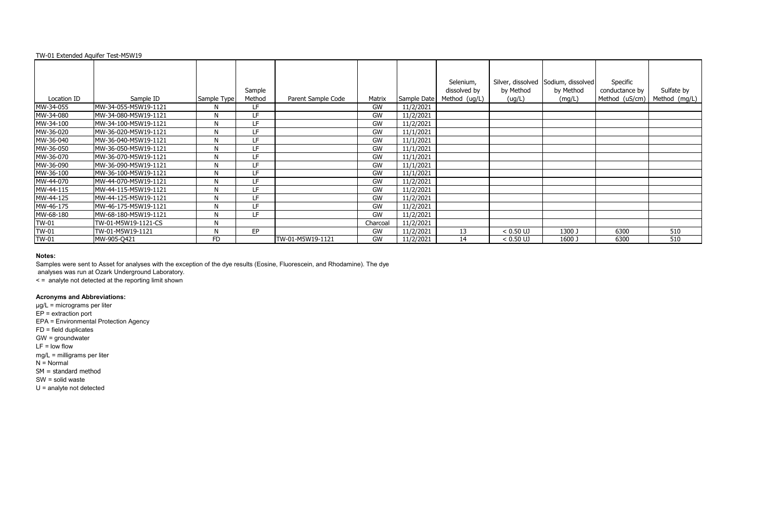|              |                      |              |        |                    |           |             | Selenium,     |             | Silver, dissolved Sodium, dissolved | Specific       |               |
|--------------|----------------------|--------------|--------|--------------------|-----------|-------------|---------------|-------------|-------------------------------------|----------------|---------------|
|              |                      |              | Sample |                    |           |             | dissolved by  | by Method   | by Method                           | conductance by | Sulfate by    |
| Location ID  | Sample ID            | Sample Type  | Method | Parent Sample Code | Matrix    | Sample Date | Method (ug/L) | (ug/L)      | (mg/L)                              | Method (uS/cm) | Method (mg/L) |
| MW-34-055    | MW-34-055-M5W19-1121 | N            | LF.    |                    | GW        | 11/2/2021   |               |             |                                     |                |               |
| MW-34-080    | MW-34-080-M5W19-1121 | N            | LF     |                    | GW        | 11/2/2021   |               |             |                                     |                |               |
| MW-34-100    | MW-34-100-M5W19-1121 | N            | LF     |                    | GW        | 11/2/2021   |               |             |                                     |                |               |
| MW-36-020    | MW-36-020-M5W19-1121 | N            | LF     |                    | GW        | 11/1/2021   |               |             |                                     |                |               |
| MW-36-040    | MW-36-040-M5W19-1121 | $\mathsf{N}$ | LF     |                    | GW        | 11/1/2021   |               |             |                                     |                |               |
| MW-36-050    | MW-36-050-M5W19-1121 | N            | LF     |                    | GW        | 11/1/2021   |               |             |                                     |                |               |
| MW-36-070    | MW-36-070-M5W19-1121 | N            | LF     |                    | GW        | 11/1/2021   |               |             |                                     |                |               |
| MW-36-090    | MW-36-090-M5W19-1121 | N            | LF.    |                    | GW        | 11/1/2021   |               |             |                                     |                |               |
| MW-36-100    | MW-36-100-M5W19-1121 | $\mathsf{N}$ | LF     |                    | GW        | 11/1/2021   |               |             |                                     |                |               |
| MW-44-070    | MW-44-070-M5W19-1121 | N            | LF     |                    | GW        | 11/2/2021   |               |             |                                     |                |               |
| MW-44-115    | MW-44-115-M5W19-1121 | N            | LF.    |                    | GW        | 11/2/2021   |               |             |                                     |                |               |
| MW-44-125    | MW-44-125-M5W19-1121 | N            | LF     |                    | <b>GW</b> | 11/2/2021   |               |             |                                     |                |               |
| MW-46-175    | MW-46-175-M5W19-1121 | N            | LF.    |                    | GW        | 11/2/2021   |               |             |                                     |                |               |
| MW-68-180    | MW-68-180-M5W19-1121 | N            | LF     |                    | GW        | 11/2/2021   |               |             |                                     |                |               |
| <b>TW-01</b> | TW-01-M5W19-1121-CS  | N            |        |                    | Charcoal  | 11/2/2021   |               |             |                                     |                |               |
| <b>TW-01</b> | TW-01-M5W19-1121     | $\mathsf{N}$ | EP     |                    | GW        | 11/2/2021   | 13            | $< 0.50$ UJ | 1300 J                              | 6300           | 510           |
| <b>TW-01</b> | MW-905-Q421          | <b>FD</b>    |        | TW-01-M5W19-1121   | <b>GW</b> | 11/2/2021   | 14            | $< 0.50$ UJ | 1600 J                              | 6300           | 510           |

### **Notes:**

Samples were sent to Asset for analyses with the exception of the dye results (Eosine, Fluorescein, and Rhodamine). The dye

analyses was run at Ozark Underground Laboratory.

< = analyte not detected at the reporting limit shown

# **Acronyms and Abbreviations:**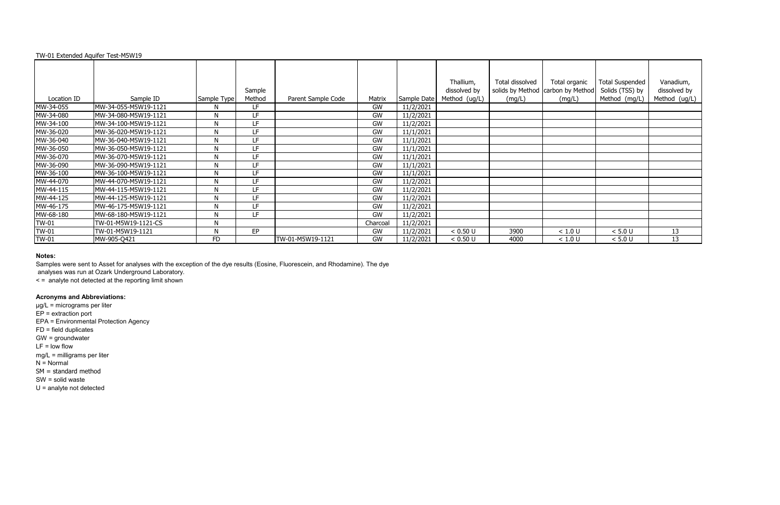|              |                      |              | Sample |                    |           |             | Thallium,<br>dissolved by | Total dissolved | Total organic<br>solids by Method   carbon by Method | <b>Total Suspended</b><br>Solids (TSS) by | Vanadium,<br>dissolved by |
|--------------|----------------------|--------------|--------|--------------------|-----------|-------------|---------------------------|-----------------|------------------------------------------------------|-------------------------------------------|---------------------------|
| Location ID  | Sample ID            | Sample Type  | Method | Parent Sample Code | Matrix    | Sample Date | Method (ug/L)             | (mg/L)          | (mg/L)                                               | Method (mg/L)                             | Method (ug/L)             |
| MW-34-055    | MW-34-055-M5W19-1121 | N            | LF.    |                    | GW        | 11/2/2021   |                           |                 |                                                      |                                           |                           |
| MW-34-080    | MW-34-080-M5W19-1121 | N            | LF     |                    | GW        | 11/2/2021   |                           |                 |                                                      |                                           |                           |
| MW-34-100    | MW-34-100-M5W19-1121 | N            | LF     |                    | GW        | 11/2/2021   |                           |                 |                                                      |                                           |                           |
| MW-36-020    | MW-36-020-M5W19-1121 | N            | LF     |                    | GW        | 11/1/2021   |                           |                 |                                                      |                                           |                           |
| MW-36-040    | MW-36-040-M5W19-1121 | N            | LF.    |                    | GW        | 11/1/2021   |                           |                 |                                                      |                                           |                           |
| MW-36-050    | MW-36-050-M5W19-1121 | N            | LF     |                    | GW        | 11/1/2021   |                           |                 |                                                      |                                           |                           |
| MW-36-070    | MW-36-070-M5W19-1121 | N            | LF     |                    | <b>GW</b> | 11/1/2021   |                           |                 |                                                      |                                           |                           |
| MW-36-090    | MW-36-090-M5W19-1121 | N            | LF.    |                    | GW        | 11/1/2021   |                           |                 |                                                      |                                           |                           |
| MW-36-100    | MW-36-100-M5W19-1121 | N            | LF     |                    | GW        | 11/1/2021   |                           |                 |                                                      |                                           |                           |
| MW-44-070    | MW-44-070-M5W19-1121 | N            | LF     |                    | GW        | 11/2/2021   |                           |                 |                                                      |                                           |                           |
| MW-44-115    | MW-44-115-M5W19-1121 | N            | LF     |                    | GW        | 11/2/2021   |                           |                 |                                                      |                                           |                           |
| MW-44-125    | MW-44-125-M5W19-1121 | N            | LF     |                    | <b>GW</b> | 11/2/2021   |                           |                 |                                                      |                                           |                           |
| MW-46-175    | MW-46-175-M5W19-1121 | N            | LF     |                    | GW        | 11/2/2021   |                           |                 |                                                      |                                           |                           |
| MW-68-180    | MW-68-180-M5W19-1121 | N            | LF     |                    | GW        | 11/2/2021   |                           |                 |                                                      |                                           |                           |
| <b>TW-01</b> | TW-01-M5W19-1121-CS  | N            |        |                    | Charcoal  | 11/2/2021   |                           |                 |                                                      |                                           |                           |
| <b>TW-01</b> | TW-01-M5W19-1121     | $\mathsf{N}$ | EP     |                    | GW        | 11/2/2021   | < 0.50 U                  | 3900            | < 1.0 U                                              | < 5.0 U                                   | 13                        |
| <b>TW-01</b> | MW-905-Q421          | <b>FD</b>    |        | TW-01-M5W19-1121   | <b>GW</b> | 11/2/2021   | < 0.50 U                  | 4000            | < 1.0 U                                              | < 5.0 U                                   | 13                        |

### **Notes:**

Samples were sent to Asset for analyses with the exception of the dye results (Eosine, Fluorescein, and Rhodamine). The dye

analyses was run at Ozark Underground Laboratory.

< = analyte not detected at the reporting limit shown

# **Acronyms and Abbreviations:**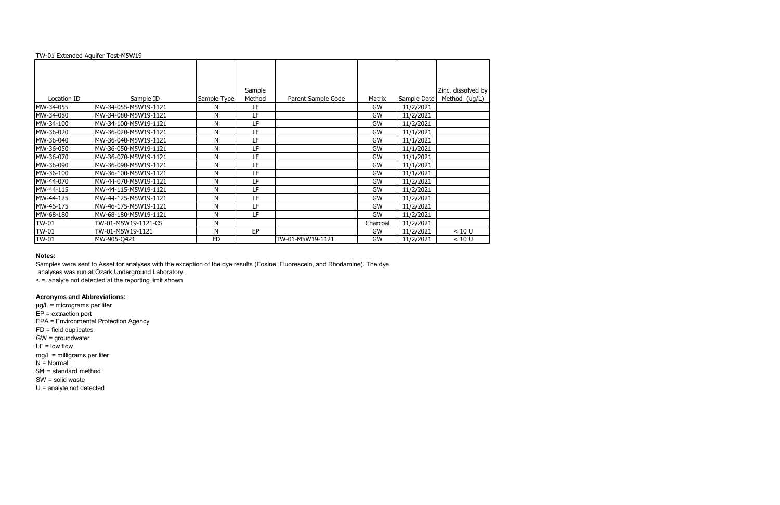|             |                      |             | Sample |                    |           |             | Zinc, dissolved by |
|-------------|----------------------|-------------|--------|--------------------|-----------|-------------|--------------------|
| Location ID | Sample ID            | Sample Type | Method | Parent Sample Code | Matrix    | Sample Date | Method (ug/L)      |
| MW-34-055   | MW-34-055-M5W19-1121 | N           | LF     |                    | GW        | 11/2/2021   |                    |
| MW-34-080   | MW-34-080-M5W19-1121 | N           | LF     |                    | GW        | 11/2/2021   |                    |
| MW-34-100   | MW-34-100-M5W19-1121 | N           | LF     |                    | GW        | 11/2/2021   |                    |
| MW-36-020   | MW-36-020-M5W19-1121 | N           | LF     |                    | GW        | 11/1/2021   |                    |
| MW-36-040   | MW-36-040-M5W19-1121 | N           | LF     |                    | GW        | 11/1/2021   |                    |
| MW-36-050   | MW-36-050-M5W19-1121 | N           | LF     |                    | <b>GW</b> | 11/1/2021   |                    |
| MW-36-070   | MW-36-070-M5W19-1121 | N           | LF     |                    | GW        | 11/1/2021   |                    |
| MW-36-090   | MW-36-090-M5W19-1121 | N           | LF     |                    | GW        | 11/1/2021   |                    |
| MW-36-100   | MW-36-100-M5W19-1121 | N           | LF     |                    | GW        | 11/1/2021   |                    |
| MW-44-070   | MW-44-070-M5W19-1121 | N           | LF     |                    | GW        | 11/2/2021   |                    |
| MW-44-115   | MW-44-115-M5W19-1121 | N           | LF     |                    | GW        | 11/2/2021   |                    |
| MW-44-125   | MW-44-125-M5W19-1121 | N           | LF     |                    | GW        | 11/2/2021   |                    |
| MW-46-175   | MW-46-175-M5W19-1121 | ${\sf N}$   | LF     |                    | GW        | 11/2/2021   |                    |
| MW-68-180   | MW-68-180-M5W19-1121 | N           | LF     |                    | <b>GW</b> | 11/2/2021   |                    |
| TW-01       | TW-01-M5W19-1121-CS  | ${\sf N}$   |        |                    | Charcoal  | 11/2/2021   |                    |
| TW-01       | TW-01-M5W19-1121     | N           | EP     |                    | GW        | 11/2/2021   | < 10 U             |
| TW-01       | MW-905-Q421          | <b>FD</b>   |        | TW-01-M5W19-1121   | GW        | 11/2/2021   | < 10 U             |

### **Notes:**

Samples were sent to Asset for analyses with the exception of the dye results (Eosine, Fluorescein, and Rhodamine). The dye

analyses was run at Ozark Underground Laboratory.

< = analyte not detected at the reporting limit shown

# **Acronyms and Abbreviations:**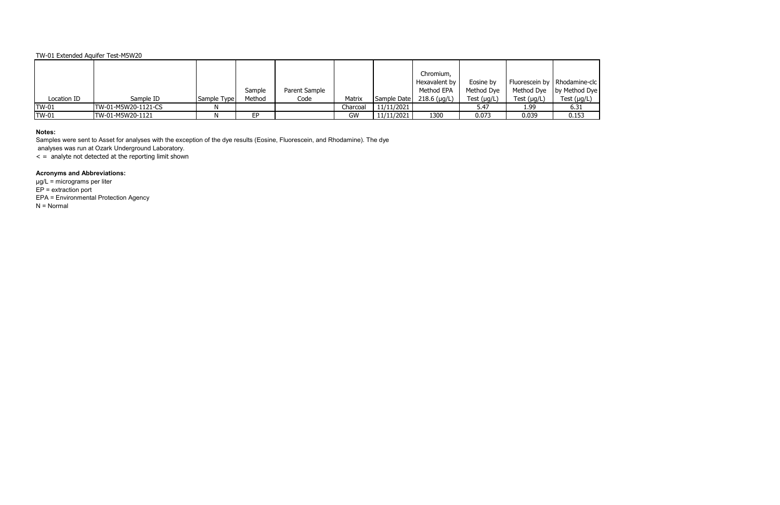|              |                     |             |        |               |           |             | Chromium,      |             |                  |                                |
|--------------|---------------------|-------------|--------|---------------|-----------|-------------|----------------|-------------|------------------|--------------------------------|
|              |                     |             |        |               |           |             | Hexavalent by  | Eosine by   |                  | Fluorescein by   Rhodamine-clc |
|              |                     |             | Sample | Parent Sample |           |             | Method EPA     | Method Dye  |                  | Method Dye   by Method Dye     |
| Location ID  | Sample ID           | Sample Type | Method | Code          | Matrix    | Sample Date | $218.6$ (µg/L) | Test (µg/L) | Test $(\mu g/L)$ | Test $(\mu g/L)$               |
| <b>TW-01</b> | TW-01-M5W20-1121-CS |             |        |               | Charcoal  | 11/11/2021  |                | 5.47        | 1.99             | 6.31                           |
| <b>TW-01</b> | TW-01-M5W20-1121    |             | EP     |               | <b>GW</b> | 11/11/2021  | 1300           | 0.073       | 0.039            | 0.153                          |

## **Notes:**

Samples were sent to Asset for analyses with the exception of the dye results (Eosine, Fluorescein, and Rhodamine). The dye

analyses was run at Ozark Underground Laboratory.

 $\leq$  = analyte not detected at the reporting limit shown

## **Acronyms and Abbreviations:**

µg/L = micrograms per liter  $EP =$  extraction port EPA = Environmental Protection Agency N = Normal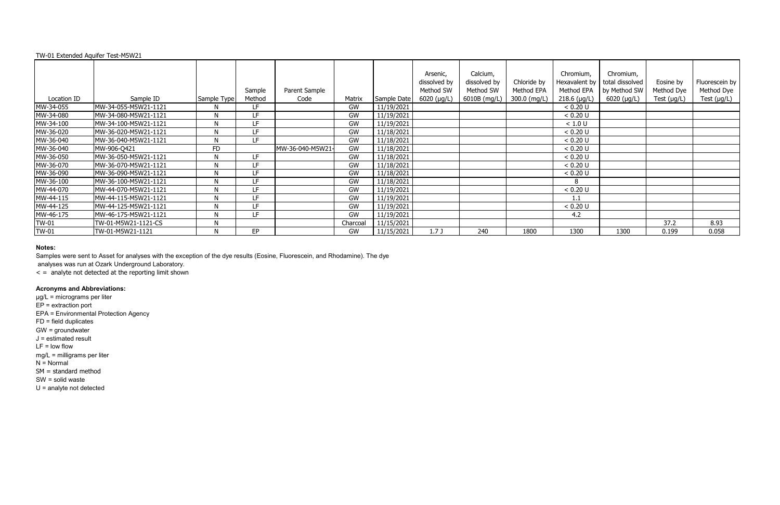#### Location ID Sample ID Sample Type Sample Method<br>LF Parent Sample Matrix Sample Date Arsenic, dissolved by Method SW 6020 (µg/L) Calcium, dissolved by Method SW 6010B (mg/L) MW-34-055 MW-34-055-M5W21-1121 N LF GW 11/19/2021 < 0.20 U MW-34-080 MW-34-080-M5W21-1121 N LF GW 11/19/2021 < 0.20 U MW-34-100 MW-34-100-M5W21-1121 N LF GW 11/19/2021 SW MW-34-100 MW-34-100-M5W21-1121 N LF GW 11/19/2021 SW 11/18/2021 MW-36-020 MW-36-020-M5W21-1121 N LF GW 11/18/2021 SW CM CO.<br>MW-36-040 MW-36-040-M5W21-1121 N LF GW 11/18/2021 SW CO. MW-36-040 MW-36-040-M5W21-1121 N LF GW 11/18/2021 < 0.20 U MW-36-040 MW-906-Q421 FD MW-36-040-M5W21- GW 11/18/2021 < 0.20 U MW-36-050 MW-36-050-M5W21-1121 N LF GW 11/18/2021 < 0.20 U MW-36-070 MW-36-070-M5W21-1121 N LF GW 11/18/2021 < 0.20 U MW-36-090 MW-36-090-M5W21-1121 N LF GW 11/18/2021 < 0.20 U MW-36-100 MW-36-100-M5W21-1121 N LF GW 11/18/2021 8 MW-44-070 MW-44-070-M5W21-1121 N LF GW 11/19/2021 < 0.20 U MW-44-115 MW-44-115-M5W21-1121 N LF GW 11/19/2021<br>MW-44-125 MW-44-125-M5W21-1121 N LF GW 11/19/2021 MW-44-125 MW-44-125-M5W21-1121 N LF GW 11/19/2021 < 0.20 U MW-46-175 MW-46-175-M5W21-1121 N LF GW 11/19/2021 4.2 TW-01 |TW-01-M5W21-1121-CS | N | | Charcoal | 11/15/2021 | | | 37.2 | 8.93

|             |                      |             | Sample | Parent Sample    |          |             | Arsenic,<br>dissolved by<br>Method SW | Calcium,<br>dissolved by<br>Method SW | Chloride by<br>Method EPA | Chromium,<br>Hexavalent by<br>Method EPA | Chromium,<br>total dissolved<br>by Method SW | Eosine by<br>Method Dye | Fluorescein by<br>Method Dye |
|-------------|----------------------|-------------|--------|------------------|----------|-------------|---------------------------------------|---------------------------------------|---------------------------|------------------------------------------|----------------------------------------------|-------------------------|------------------------------|
| Location ID | Sample ID            | Sample Type | Method | Code             | Matrix   | Sample Date | 6020 (µg/L)                           | 6010B (mg/L)                          | 300.0 (mg/L)              | $218.6$ (µg/L)                           | 6020 ( $\mu$ g/L)                            | Test $(\mu g/L)$        | Test $(\mu g/L)$             |
| MW-34-055   | MW-34-055-M5W21-1121 |             | LF     |                  | GW       | 11/19/2021  |                                       |                                       |                           | < 0.20 U                                 |                                              |                         |                              |
| MW-34-080   | MW-34-080-M5W21-1121 | M           | LF.    |                  | GW       | 11/19/2021  |                                       |                                       |                           | < 0.20 U                                 |                                              |                         |                              |
| MW-34-100   | MW-34-100-M5W21-1121 | M           | LF     |                  | GW       | 11/19/2021  |                                       |                                       |                           | < 1.0 U                                  |                                              |                         |                              |
| MW-36-020   | MW-36-020-M5W21-1121 | M           | LF     |                  | GW       | 11/18/2021  |                                       |                                       |                           | < 0.20 U                                 |                                              |                         |                              |
| MW-36-040   | MW-36-040-M5W21-1121 | M           | LF     |                  | GW       | 11/18/2021  |                                       |                                       |                           | < 0.20 U                                 |                                              |                         |                              |
| MW-36-040   | MW-906-0421          | <b>FD</b>   |        | MW-36-040-M5W21- | GW       | 11/18/2021  |                                       |                                       |                           | < 0.20 U                                 |                                              |                         |                              |
| MW-36-050   | MW-36-050-M5W21-1121 | M           | LF     |                  | GW       | 11/18/2021  |                                       |                                       |                           | < 0.20 U                                 |                                              |                         |                              |
| MW-36-070   | MW-36-070-M5W21-1121 | <b>NI</b>   | LF     |                  | GW       | 11/18/2021  |                                       |                                       |                           | < 0.20 U                                 |                                              |                         |                              |
| MW-36-090   | MW-36-090-M5W21-1121 | M           | LF     |                  | GW       | 11/18/2021  |                                       |                                       |                           | < 0.20 U                                 |                                              |                         |                              |
| MW-36-100   | MW-36-100-M5W21-1121 | M           | LF     |                  | GW       | 11/18/2021  |                                       |                                       |                           | 8                                        |                                              |                         |                              |
| MW-44-070   | MW-44-070-M5W21-1121 | M           | LF     |                  | GW       | 11/19/2021  |                                       |                                       |                           | < 0.20 U                                 |                                              |                         |                              |
| MW-44-115   | MW-44-115-M5W21-1121 | <b>NI</b>   | LF     |                  | GW       | 11/19/2021  |                                       |                                       |                           | 1.1                                      |                                              |                         |                              |
| MW-44-125   | MW-44-125-M5W21-1121 | M           | I F    |                  | GW       | 11/19/2021  |                                       |                                       |                           | < 0.20 U                                 |                                              |                         |                              |
| MW-46-175   | MW-46-175-M5W21-1121 | M           | LF     |                  | GW       | 11/19/2021  |                                       |                                       |                           | 4.2                                      |                                              |                         |                              |
| TW-01       | TW-01-M5W21-1121-CS  | <b>NI</b>   |        |                  | Charcoal | 11/15/2021  |                                       |                                       |                           |                                          |                                              | 37.2                    | 8.93                         |
| TW-01       | TW-01-M5W21-1121     | N           | EP     |                  | GW       | 11/15/2021  | 1.7J                                  | 240                                   | 1800                      | 1300                                     | 1300                                         | 0.199                   | 0.058                        |

#### **Notes:**

Samples were sent to Asset for analyses with the exception of the dye results (Eosine, Fluorescein, and Rhodamine). The dye

analyses was run at Ozark Underground Laboratory.

 $\leq$  = analyte not detected at the reporting limit shown

### **Acronyms and Abbreviations:**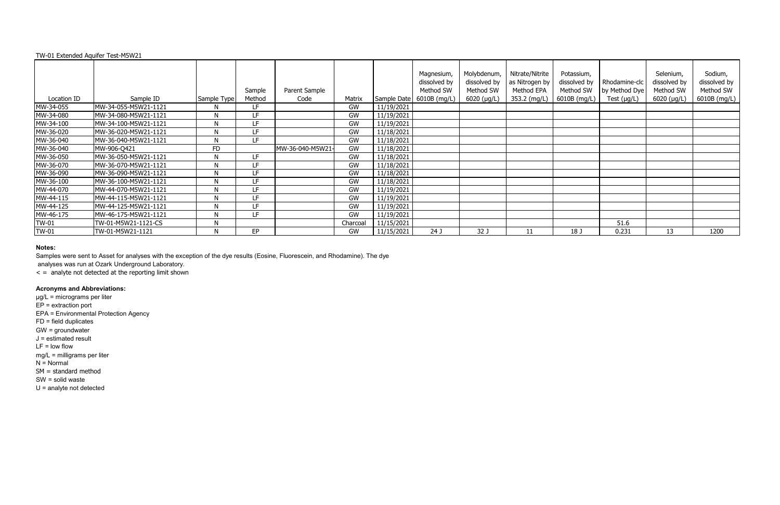#### Location ID Sample ID Sample Type Sample Method<br>LF Parent Sample Code Matrix Sample Date 6010B (mg/L) MW-34-055 MW-34-055-M5W21-1121 N LF GW 11/19/2021 MW-34-080 MW-34-080-M5W21-1121 N LF GW 11/19/2021 MW-34-100 MW-34-100-M5W21-1121 N LF GW 11/19/2021 MW-36-020 MW-36-020-M5W21-1121 N LF GW 11/18/2021 MW-36-040 MW-36-040-M5W21-1121 N LF GW 11/18/2021 MW-36-040 MW-906-Q421 FD MW-36-040-M5W21- GW 11/18/2021 MW-36-050 MW-36-050-M5W21-1121 N LF GW 11/18/2021 MW-36-070 MW-36-070-M5W21-1121 N LF GW 11/18/2021 MW-36-090 MW-36-090-M5W21-1121 N LF GW 11/18/2021 MW-36-100 MW-36-100-M5W21-1121 N LF GW 11/18/2021 MW-44-070 MW-44-070-M5W21-1121 N LF GW 11/19/2021 MW-44-115 MW-44-115-M5W21-1121 N LF GW 11/19/2021 MW-44-125 MW-44-125-M5W21-1121 N LF GW 11/19/2021<br>MW-46-175 MW-46-175-M5W21-1121 N LF GW 11/19/2021 MW-46-175 MW-46-175-M5W21-1121 N LF GW 11/19/2021 Magnesium, dissolved by Method SW Molybdenum, dissolved by Method SW 6020 (µg/L)

TW-01 TW-01-M5W21-1121-CS N Charcoal 11/15/2021

### **Notes:**

Samples were sent to Asset for analyses with the exception of the dye results (Eosine, Fluorescein, and Rhodamine). The dye

analyses was run at Ozark Underground Laboratory.

 $\leq$  = analyte not detected at the reporting limit shown

TW-01-M5W21-1121

### **Acronyms and Abbreviations:**

µg/L = micrograms per liter EP = extraction port EPA = Environmental Protection Agency FD = field duplicates GW = groundwater J = estimated result  $LF = low$  flow mg/L = milligrams per liter N = Normal SM = standard method SW = solid waste U = analyte not detected

| nesium,<br>olved by<br>hod SW<br>B (mg/L) | Molybdenum,<br>dissolved by<br>Method SW<br>6020 (µg/L) | Nitrate/Nitrite<br>as Nitrogen by<br>Method EPA<br>353.2 (mg/L) | Potassium,<br>dissolved by<br>Method SW<br>6010B (mg/L) | Rhodamine-clc<br>by Method Dye<br>Test $(\mu g/L)$ | Selenium,<br>dissolved by<br>Method SW<br>6020 (µg/L) | Sodium,<br>dissolved by<br>Method SW<br>6010B (mg/L) |
|-------------------------------------------|---------------------------------------------------------|-----------------------------------------------------------------|---------------------------------------------------------|----------------------------------------------------|-------------------------------------------------------|------------------------------------------------------|
|                                           |                                                         |                                                                 |                                                         |                                                    |                                                       |                                                      |
|                                           |                                                         |                                                                 |                                                         |                                                    |                                                       |                                                      |
|                                           |                                                         |                                                                 |                                                         |                                                    |                                                       |                                                      |
|                                           |                                                         |                                                                 |                                                         |                                                    |                                                       |                                                      |
|                                           |                                                         |                                                                 |                                                         |                                                    |                                                       |                                                      |
|                                           |                                                         |                                                                 |                                                         |                                                    |                                                       |                                                      |
|                                           |                                                         |                                                                 |                                                         |                                                    |                                                       |                                                      |
|                                           |                                                         |                                                                 |                                                         |                                                    |                                                       |                                                      |
|                                           |                                                         |                                                                 |                                                         |                                                    |                                                       |                                                      |
|                                           |                                                         |                                                                 |                                                         |                                                    |                                                       |                                                      |
|                                           |                                                         |                                                                 |                                                         |                                                    |                                                       |                                                      |
|                                           |                                                         |                                                                 |                                                         |                                                    |                                                       |                                                      |
|                                           |                                                         |                                                                 |                                                         | 51.6                                               |                                                       |                                                      |
| 24 J                                      | 32 J                                                    | 11                                                              | 18 J                                                    | 0.231                                              | 13                                                    | 1200                                                 |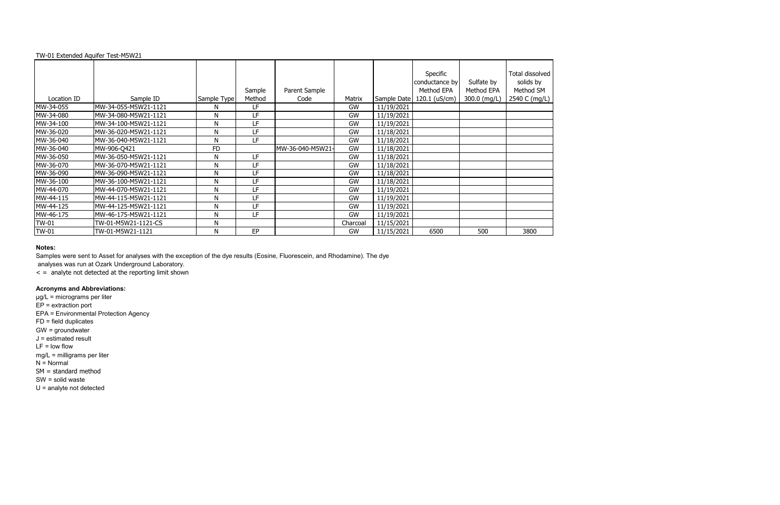|              |                       |             |                  |                       |          |             | Specific<br>conductance by  | Sulfate by                 | Total dissolved<br>solids by |
|--------------|-----------------------|-------------|------------------|-----------------------|----------|-------------|-----------------------------|----------------------------|------------------------------|
| Location ID  | Sample ID             | Sample Type | Sample<br>Method | Parent Sample<br>Code | Matrix   | Sample Date | Method EPA<br>120.1 (uS/cm) | Method EPA<br>300.0 (mg/L) | Method SM<br>2540 C (mg/L)   |
|              |                       |             |                  |                       |          |             |                             |                            |                              |
| MW-34-055    | MW-34-055-M5W21-1121  | N           | LF               |                       | GW       | 11/19/2021  |                             |                            |                              |
| MW-34-080    | MW-34-080-M5W21-1121  | N           | LF               |                       | GW       | 11/19/2021  |                             |                            |                              |
| MW-34-100    | MW-34-100-M5W21-1121  | N           | LF               |                       | GW       | 11/19/2021  |                             |                            |                              |
| MW-36-020    | MW-36-020-M5W21-1121  | N           | LF               |                       | GW       | 11/18/2021  |                             |                            |                              |
| MW-36-040    | MW-36-040-M5W21-1121  | N           | LF               |                       | GW       | 11/18/2021  |                             |                            |                              |
| MW-36-040    | MW-906-Q421           | <b>FD</b>   |                  | MW-36-040-M5W21-      | GW       | 11/18/2021  |                             |                            |                              |
| MW-36-050    | MW-36-050-M5W21-1121  | N           | LF               |                       | GW       | 11/18/2021  |                             |                            |                              |
| MW-36-070    | MW-36-070-M5W21-1121  | N           | LF               |                       | GW       | 11/18/2021  |                             |                            |                              |
| MW-36-090    | MW-36-090-M5W21-1121  | N           | LF               |                       | GW       | 11/18/2021  |                             |                            |                              |
| MW-36-100    | MW-36-100-M5W21-1121  | N           | LF.              |                       | GW       | 11/18/2021  |                             |                            |                              |
| MW-44-070    | MW-44-070-M5W21-1121  | N           | LF               |                       | GW       | 11/19/2021  |                             |                            |                              |
| MW-44-115    | IMW-44-115-M5W21-1121 | N           | LF.              |                       | GW       | 11/19/2021  |                             |                            |                              |
| MW-44-125    | MW-44-125-M5W21-1121  | N           | LF               |                       | GW       | 11/19/2021  |                             |                            |                              |
| MW-46-175    | MW-46-175-M5W21-1121  | N           | LF.              |                       | GW       | 11/19/2021  |                             |                            |                              |
| <b>TW-01</b> | TW-01-M5W21-1121-CS   | N           |                  |                       | Charcoal | 11/15/2021  |                             |                            |                              |
| <b>TW-01</b> | TW-01-M5W21-1121      | N           | EP               |                       | GW       | 11/15/2021  | 6500                        | 500                        | 3800                         |

### **Notes:**

Samples were sent to Asset for analyses with the exception of the dye results (Eosine, Fluorescein, and Rhodamine). The dye

analyses was run at Ozark Underground Laboratory.

 $\leq$  = analyte not detected at the reporting limit shown

# **Acronyms and Abbreviations:**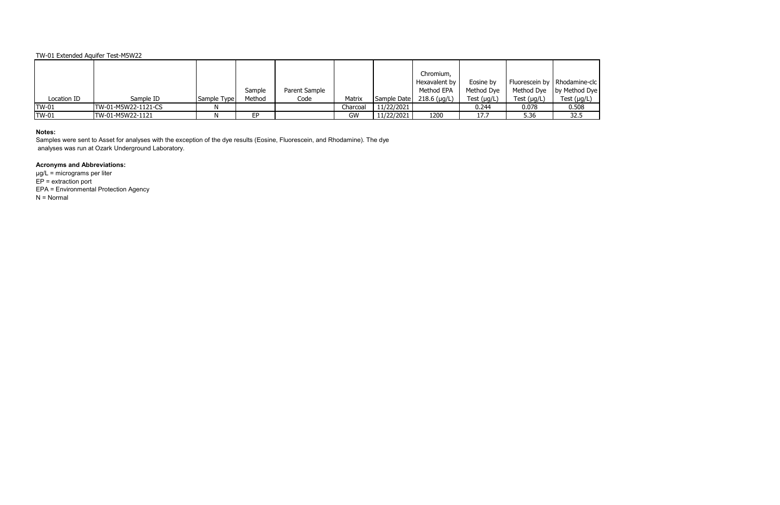|              |                     |              |        |               |          |             | Chromium,      |                  |                  |                                |
|--------------|---------------------|--------------|--------|---------------|----------|-------------|----------------|------------------|------------------|--------------------------------|
|              |                     |              |        |               |          |             | Hexavalent by  | Eosine by        |                  | Fluorescein by   Rhodamine-clc |
|              |                     |              | Sample | Parent Sample |          |             | Method EPA     | Method Dye       |                  | Method Dye   by Method Dye     |
| Location ID  | Sample ID           | Sample Typel | Method | Code          | Matrix   | Sample Date | $218.6$ (µg/L) | Test $(\mu g/L)$ | Test $(\mu g/L)$ | Test $(\mu g/L)$               |
| <b>TW-01</b> | TW-01-M5W22-1121-CS |              |        |               | Charcoal | 11/22/2021  |                | 0.244            | 0.078            | 0.508                          |
| <b>TW-01</b> | TW-01-M5W22-1121    |              | FP     |               | GW       | 11/22/2021  | 1200           | 17.7             | 5.36             | 32.5                           |

## **Notes:**

Samples were sent to Asset for analyses with the exception of the dye results (Eosine, Fluorescein, and Rhodamine). The dye analyses was run at Ozark Underground Laboratory.

# **Acronyms and Abbreviations:**

µg/L = micrograms per liter  $EP =$  extraction port EPA = Environmental Protection Agency N = Normal